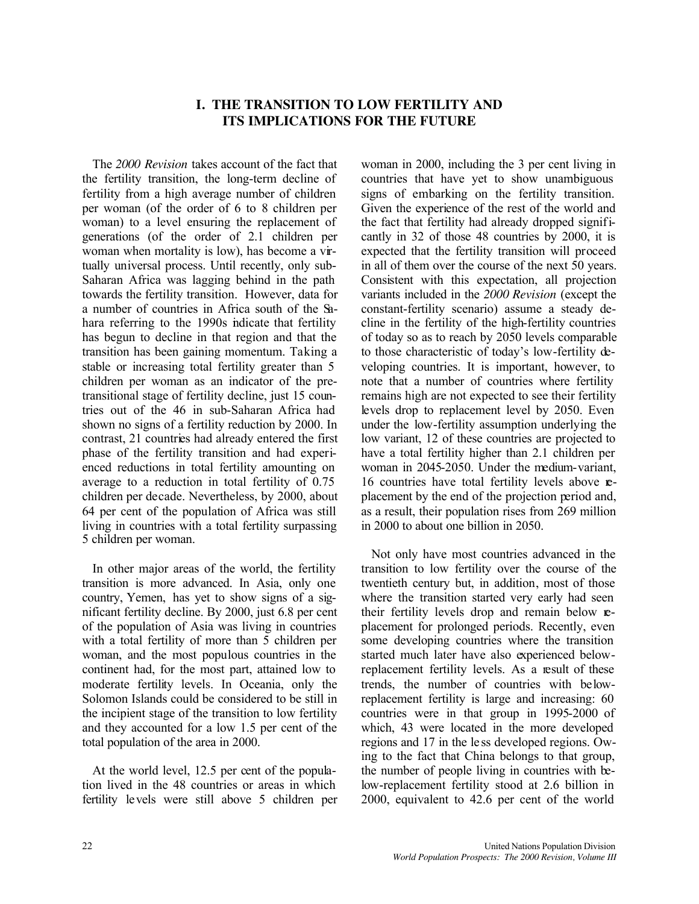# **I. THE TRANSITION TO LOW FERTILITY AND ITS IMPLICATIONS FOR THE FUTURE**

The *2000 Revision* takes account of the fact that the fertility transition, the long-term decline of fertility from a high average number of children per woman (of the order of 6 to 8 children per woman) to a level ensuring the replacement of generations (of the order of 2.1 children per woman when mortality is low), has become a virtually universal process. Until recently, only sub-Saharan Africa was lagging behind in the path towards the fertility transition. However, data for a number of countries in Africa south of the Sahara referring to the 1990s indicate that fertility has begun to decline in that region and that the transition has been gaining momentum. Taking a stable or increasing total fertility greater than 5 children per woman as an indicator of the pretransitional stage of fertility decline, just 15 countries out of the 46 in sub-Saharan Africa had shown no signs of a fertility reduction by 2000. In contrast, 21 countries had already entered the first phase of the fertility transition and had experienced reductions in total fertility amounting on average to a reduction in total fertility of 0.75 children per decade. Nevertheless, by 2000, about 64 per cent of the population of Africa was still living in countries with a total fertility surpassing 5 children per woman.

In other major areas of the world, the fertility transition is more advanced. In Asia, only one country, Yemen, has yet to show signs of a significant fertility decline. By 2000, just 6.8 per cent of the population of Asia was living in countries with a total fertility of more than 5 children per woman, and the most populous countries in the continent had, for the most part, attained low to moderate fertility levels. In Oceania, only the Solomon Islands could be considered to be still in the incipient stage of the transition to low fertility and they accounted for a low 1.5 per cent of the total population of the area in 2000.

At the world level, 12.5 per cent of the population lived in the 48 countries or areas in which fertility levels were still above 5 children per woman in 2000, including the 3 per cent living in countries that have yet to show unambiguous signs of embarking on the fertility transition. Given the experience of the rest of the world and the fact that fertility had already dropped significantly in 32 of those 48 countries by 2000, it is expected that the fertility transition will proceed in all of them over the course of the next 50 years. Consistent with this expectation, all projection variants included in the *2000 Revision* (except the constant-fertility scenario) assume a steady decline in the fertility of the high-fertility countries of today so as to reach by 2050 levels comparable to those characteristic of today's low-fertility developing countries. It is important, however, to note that a number of countries where fertility remains high are not expected to see their fertility levels drop to replacement level by 2050. Even under the low-fertility assumption underlying the low variant, 12 of these countries are projected to have a total fertility higher than 2.1 children per woman in 2045-2050. Under the medium-variant, 16 countries have total fertility levels above replacement by the end of the projection period and, as a result, their population rises from 269 million in 2000 to about one billion in 2050.

Not only have most countries advanced in the transition to low fertility over the course of the twentieth century but, in addition, most of those where the transition started very early had seen their fertility levels drop and remain below replacement for prolonged periods. Recently, even some developing countries where the transition started much later have also experienced belowreplacement fertility levels. As a result of these trends, the number of countries with belowreplacement fertility is large and increasing: 60 countries were in that group in 1995-2000 of which, 43 were located in the more developed regions and 17 in the le ss developed regions. Owing to the fact that China belongs to that group, the number of people living in countries with below-replacement fertility stood at 2.6 billion in 2000, equivalent to 42.6 per cent of the world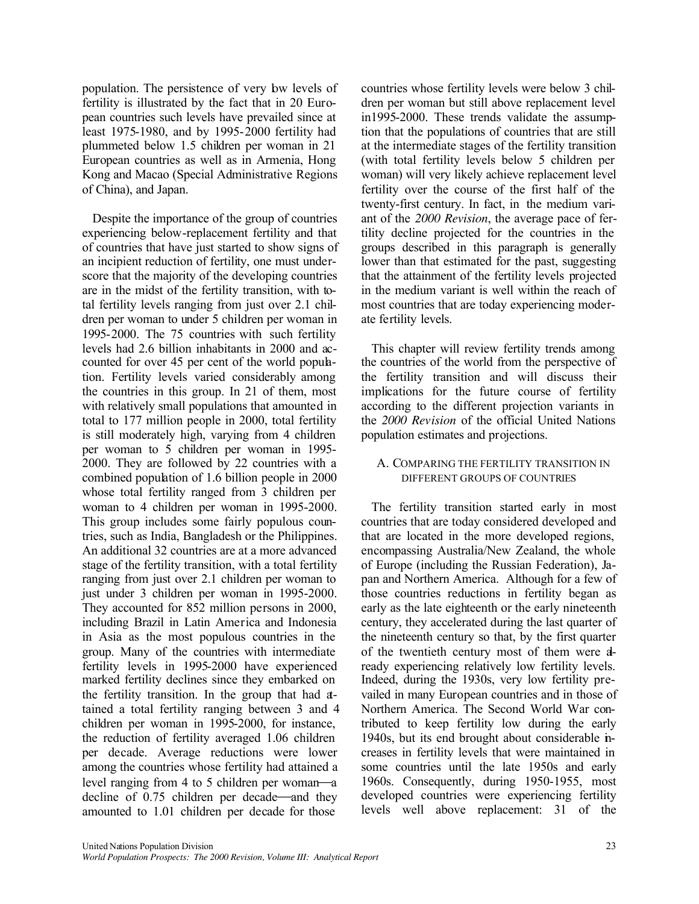population. The persistence of very bw levels of fertility is illustrated by the fact that in 20 European countries such levels have prevailed since at least 1975-1980, and by 1995-2000 fertility had plummeted below 1.5 children per woman in 21 European countries as well as in Armenia, Hong Kong and Macao (Special Administrative Regions of China), and Japan.

Despite the importance of the group of countries experiencing below-replacement fertility and that of countries that have just started to show signs of an incipient reduction of fertility, one must underscore that the majority of the developing countries are in the midst of the fertility transition, with total fertility levels ranging from just over 2.1 children per woman to under 5 children per woman in 1995-2000. The 75 countries with such fertility levels had 2.6 billion inhabitants in 2000 and accounted for over 45 per cent of the world population. Fertility levels varied considerably among the countries in this group. In 21 of them, most with relatively small populations that amounted in total to 177 million people in 2000, total fertility is still moderately high, varying from 4 children per woman to 5 children per woman in 1995- 2000. They are followed by 22 countries with a combined population of 1.6 billion people in 2000 whose total fertility ranged from 3 children per woman to 4 children per woman in 1995-2000. This group includes some fairly populous countries, such as India, Bangladesh or the Philippines. An additional 32 countries are at a more advanced stage of the fertility transition, with a total fertility ranging from just over 2.1 children per woman to just under 3 children per woman in 1995-2000. They accounted for 852 million persons in 2000, including Brazil in Latin America and Indonesia in Asia as the most populous countries in the group. Many of the countries with intermediate fertility levels in 1995-2000 have experienced marked fertility declines since they embarked on the fertility transition. In the group that had attained a total fertility ranging between 3 and 4 children per woman in 1995-2000, for instance, the reduction of fertility averaged 1.06 children per decade. Average reductions were lower among the countries whose fertility had attained a level ranging from 4 to 5 children per woman—a decline of  $0.75$  children per decade—and they amounted to 1.01 children per decade for those

countries whose fertility levels were below 3 children per woman but still above replacement level in1995-2000. These trends validate the assumption that the populations of countries that are still at the intermediate stages of the fertility transition (with total fertility levels below 5 children per woman) will very likely achieve replacement level fertility over the course of the first half of the twenty-first century. In fact, in the medium variant of the *2000 Revision*, the average pace of fertility decline projected for the countries in the groups described in this paragraph is generally lower than that estimated for the past, suggesting that the attainment of the fertility levels projected in the medium variant is well within the reach of most countries that are today experiencing moderate fertility levels.

This chapter will review fertility trends among the countries of the world from the perspective of the fertility transition and will discuss their implications for the future course of fertility according to the different projection variants in the *2000 Revision* of the official United Nations population estimates and projections.

## A. COMPARING THE FERTILITY TRANSITION IN DIFFERENT GROUPS OF COUNTRIES

The fertility transition started early in most countries that are today considered developed and that are located in the more developed regions, encompassing Australia/New Zealand, the whole of Europe (including the Russian Federation), Japan and Northern America. Although for a few of those countries reductions in fertility began as early as the late eighteenth or the early nineteenth century, they accelerated during the last quarter of the nineteenth century so that, by the first quarter of the twentieth century most of them were already experiencing relatively low fertility levels. Indeed, during the 1930s, very low fertility prevailed in many European countries and in those of Northern America. The Second World War contributed to keep fertility low during the early 1940s, but its end brought about considerable increases in fertility levels that were maintained in some countries until the late 1950s and early 1960s. Consequently, during 1950-1955, most developed countries were experiencing fertility levels well above replacement: 31 of the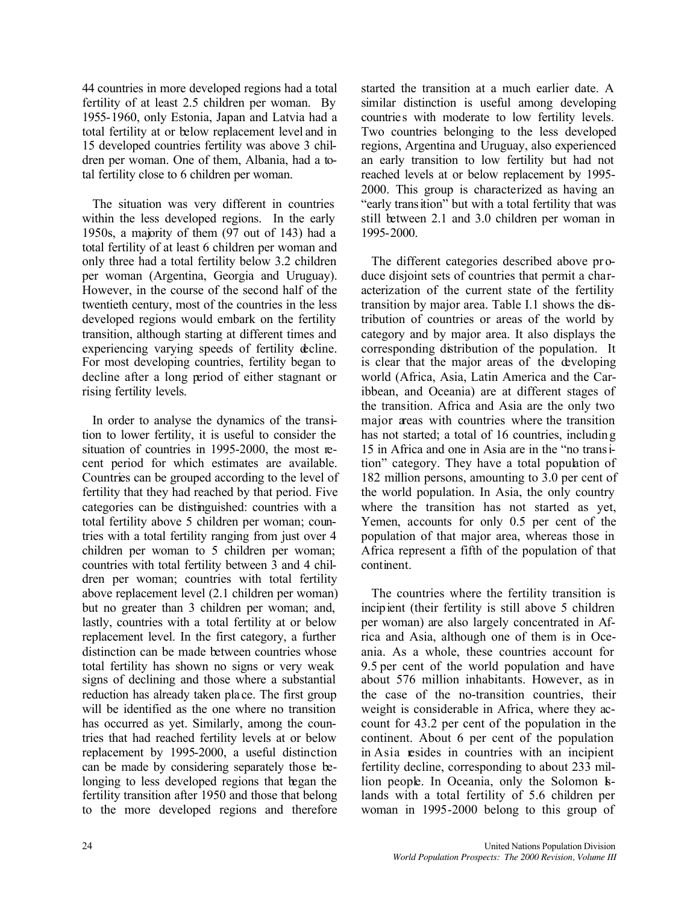44 countries in more developed regions had a total fertility of at least 2.5 children per woman. By 1955-1960, only Estonia, Japan and Latvia had a total fertility at or below replacement level and in 15 developed countries fertility was above 3 children per woman. One of them, Albania, had a total fertility close to 6 children per woman.

The situation was very different in countries within the less developed regions. In the early 1950s, a majority of them (97 out of 143) had a total fertility of at least 6 children per woman and only three had a total fertility below 3.2 children per woman (Argentina, Georgia and Uruguay). However, in the course of the second half of the twentieth century, most of the countries in the less developed regions would embark on the fertility transition, although starting at different times and experiencing varying speeds of fertility decline. For most developing countries, fertility began to decline after a long period of either stagnant or rising fertility levels.

In order to analyse the dynamics of the transition to lower fertility, it is useful to consider the situation of countries in 1995-2000, the most recent period for which estimates are available. Countries can be grouped according to the level of fertility that they had reached by that period. Five categories can be distinguished: countries with a total fertility above 5 children per woman; countries with a total fertility ranging from just over 4 children per woman to 5 children per woman; countries with total fertility between 3 and 4 children per woman; countries with total fertility above replacement level (2.1 children per woman) but no greater than 3 children per woman; and, lastly, countries with a total fertility at or below replacement level. In the first category, a further distinction can be made between countries whose total fertility has shown no signs or very weak signs of declining and those where a substantial reduction has already taken pla ce. The first group will be identified as the one where no transition has occurred as yet. Similarly, among the countries that had reached fertility levels at or below replacement by 1995-2000, a useful distinction can be made by considering separately those belonging to less developed regions that began the fertility transition after 1950 and those that belong to the more developed regions and therefore

started the transition at a much earlier date. A similar distinction is useful among developing countries with moderate to low fertility levels. Two countries belonging to the less developed regions, Argentina and Uruguay, also experienced an early transition to low fertility but had not reached levels at or below replacement by 1995- 2000. This group is characterized as having an "early transition" but with a total fertility that was still between 2.1 and 3.0 children per woman in 1995-2000.

The different categories described above pr oduce disjoint sets of countries that permit a characterization of the current state of the fertility transition by major area. Table I.1 shows the distribution of countries or areas of the world by category and by major area. It also displays the corresponding distribution of the population. It is clear that the major areas of the developing world (Africa, Asia, Latin America and the Caribbean, and Oceania) are at different stages of the transition. Africa and Asia are the only two major areas with countries where the transition has not started; a total of 16 countries, including 15 in Africa and one in Asia are in the "no transition" category. They have a total population of 182 million persons, amounting to 3.0 per cent of the world population. In Asia, the only country where the transition has not started as yet, Yemen, accounts for only 0.5 per cent of the population of that major area, whereas those in Africa represent a fifth of the population of that continent.

The countries where the fertility transition is incipient (their fertility is still above 5 children per woman) are also largely concentrated in Africa and Asia, although one of them is in Oceania. As a whole, these countries account for 9.5 per cent of the world population and have about 576 million inhabitants. However, as in the case of the no-transition countries, their weight is considerable in Africa, where they account for 43.2 per cent of the population in the continent. About 6 per cent of the population in Asia resides in countries with an incipient fertility decline, corresponding to about 233 million people. In Oceania, only the Solomon Islands with a total fertility of 5.6 children per woman in 1995-2000 belong to this group of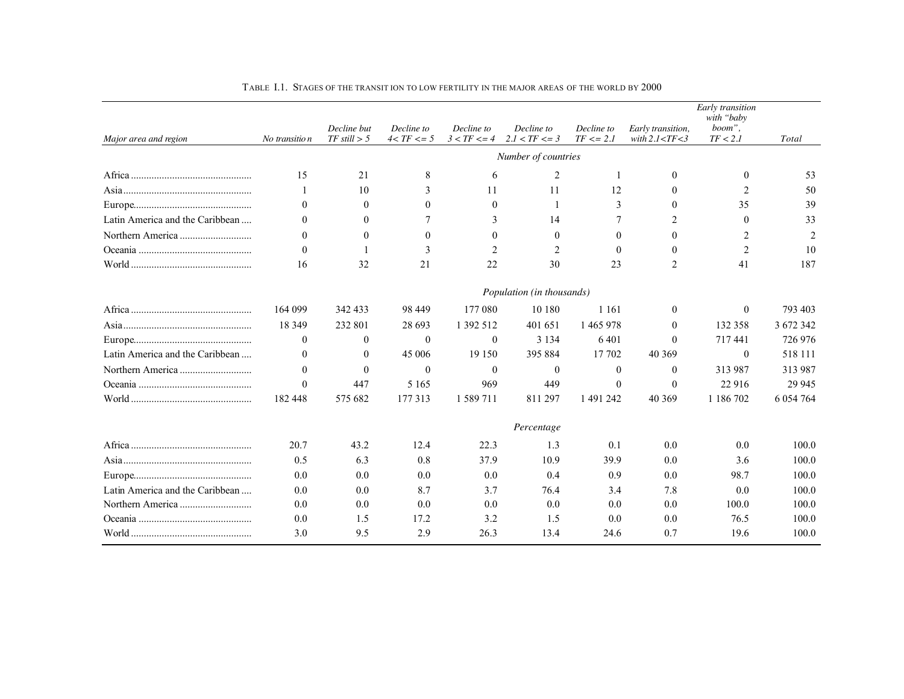|                                 | No transitio n | Decline but<br>$TF$ still $> 5$ | Decline to<br>$4 < TF < = 5$ | Decline to<br>$3 < TF < = 4$ | Decline to<br>$2.I < TF < = 3$ | Decline to<br>$TF \leq 2.1$ | Early transition,<br>with $2.1 < TF < 3$ | Early transition<br>with "baby<br>boom",<br>TF < 2.1 | Total          |
|---------------------------------|----------------|---------------------------------|------------------------------|------------------------------|--------------------------------|-----------------------------|------------------------------------------|------------------------------------------------------|----------------|
| Major area and region           |                |                                 |                              |                              | Number of countries            |                             |                                          |                                                      |                |
|                                 | 15             | 21                              | 8                            | 6                            | 2                              | -1                          | $\mathbf{0}$                             | $\theta$                                             | 53             |
|                                 |                | 10                              | 3                            | 11                           | 11                             | 12                          | $\Omega$                                 | $\overline{2}$                                       | 50             |
|                                 | $\Omega$       | $\theta$                        | $\Omega$                     | $\Omega$                     | 1                              | 3                           | $\Omega$                                 | 35                                                   | 39             |
| Latin America and the Caribbean | $\theta$       | $\Omega$                        |                              | 3                            | 14                             | 7                           | $\overline{2}$                           | $\mathbf{0}$                                         | 33             |
|                                 | $\theta$       | $\theta$                        | $\Omega$                     | $\theta$                     | $\theta$                       | $\theta$                    | $\theta$                                 | $\overline{c}$                                       | $\overline{2}$ |
|                                 | $\Omega$       |                                 | $\mathbf{3}$                 | 2                            | 2                              | $\Omega$                    | $\Omega$                                 | $\overline{2}$                                       | 10             |
|                                 | 16             | 32                              | 21                           | 22                           | 30                             | 23                          | $\overline{2}$                           | 41                                                   | 187            |
|                                 |                |                                 |                              |                              | Population (in thousands)      |                             |                                          |                                                      |                |
|                                 | 164 099        | 342 433                         | 98 449                       | 177 080                      | 10 180                         | 1 1 6 1                     | $\theta$                                 | $\theta$                                             | 793 403        |
|                                 | 18 3 49        | 232 801                         | 28 6 93                      | 1 392 512                    | 401 651                        | 1465978                     | $\theta$                                 | 132 358                                              | 3 672 342      |
|                                 | $\theta$       | $\theta$                        | $\theta$                     | $\overline{0}$               | 3 1 3 4                        | 6401                        | $\Omega$                                 | 717441                                               | 726 976        |
| Latin America and the Caribbean | $\theta$       | $\theta$                        | 45 006                       | 19 150                       | 395 884                        | 17 702                      | 40 369                                   | $\theta$                                             | 518 111        |
|                                 | $\theta$       | $\theta$                        | $\theta$                     | $\Omega$                     | $\theta$                       | $\theta$                    | $\theta$                                 | 313 987                                              | 313 987        |
|                                 | $\Omega$       | 447                             | 5 1 6 5                      | 969                          | 449                            | $\theta$                    | $\theta$                                 | 22 916                                               | 29 9 45        |
|                                 | 182 448        | 575 682                         | 177 313                      | 1 589 711                    | 811297                         | 1 491 242                   | 40 3 69                                  | 1 186 702                                            | 6 0 54 7 64    |
|                                 |                |                                 |                              |                              | Percentage                     |                             |                                          |                                                      |                |
|                                 | 20.7           | 43.2                            | 12.4                         | 22.3                         | 1.3                            | 0.1                         | 0.0                                      | 0.0                                                  | 100.0          |
|                                 | 0.5            | 6.3                             | 0.8                          | 37.9                         | 10.9                           | 39.9                        | 0.0                                      | 3.6                                                  | 100.0          |
|                                 | 0.0            | 0.0                             | 0.0                          | 0.0                          | 0.4                            | 0.9                         | 0.0                                      | 98.7                                                 | 100.0          |
| Latin America and the Caribbean | 0.0            | 0.0                             | 8.7                          | 3.7                          | 76.4                           | 3.4                         | 7.8                                      | 0.0                                                  | 100.0          |
|                                 | 0.0            | 0.0                             | 0.0                          | 0.0                          | 0.0                            | 0.0                         | 0.0                                      | 100.0                                                | 100.0          |
|                                 | 0.0            | 1.5                             | 17.2                         | 3.2                          | 1.5                            | 0.0                         | 0.0                                      | 76.5                                                 | 100.0          |
|                                 | 3.0            | 9.5                             | 2.9                          | 26.3                         | 13.4                           | 24.6                        | 0.7                                      | 19.6                                                 | 100.0          |

TABLE I.1. STAGES OF THE TRANSIT ION TO LOW FERTILITY IN THE MAJOR AREAS OF THE WORLD BY 2000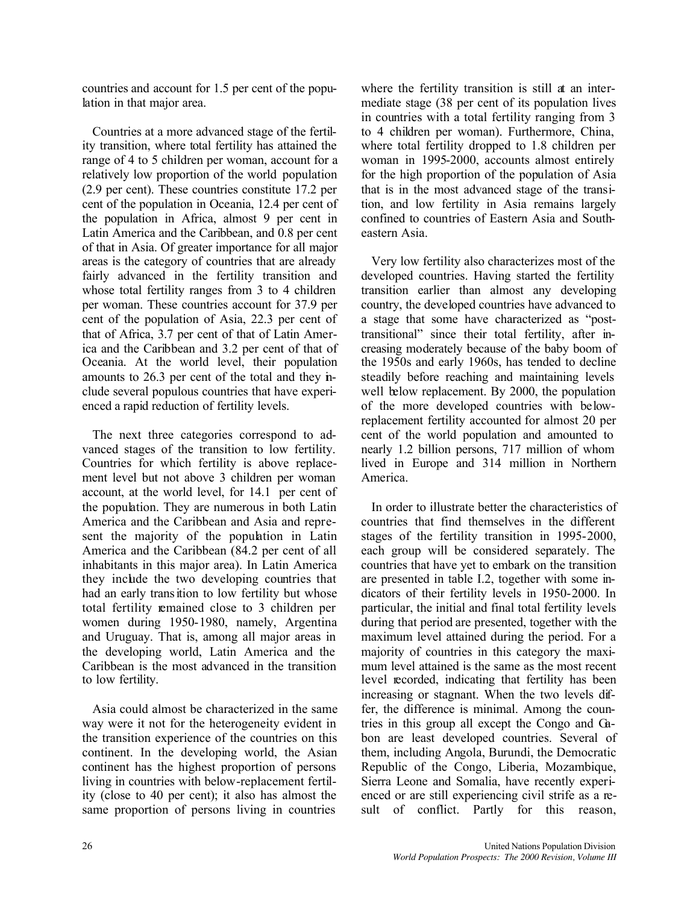countries and account for 1.5 per cent of the population in that major area.

Countries at a more advanced stage of the fertility transition, where total fertility has attained the range of 4 to 5 children per woman, account for a relatively low proportion of the world population (2.9 per cent). These countries constitute 17.2 per cent of the population in Oceania, 12.4 per cent of the population in Africa, almost 9 per cent in Latin America and the Caribbean, and 0.8 per cent of that in Asia. Of greater importance for all major areas is the category of countries that are already fairly advanced in the fertility transition and whose total fertility ranges from 3 to 4 children per woman. These countries account for 37.9 per cent of the population of Asia, 22.3 per cent of that of Africa, 3.7 per cent of that of Latin America and the Caribbean and 3.2 per cent of that of Oceania. At the world level, their population amounts to 26.3 per cent of the total and they include several populous countries that have experienced a rapid reduction of fertility levels.

The next three categories correspond to advanced stages of the transition to low fertility. Countries for which fertility is above replacement level but not above 3 children per woman account, at the world level, for 14.1 per cent of the population. They are numerous in both Latin America and the Caribbean and Asia and represent the majority of the population in Latin America and the Caribbean (84.2 per cent of all inhabitants in this major area). In Latin America they include the two developing countries that had an early transition to low fertility but whose total fertility remained close to 3 children per women during 1950-1980, namely, Argentina and Uruguay. That is, among all major areas in the developing world, Latin America and the Caribbean is the most advanced in the transition to low fertility.

Asia could almost be characterized in the same way were it not for the heterogeneity evident in the transition experience of the countries on this continent. In the developing world, the Asian continent has the highest proportion of persons living in countries with below-replacement fertility (close to 40 per cent); it also has almost the same proportion of persons living in countries

where the fertility transition is still at an intermediate stage (38 per cent of its population lives in countries with a total fertility ranging from 3 to 4 children per woman). Furthermore, China, where total fertility dropped to 1.8 children per woman in 1995-2000, accounts almost entirely for the high proportion of the population of Asia that is in the most advanced stage of the transition, and low fertility in Asia remains largely confined to countries of Eastern Asia and Southeastern Asia.

Very low fertility also characterizes most of the developed countries. Having started the fertility transition earlier than almost any developing country, the developed countries have advanced to a stage that some have characterized as "posttransitional" since their total fertility, after increasing moderately because of the baby boom of the 1950s and early 1960s, has tended to decline steadily before reaching and maintaining levels well below replacement. By 2000, the population of the more developed countries with belowreplacement fertility accounted for almost 20 per cent of the world population and amounted to nearly 1.2 billion persons, 717 million of whom lived in Europe and 314 million in Northern America.

In order to illustrate better the characteristics of countries that find themselves in the different stages of the fertility transition in 1995-2000, each group will be considered separately. The countries that have yet to embark on the transition are presented in table I.2, together with some indicators of their fertility levels in 1950-2000. In particular, the initial and final total fertility levels during that period are presented, together with the maximum level attained during the period. For a majority of countries in this category the maximum level attained is the same as the most recent level recorded, indicating that fertility has been increasing or stagnant. When the two levels differ, the difference is minimal. Among the countries in this group all except the Congo and Gabon are least developed countries. Several of them, including Angola, Burundi, the Democratic Republic of the Congo, Liberia, Mozambique, Sierra Leone and Somalia, have recently experienced or are still experiencing civil strife as a result of conflict. Partly for this reason,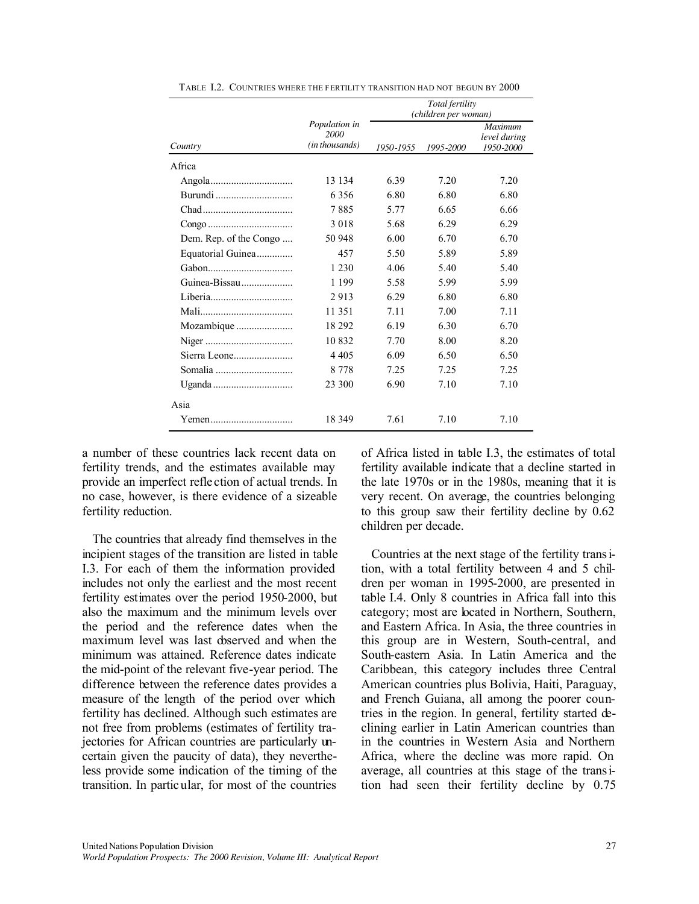|                        |                                         |           | Total fertility<br>(children per woman) |                                             |
|------------------------|-----------------------------------------|-----------|-----------------------------------------|---------------------------------------------|
| Country                | Population in<br>2000<br>(in thousands) | 1950-1955 | 1995-2000                               | <b>Maximum</b><br>level during<br>1950-2000 |
| Africa                 |                                         |           |                                         |                                             |
|                        | 13 134                                  | 6.39      | 7.20                                    | 7.20                                        |
| Burundi                | 6356                                    | 6.80      | 6.80                                    | 6.80                                        |
|                        | 7885                                    | 5.77      | 6.65                                    | 6.66                                        |
|                        | 3018                                    | 5.68      | 6.29                                    | 6.29                                        |
| Dem. Rep. of the Congo | 50 948                                  | 6.00      | 6.70                                    | 6.70                                        |
| Equatorial Guinea      | 457                                     | 5.50      | 5.89                                    | 5.89                                        |
|                        | 1 2 3 0                                 | 4.06      | 5.40                                    | 5.40                                        |
| Guinea-Bissau          | 1 1 9 9                                 | 5.58      | 5.99                                    | 5.99                                        |
|                        | 2913                                    | 6.29      | 6.80                                    | 6.80                                        |
|                        | 11 351                                  | 7.11      | 7.00                                    | 7.11                                        |
|                        | 18 29 2                                 | 6.19      | 6.30                                    | 6.70                                        |
|                        | 10832                                   | 7.70      | 8.00                                    | 8.20                                        |
|                        | 4 4 0 5                                 | 6.09      | 6.50                                    | 6.50                                        |
| Somalia                | 8 7 7 8                                 | 7.25      | 7.25                                    | 7.25                                        |
|                        | 23 300                                  | 6.90      | 7.10                                    | 7.10                                        |
| Asia                   |                                         |           |                                         |                                             |
|                        | 18 3 49                                 | 7.61      | 7.10                                    | 7.10                                        |

TABLE I.2. COUNTRIES WHERE THE FERTILITY TRANSITION HAD NOT BEGUN BY 2000

a number of these countries lack recent data on fertility trends, and the estimates available may provide an imperfect refle ction of actual trends. In no case, however, is there evidence of a sizeable fertility reduction.

The countries that already find themselves in the incipient stages of the transition are listed in table I.3. For each of them the information provided includes not only the earliest and the most recent fertility estimates over the period 1950-2000, but also the maximum and the minimum levels over the period and the reference dates when the maximum level was last observed and when the minimum was attained. Reference dates indicate the mid-point of the relevant five-year period. The difference between the reference dates provides a measure of the length of the period over which fertility has declined. Although such estimates are not free from problems (estimates of fertility trajectories for African countries are particularly uncertain given the paucity of data), they nevertheless provide some indication of the timing of the transition. In particular, for most of the countries

of Africa listed in table I.3, the estimates of total fertility available indicate that a decline started in the late 1970s or in the 1980s, meaning that it is very recent. On average, the countries belonging to this group saw their fertility decline by 0.62 children per decade.

Countries at the next stage of the fertility transition, with a total fertility between 4 and 5 children per woman in 1995-2000, are presented in table I.4. Only 8 countries in Africa fall into this category; most are located in Northern, Southern, and Eastern Africa. In Asia, the three countries in this group are in Western, South-central, and South-eastern Asia. In Latin America and the Caribbean, this category includes three Central American countries plus Bolivia, Haiti, Paraguay, and French Guiana, all among the poorer countries in the region. In general, fertility started declining earlier in Latin American countries than in the countries in Western Asia and Northern Africa, where the decline was more rapid. On average, all countries at this stage of the transition had seen their fertility decline by 0.75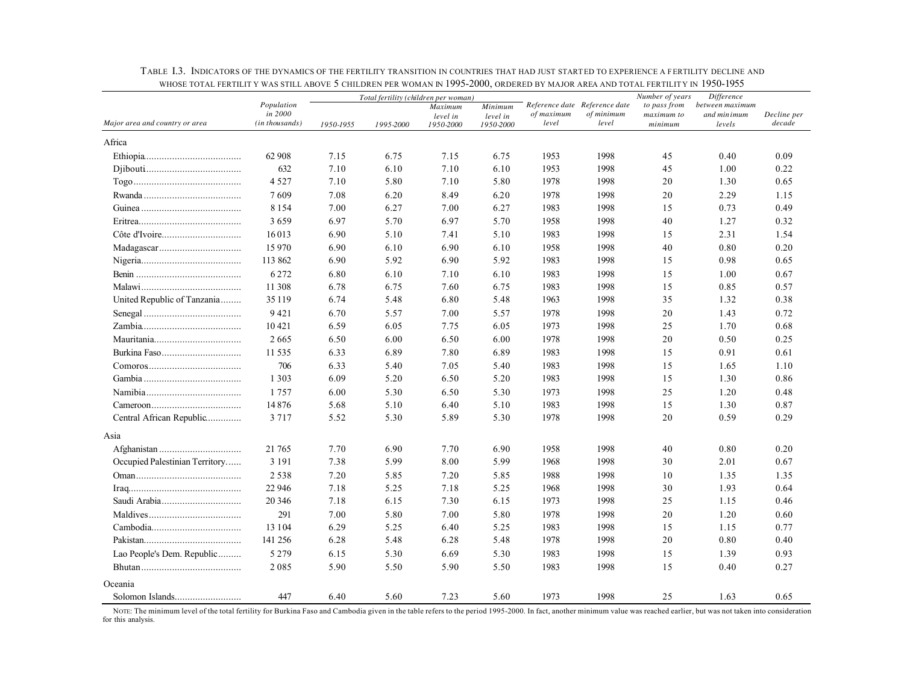|                                |                       |           |           | Total fertility (children per woman) |                       | CHEDRENTER WOMEN IN 1993 2000, ORDERED BY MEDOR HREETING TOTAL LERTIER THE 1950<br>Reference date Reference date | Number of years | Difference            |                       |             |
|--------------------------------|-----------------------|-----------|-----------|--------------------------------------|-----------------------|------------------------------------------------------------------------------------------------------------------|-----------------|-----------------------|-----------------------|-------------|
|                                | Population<br>in 2000 |           |           | Maximum                              | Minimum               | of maximum                                                                                                       | of minimum      | to pass from          | between maximum       | Decline per |
| Major area and country or area | (in thousands)        | 1950-1955 | 1995-2000 | level in<br>1950-2000                | level in<br>1950-2000 | level                                                                                                            | level           | maximum to<br>minimum | and minimum<br>levels | decade      |
| Africa                         |                       |           |           |                                      |                       |                                                                                                                  |                 |                       |                       |             |
|                                | 62 908                | 7.15      | 6.75      | 7.15                                 | 6.75                  | 1953                                                                                                             | 1998            | 45                    | 0.40                  | 0.09        |
|                                | 632                   | 7.10      | 6.10      | 7.10                                 | 6.10                  | 1953                                                                                                             | 1998            | 45                    | 1.00                  | 0.22        |
|                                | 4527                  | 7.10      | 5.80      | 7.10                                 | 5.80                  | 1978                                                                                                             | 1998            | 20                    | 1.30                  | 0.65        |
|                                | 7609                  | 7.08      | 6.20      | 8.49                                 | 6.20                  | 1978                                                                                                             | 1998            | 20                    | 2.29                  | 1.15        |
|                                | 8 1 5 4               | 7.00      | 6.27      | 7.00                                 | 6.27                  | 1983                                                                                                             | 1998            | 15                    | 0.73                  | 0.49        |
|                                | 3659                  | 6.97      | 5.70      | 6.97                                 | 5.70                  | 1958                                                                                                             | 1998            | $40\,$                | 1.27                  | 0.32        |
|                                | 16013                 | 6.90      | 5.10      | 7.41                                 | 5.10                  | 1983                                                                                                             | 1998            | 15                    | 2.31                  | 1.54        |
|                                | 15970                 | 6.90      | 6.10      | 6.90                                 | 6.10                  | 1958                                                                                                             | 1998            | 40                    | 0.80                  | 0.20        |
|                                | 113 862               | 6.90      | 5.92      | 6.90                                 | 5.92                  | 1983                                                                                                             | 1998            | 15                    | 0.98                  | 0.65        |
|                                | 6272                  | 6.80      | 6.10      | 7.10                                 | 6.10                  | 1983                                                                                                             | 1998            | 15                    | 1.00                  | 0.67        |
|                                | 11 308                | 6.78      | 6.75      | 7.60                                 | 6.75                  | 1983                                                                                                             | 1998            | 15                    | 0.85                  | 0.57        |
| United Republic of Tanzania    | 35 1 19               | 6.74      | 5.48      | 6.80                                 | 5.48                  | 1963                                                                                                             | 1998            | 35                    | 1.32                  | 0.38        |
|                                | 9421                  | 6.70      | 5.57      | 7.00                                 | 5.57                  | 1978                                                                                                             | 1998            | 20                    | 1.43                  | 0.72        |
|                                | 10421                 | 6.59      | 6.05      | 7.75                                 | 6.05                  | 1973                                                                                                             | 1998            | 25                    | 1.70                  | 0.68        |
|                                | 2665                  | 6.50      | 6.00      | 6.50                                 | 6.00                  | 1978                                                                                                             | 1998            | 20                    | 0.50                  | 0.25        |
| Burkina Faso                   | 11 5 35               | 6.33      | 6.89      | 7.80                                 | 6.89                  | 1983                                                                                                             | 1998            | 15                    | 0.91                  | 0.61        |
|                                | 706                   | 6.33      | 5.40      | 7.05                                 | 5.40                  | 1983                                                                                                             | 1998            | 15                    | 1.65                  | 1.10        |
|                                | 1 3 0 3               | 6.09      | 5.20      | 6.50                                 | 5.20                  | 1983                                                                                                             | 1998            | 15                    | 1.30                  | 0.86        |
|                                | 1757                  | 6.00      | 5.30      | 6.50                                 | 5.30                  | 1973                                                                                                             | 1998            | 25                    | 1.20                  | 0.48        |
|                                | 14876                 | 5.68      | 5.10      | 6.40                                 | 5.10                  | 1983                                                                                                             | 1998            | 15                    | 1.30                  | 0.87        |
| Central African Republic       | 3 7 1 7               | 5.52      | 5.30      | 5.89                                 | 5.30                  | 1978                                                                                                             | 1998            | 20                    | 0.59                  | 0.29        |
| Asia                           |                       |           |           |                                      |                       |                                                                                                                  |                 |                       |                       |             |
|                                | 21 765                | 7.70      | 6.90      | 7.70                                 | 6.90                  | 1958                                                                                                             | 1998            | 40                    | 0.80                  | 0.20        |
| Occupied Palestinian Territory | 3 1 9 1               | 7.38      | 5.99      | 8.00                                 | 5.99                  | 1968                                                                                                             | 1998            | 30                    | 2.01                  | 0.67        |
|                                | 2538                  | 7.20      | 5.85      | 7.20                                 | 5.85                  | 1988                                                                                                             | 1998            | 10                    | 1.35                  | 1.35        |
|                                | 22 946                | 7.18      | 5.25      | 7.18                                 | 5.25                  | 1968                                                                                                             | 1998            | 30                    | 1.93                  | 0.64        |
|                                | 20 34 6               | 7.18      | 6.15      | 7.30                                 | 6.15                  | 1973                                                                                                             | 1998            | 25                    | 1.15                  | 0.46        |
|                                | 291                   | 7.00      | 5.80      | 7.00                                 | 5.80                  | 1978                                                                                                             | 1998            | 20                    | 1.20                  | 0.60        |
|                                | 13 1 04               | 6.29      | 5.25      | 6.40                                 | 5.25                  | 1983                                                                                                             | 1998            | 15                    | 1.15                  | 0.77        |
|                                | 141 256               | 6.28      | 5.48      | 6.28                                 | 5.48                  | 1978                                                                                                             | 1998            | $20\,$                | 0.80                  | 0.40        |
| Lao People's Dem. Republic     | 5 2 7 9               | 6.15      | 5.30      | 6.69                                 | 5.30                  | 1983                                                                                                             | 1998            | 15                    | 1.39                  | 0.93        |
|                                | 2085                  | 5.90      | 5.50      | 5.90                                 | 5.50                  | 1983                                                                                                             | 1998            | 15                    | 0.40                  | 0.27        |
| Oceania                        |                       |           |           |                                      |                       |                                                                                                                  |                 |                       |                       |             |
|                                | 447                   | 6.40      | 5.60      | 7.23                                 | 5.60                  | 1973                                                                                                             | 1998            | 25                    | 1.63                  | 0.65        |

TABLE I.3. INDICATORS OF THE DYNAMICS OF THE FERTILITY TRANSITION IN COUNTRIES THAT HAD JUST STARTED TO EXPERIENCE A FERTILITY DECLINE AND WHOSE TOTAL FERTILIT Y WAS STILL ABOVE 5 CHILDREN PER WOMAN IN 1995-2000, ORDERED BY MAJOR AREA AND TOTAL FERTILITY IN 1950-1955

NOTE: The minimum level of the total fertility for Burkina Faso and Cambodia given in the table refers to the period 1995-2000. In fact, another minimum value was reached earlier, but was not taken into consideration for this analysis.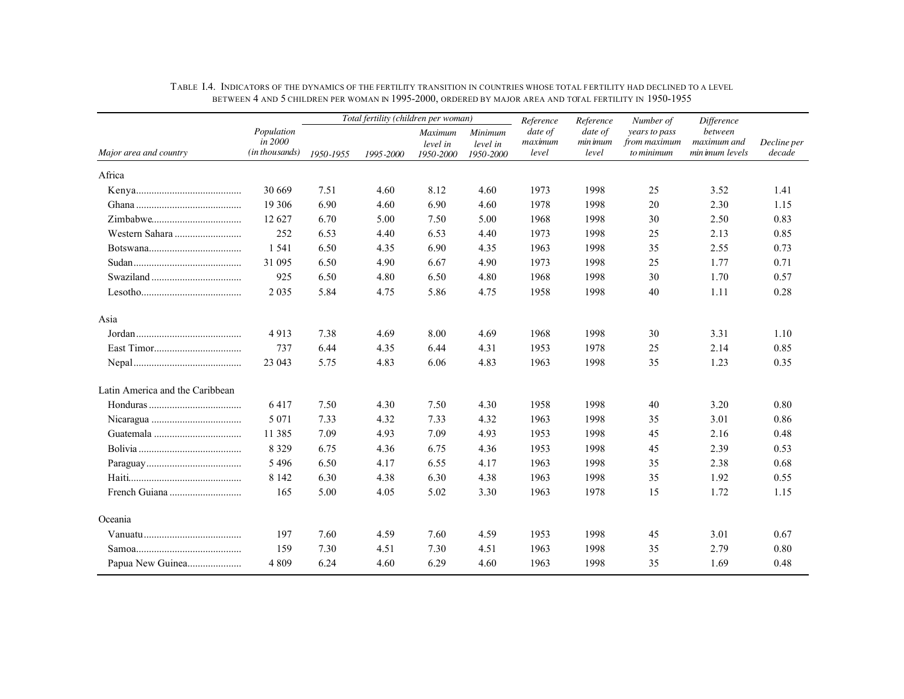|                                 |                                         | Total fertility (children per woman) |           |                                         | Reference                        | Reference                   | Number of                    | <i>Difference</i>                           |                                           |                       |
|---------------------------------|-----------------------------------------|--------------------------------------|-----------|-----------------------------------------|----------------------------------|-----------------------------|------------------------------|---------------------------------------------|-------------------------------------------|-----------------------|
| Major area and country          | Population<br>in 2000<br>(in thousands) | 1950-1955                            | 1995-2000 | <b>Maximum</b><br>level in<br>1950-2000 | Minimum<br>level in<br>1950-2000 | date of<br>maximum<br>level | date of<br>min imum<br>level | years to pass<br>from maximum<br>to minimum | between<br>maximum and<br>min imum levels | Decline per<br>decade |
| Africa                          |                                         |                                      |           |                                         |                                  |                             |                              |                                             |                                           |                       |
|                                 | 30 669                                  | 7.51                                 | 4.60      | 8.12                                    | 4.60                             | 1973                        | 1998                         | 25                                          | 3.52                                      | 1.41                  |
|                                 | 19 30 6                                 | 6.90                                 | 4.60      | 6.90                                    | 4.60                             | 1978                        | 1998                         | 20                                          | 2.30                                      | 1.15                  |
|                                 | 12 627                                  | 6.70                                 | 5.00      | 7.50                                    | 5.00                             | 1968                        | 1998                         | 30                                          | 2.50                                      | 0.83                  |
| Western Sahara                  | 252                                     | 6.53                                 | 4.40      | 6.53                                    | 4.40                             | 1973                        | 1998                         | 25                                          | 2.13                                      | 0.85                  |
|                                 | 1 5 4 1                                 | 6.50                                 | 4.35      | 6.90                                    | 4.35                             | 1963                        | 1998                         | 35                                          | 2.55                                      | 0.73                  |
|                                 | 31 095                                  | 6.50                                 | 4.90      | 6.67                                    | 4.90                             | 1973                        | 1998                         | 25                                          | 1.77                                      | 0.71                  |
|                                 | 925                                     | 6.50                                 | 4.80      | 6.50                                    | 4.80                             | 1968                        | 1998                         | 30                                          | 1.70                                      | 0.57                  |
|                                 | 2 0 3 5                                 | 5.84                                 | 4.75      | 5.86                                    | 4.75                             | 1958                        | 1998                         | 40                                          | 1.11                                      | 0.28                  |
| Asia                            |                                         |                                      |           |                                         |                                  |                             |                              |                                             |                                           |                       |
|                                 | 4913                                    | 7.38                                 | 4.69      | 8.00                                    | 4.69                             | 1968                        | 1998                         | 30                                          | 3.31                                      | 1.10                  |
|                                 | 737                                     | 6.44                                 | 4.35      | 6.44                                    | 4.31                             | 1953                        | 1978                         | 25                                          | 2.14                                      | 0.85                  |
|                                 | 23 043                                  | 5.75                                 | 4.83      | 6.06                                    | 4.83                             | 1963                        | 1998                         | 35                                          | 1.23                                      | 0.35                  |
| Latin America and the Caribbean |                                         |                                      |           |                                         |                                  |                             |                              |                                             |                                           |                       |
|                                 | 6417                                    | 7.50                                 | 4.30      | 7.50                                    | 4.30                             | 1958                        | 1998                         | 40                                          | 3.20                                      | 0.80                  |
|                                 | 5 0 7 1                                 | 7.33                                 | 4.32      | 7.33                                    | 4.32                             | 1963                        | 1998                         | 35                                          | 3.01                                      | 0.86                  |
|                                 | 11 385                                  | 7.09                                 | 4.93      | 7.09                                    | 4.93                             | 1953                        | 1998                         | 45                                          | 2.16                                      | 0.48                  |
|                                 | 8 3 2 9                                 | 6.75                                 | 4.36      | 6.75                                    | 4.36                             | 1953                        | 1998                         | 45                                          | 2.39                                      | 0.53                  |
|                                 | 5496                                    | 6.50                                 | 4.17      | 6.55                                    | 4.17                             | 1963                        | 1998                         | 35                                          | 2.38                                      | 0.68                  |
|                                 | 8 1 4 2                                 | 6.30                                 | 4.38      | 6.30                                    | 4.38                             | 1963                        | 1998                         | 35                                          | 1.92                                      | 0.55                  |
|                                 | 165                                     | 5.00                                 | 4.05      | 5.02                                    | 3.30                             | 1963                        | 1978                         | 15                                          | 1.72                                      | 1.15                  |
| Oceania                         |                                         |                                      |           |                                         |                                  |                             |                              |                                             |                                           |                       |
|                                 | 197                                     | 7.60                                 | 4.59      | 7.60                                    | 4.59                             | 1953                        | 1998                         | 45                                          | 3.01                                      | 0.67                  |
|                                 | 159                                     | 7.30                                 | 4.51      | 7.30                                    | 4.51                             | 1963                        | 1998                         | 35                                          | 2.79                                      | 0.80                  |
| Papua New Guinea                | 4 8 0 9                                 | 6.24                                 | 4.60      | 6.29                                    | 4.60                             | 1963                        | 1998                         | 35                                          | 1.69                                      | 0.48                  |

TABLE I.4. INDICATORS OF THE DYNAMICS OF THE FERTILITY TRANSITION IN COUNTRIES WHOSE TOTAL FERTILITY HAD DECLINED TO A LEVEL BETWEEN 4 AND 5 CHILDREN PER WOMAN IN 1995-2000, ORDERED BY MAJOR AREA AND TOTAL FERTILITY IN 1950-1955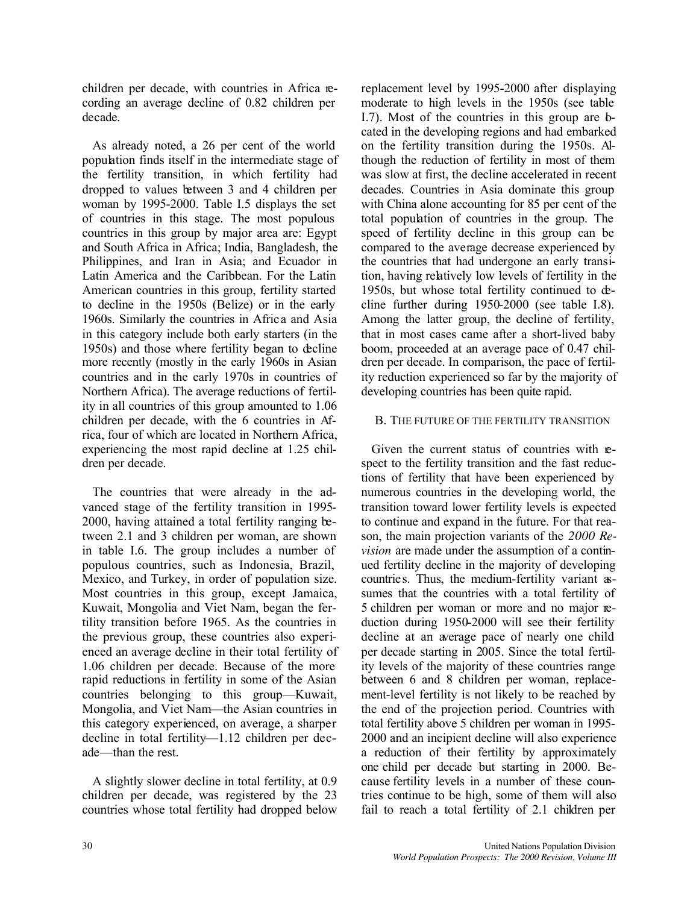children per decade, with countries in Africa recording an average decline of 0.82 children per decade.

As already noted, a 26 per cent of the world population finds itself in the intermediate stage of the fertility transition, in which fertility had dropped to values between 3 and 4 children per woman by 1995-2000. Table I.5 displays the set of countries in this stage. The most populous countries in this group by major area are: Egypt and South Africa in Africa; India, Bangladesh, the Philippines, and Iran in Asia; and Ecuador in Latin America and the Caribbean. For the Latin American countries in this group, fertility started to decline in the 1950s (Belize) or in the early 1960s. Similarly the countries in Afric a and Asia in this category include both early starters (in the 1950s) and those where fertility began to decline more recently (mostly in the early 1960s in Asian countries and in the early 1970s in countries of Northern Africa). The average reductions of fertility in all countries of this group amounted to 1.06 children per decade, with the 6 countries in Africa, four of which are located in Northern Africa, experiencing the most rapid decline at 1.25 children per decade.

The countries that were already in the advanced stage of the fertility transition in 1995- 2000, having attained a total fertility ranging between 2.1 and 3 children per woman, are shown in table I.6. The group includes a number of populous countries, such as Indonesia, Brazil, Mexico, and Turkey, in order of population size. Most countries in this group, except Jamaica, Kuwait, Mongolia and Viet Nam, began the fertility transition before 1965. As the countries in the previous group, these countries also experienced an average decline in their total fertility of 1.06 children per decade. Because of the more rapid reductions in fertility in some of the Asian countries belonging to this group—Kuwait, Mongolia, and Viet Nam—the Asian countries in this category experienced, on average, a sharper decline in total fertility—1.12 children per decade—than the rest.

A slightly slower decline in total fertility, at 0.9 children per decade, was registered by the 23 countries whose total fertility had dropped below replacement level by 1995-2000 after displaying moderate to high levels in the 1950s (see table I.7). Most of the countries in this group are  $\mathbf{b}$ cated in the developing regions and had embarked on the fertility transition during the 1950s. Although the reduction of fertility in most of them was slow at first, the decline accelerated in recent decades. Countries in Asia dominate this group with China alone accounting for 85 per cent of the total population of countries in the group. The speed of fertility decline in this group can be compared to the average decrease experienced by the countries that had undergone an early transition, having relatively low levels of fertility in the 1950s, but whose total fertility continued to decline further during 1950-2000 (see table I.8). Among the latter group, the decline of fertility, that in most cases came after a short-lived baby boom, proceeded at an average pace of 0.47 children per decade. In comparison, the pace of fertility reduction experienced so far by the majority of developing countries has been quite rapid.

## B. THE FUTURE OF THE FERTILITY TRANSITION

Given the current status of countries with respect to the fertility transition and the fast reductions of fertility that have been experienced by numerous countries in the developing world, the transition toward lower fertility levels is expected to continue and expand in the future. For that reason, the main projection variants of the *2000 Revision* are made under the assumption of a continued fertility decline in the majority of developing countries. Thus, the medium-fertility variant assumes that the countries with a total fertility of 5 children per woman or more and no major reduction during 1950-2000 will see their fertility decline at an average pace of nearly one child per decade starting in 2005. Since the total fertility levels of the majority of these countries range between 6 and 8 children per woman, replacement-level fertility is not likely to be reached by the end of the projection period. Countries with total fertility above 5 children per woman in 1995- 2000 and an incipient decline will also experience a reduction of their fertility by approximately one child per decade but starting in 2000. Because fertility levels in a number of these countries continue to be high, some of them will also fail to reach a total fertility of 2.1 children per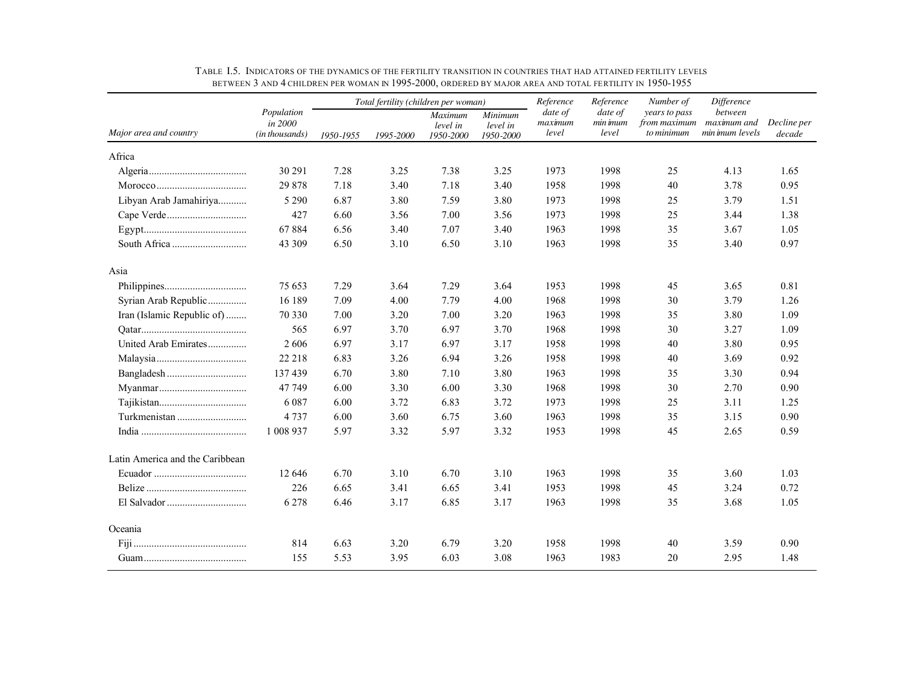|                                 |                                         |           | Total fertility (children per woman) |                                  |                                  | Reference                   | Reference                    | Number of                                   | Difference                                |                       |
|---------------------------------|-----------------------------------------|-----------|--------------------------------------|----------------------------------|----------------------------------|-----------------------------|------------------------------|---------------------------------------------|-------------------------------------------|-----------------------|
| Major area and country          | Population<br>in 2000<br>(in thousands) | 1950-1955 | 1995-2000                            | Maximum<br>level in<br>1950-2000 | Minimum<br>level in<br>1950-2000 | date of<br>maximum<br>level | date of<br>min imum<br>level | years to pass<br>from maximum<br>to minimum | between<br>maximum and<br>min imum levels | Decline per<br>decade |
| Africa                          |                                         |           |                                      |                                  |                                  |                             |                              |                                             |                                           |                       |
|                                 | 30 291                                  | 7.28      | 3.25                                 | 7.38                             | 3.25                             | 1973                        | 1998                         | 25                                          | 4.13                                      | 1.65                  |
|                                 | 29 878                                  | 7.18      | 3.40                                 | 7.18                             | 3.40                             | 1958                        | 1998                         | 40                                          | 3.78                                      | 0.95                  |
| Libyan Arab Jamahiriya          | 5 2 9 0                                 | 6.87      | 3.80                                 | 7.59                             | 3.80                             | 1973                        | 1998                         | 25                                          | 3.79                                      | 1.51                  |
|                                 | 427                                     | 6.60      | 3.56                                 | 7.00                             | 3.56                             | 1973                        | 1998                         | 25                                          | 3.44                                      | 1.38                  |
|                                 | 67884                                   | 6.56      | 3.40                                 | 7.07                             | 3.40                             | 1963                        | 1998                         | 35                                          | 3.67                                      | 1.05                  |
|                                 | 43 309                                  | 6.50      | 3.10                                 | 6.50                             | 3.10                             | 1963                        | 1998                         | 35                                          | 3.40                                      | 0.97                  |
| Asia                            |                                         |           |                                      |                                  |                                  |                             |                              |                                             |                                           |                       |
|                                 | 75 653                                  | 7.29      | 3.64                                 | 7.29                             | 3.64                             | 1953                        | 1998                         | 45                                          | 3.65                                      | 0.81                  |
| Syrian Arab Republic            | 16 189                                  | 7.09      | 4.00                                 | 7.79                             | 4.00                             | 1968                        | 1998                         | 30                                          | 3.79                                      | 1.26                  |
| Iran (Islamic Republic of)      | 70 330                                  | 7.00      | 3.20                                 | 7.00                             | 3.20                             | 1963                        | 1998                         | 35                                          | 3.80                                      | 1.09                  |
|                                 | 565                                     | 6.97      | 3.70                                 | 6.97                             | 3.70                             | 1968                        | 1998                         | 30                                          | 3.27                                      | 1.09                  |
| United Arab Emirates            | 2606                                    | 6.97      | 3.17                                 | 6.97                             | 3.17                             | 1958                        | 1998                         | 40                                          | 3.80                                      | 0.95                  |
|                                 | 22 218                                  | 6.83      | 3.26                                 | 6.94                             | 3.26                             | 1958                        | 1998                         | 40                                          | 3.69                                      | 0.92                  |
|                                 | 137439                                  | 6.70      | 3.80                                 | 7.10                             | 3.80                             | 1963                        | 1998                         | 35                                          | 3.30                                      | 0.94                  |
|                                 | 47 749                                  | 6.00      | 3.30                                 | 6.00                             | 3.30                             | 1968                        | 1998                         | 30                                          | 2.70                                      | 0.90                  |
|                                 | 6 0 8 7                                 | 6.00      | 3.72                                 | 6.83                             | 3.72                             | 1973                        | 1998                         | 25                                          | 3.11                                      | 1.25                  |
|                                 | 4 7 3 7                                 | 6.00      | 3.60                                 | 6.75                             | 3.60                             | 1963                        | 1998                         | 35                                          | 3.15                                      | 0.90                  |
|                                 | 1 008 937                               | 5.97      | 3.32                                 | 5.97                             | 3.32                             | 1953                        | 1998                         | 45                                          | 2.65                                      | 0.59                  |
| Latin America and the Caribbean |                                         |           |                                      |                                  |                                  |                             |                              |                                             |                                           |                       |
|                                 | 12 646                                  | 6.70      | 3.10                                 | 6.70                             | 3.10                             | 1963                        | 1998                         | 35                                          | 3.60                                      | 1.03                  |
|                                 | 226                                     | 6.65      | 3.41                                 | 6.65                             | 3.41                             | 1953                        | 1998                         | 45                                          | 3.24                                      | 0.72                  |
|                                 | 6 2 7 8                                 | 6.46      | 3.17                                 | 6.85                             | 3.17                             | 1963                        | 1998                         | 35                                          | 3.68                                      | 1.05                  |
| Oceania                         |                                         |           |                                      |                                  |                                  |                             |                              |                                             |                                           |                       |
|                                 | 814                                     | 6.63      | 3.20                                 | 6.79                             | 3.20                             | 1958                        | 1998                         | 40                                          | 3.59                                      | 0.90                  |
|                                 | 155                                     | 5.53      | 3.95                                 | 6.03                             | 3.08                             | 1963                        | 1983                         | 20                                          | 2.95                                      | 1.48                  |

TABLE I.5. INDICATORS OF THE DYNAMICS OF THE FERTILITY TRANSITION IN COUNTRIES THAT HAD ATTAINED FERTILITY LEVELS BETWEEN 3 AND 4 CHILDREN PER WOMAN IN 1995-2000, ORDERED BY MAJOR AREA AND TOTAL FERTILITY IN 1950-1955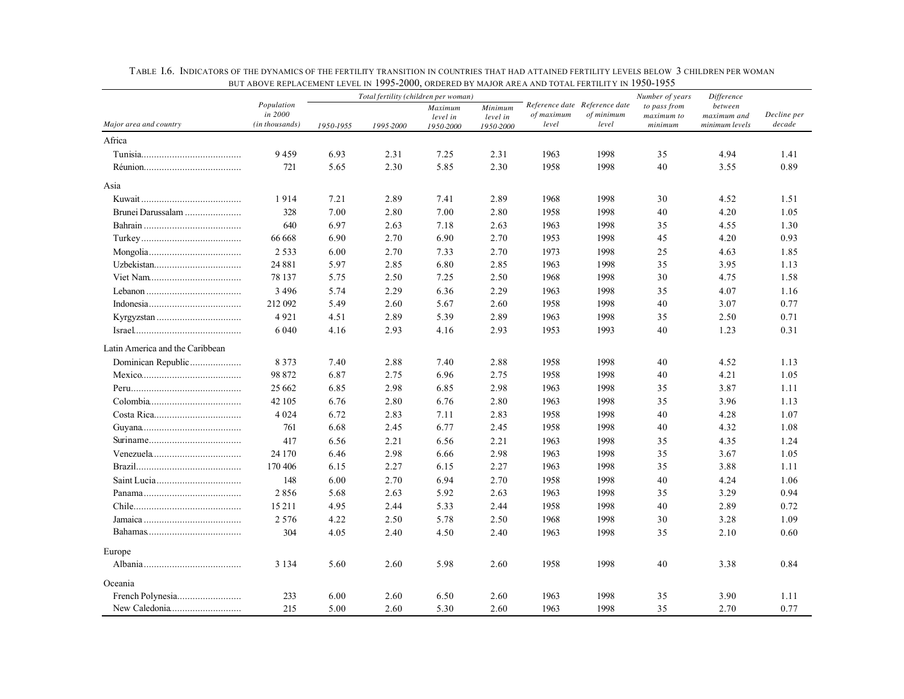|                                 | <u>DUI ADUVE NEFLAUEMENI LEVEL IN 1770-2000, UNDENED DI MAJUN ANEA AND TUTAL FENTILIT I IN 1700-1700</u> |           |           | Total fertility (children per woman) |                                  |                     |                                                      | Number of years                       | Difference                               |                       |
|---------------------------------|----------------------------------------------------------------------------------------------------------|-----------|-----------|--------------------------------------|----------------------------------|---------------------|------------------------------------------------------|---------------------------------------|------------------------------------------|-----------------------|
| Major area and country          | Population<br>in 2000<br>(in thousands)                                                                  | 1950-1955 | 1995-2000 | Maximum<br>level in<br>1950-2000     | Minimum<br>level in<br>1950-2000 | of maximum<br>level | Reference date Reference date<br>of minimum<br>level | to pass from<br>maximum to<br>minimum | between<br>maximum and<br>minimum levels | Decline per<br>decade |
| Africa                          |                                                                                                          |           |           |                                      |                                  |                     |                                                      |                                       |                                          |                       |
|                                 | 9459                                                                                                     | 6.93      | 2.31      | 7.25                                 | 2.31                             | 1963                | 1998                                                 | 35                                    | 4.94                                     | 1.41                  |
|                                 | 721                                                                                                      | 5.65      | 2.30      | 5.85                                 | 2.30                             | 1958                | 1998                                                 | 40                                    | 3.55                                     | 0.89                  |
| Asia                            |                                                                                                          |           |           |                                      |                                  |                     |                                                      |                                       |                                          |                       |
|                                 | 1914                                                                                                     | 7.21      | 2.89      | 7.41                                 | 2.89                             | 1968                | 1998                                                 | 30                                    | 4.52                                     | 1.51                  |
| Brunei Darussalam               | 328                                                                                                      | 7.00      | 2.80      | 7.00                                 | 2.80                             | 1958                | 1998                                                 | 40                                    | 4.20                                     | 1.05                  |
|                                 | 640                                                                                                      | 6.97      | 2.63      | 7.18                                 | 2.63                             | 1963                | 1998                                                 | 35                                    | 4.55                                     | 1.30                  |
|                                 | 66 668                                                                                                   | 6.90      | 2.70      | 6.90                                 | 2.70                             | 1953                | 1998                                                 | 45                                    | 4.20                                     | 0.93                  |
|                                 | 2 5 3 3                                                                                                  | 6.00      | 2.70      | 7.33                                 | 2.70                             | 1973                | 1998                                                 | 25                                    | 4.63                                     | 1.85                  |
|                                 | 24 881                                                                                                   | 5.97      | 2.85      | 6.80                                 | 2.85                             | 1963                | 1998                                                 | 35                                    | 3.95                                     | 1.13                  |
|                                 | 78 137                                                                                                   | 5.75      | 2.50      | 7.25                                 | 2.50                             | 1968                | 1998                                                 | 30                                    | 4.75                                     | 1.58                  |
|                                 | 3 4 9 6                                                                                                  | 5.74      | 2.29      | 6.36                                 | 2.29                             | 1963                | 1998                                                 | 35                                    | 4.07                                     | 1.16                  |
|                                 | 212 092                                                                                                  | 5.49      | 2.60      | 5.67                                 | 2.60                             | 1958                | 1998                                                 | 40                                    | 3.07                                     | 0.77                  |
|                                 | 4921                                                                                                     | 4.51      | 2.89      | 5.39                                 | 2.89                             | 1963                | 1998                                                 | 35                                    | 2.50                                     | 0.71                  |
|                                 | 6 0 4 0                                                                                                  | 4.16      | 2.93      | 4.16                                 | 2.93                             | 1953                | 1993                                                 | 40                                    | 1.23                                     | 0.31                  |
| Latin America and the Caribbean |                                                                                                          |           |           |                                      |                                  |                     |                                                      |                                       |                                          |                       |
| Dominican Republic              | 8 3 7 3                                                                                                  | 7.40      | 2.88      | 7.40                                 | 2.88                             | 1958                | 1998                                                 | 40                                    | 4.52                                     | 1.13                  |
|                                 | 98 872                                                                                                   | 6.87      | 2.75      | 6.96                                 | 2.75                             | 1958                | 1998                                                 | 40                                    | 4.21                                     | 1.05                  |
|                                 | 25 662                                                                                                   | 6.85      | 2.98      | 6.85                                 | 2.98                             | 1963                | 1998                                                 | 35                                    | 3.87                                     | 1.11                  |
|                                 | 42 105                                                                                                   | 6.76      | 2.80      | 6.76                                 | 2.80                             | 1963                | 1998                                                 | 35                                    | 3.96                                     | 1.13                  |
|                                 | 4 0 2 4                                                                                                  | 6.72      | 2.83      | 7.11                                 | 2.83                             | 1958                | 1998                                                 | 40                                    | 4.28                                     | 1.07                  |
|                                 | 761                                                                                                      | 6.68      | 2.45      | 6.77                                 | 2.45                             | 1958                | 1998                                                 | 40                                    | 4.32                                     | 1.08                  |
|                                 | 417                                                                                                      | 6.56      | 2.21      | 6.56                                 | 2.21                             | 1963                | 1998                                                 | 35                                    | 4.35                                     | 1.24                  |
|                                 | 24 170                                                                                                   | 6.46      | 2.98      | 6.66                                 | 2.98                             | 1963                | 1998                                                 | 35                                    | 3.67                                     | 1.05                  |
|                                 | 170 406                                                                                                  | 6.15      | 2.27      | 6.15                                 | 2.27                             | 1963                | 1998                                                 | 35                                    | 3.88                                     | 1.11                  |
|                                 | 148                                                                                                      | 6.00      | 2.70      | 6.94                                 | 2.70                             | 1958                | 1998                                                 | 40                                    | 4.24                                     | 1.06                  |
|                                 | 2856                                                                                                     | 5.68      | 2.63      | 5.92                                 | 2.63                             | 1963                | 1998                                                 | 35                                    | 3.29                                     | 0.94                  |
|                                 | 15 211                                                                                                   | 4.95      | 2.44      | 5.33                                 | 2.44                             | 1958                | 1998                                                 | 40                                    | 2.89                                     | 0.72                  |
|                                 | 2576                                                                                                     | 4.22      | 2.50      | 5.78                                 | 2.50                             | 1968                | 1998                                                 | 30                                    | 3.28                                     | 1.09                  |
|                                 | 304                                                                                                      | 4.05      | 2.40      | 4.50                                 | 2.40                             | 1963                | 1998                                                 | 35                                    | 2.10                                     | 0.60                  |
| Europe                          |                                                                                                          |           |           |                                      |                                  |                     |                                                      |                                       |                                          |                       |
|                                 | 3 1 3 4                                                                                                  | 5.60      | 2.60      | 5.98                                 | 2.60                             | 1958                | 1998                                                 | 40                                    | 3.38                                     | 0.84                  |
| Oceania                         |                                                                                                          |           |           |                                      |                                  |                     |                                                      |                                       |                                          |                       |
|                                 | 233                                                                                                      | 6.00      | 2.60      | 6.50                                 | 2.60                             | 1963                | 1998                                                 | 35                                    | 3.90                                     | 1.11                  |
|                                 | 215                                                                                                      | 5.00      | 2.60      | 5.30                                 | 2.60                             | 1963                | 1998                                                 | 35                                    | 2.70                                     | 0.77                  |

TABLE I.6. INDICATORS OF THE DYNAMICS OF THE FERTILITY TRANSITION IN COUNTRIES THAT HAD ATTAINED FERTILITY LEVELS BELOW 3 CHILDREN PER WOMAN BUT ABOVE REPLACEMENT LEVEL IN 1995-2000, ORDERED BY MAJOR AREA AND TOTAL FERTILITY IN 1950-1955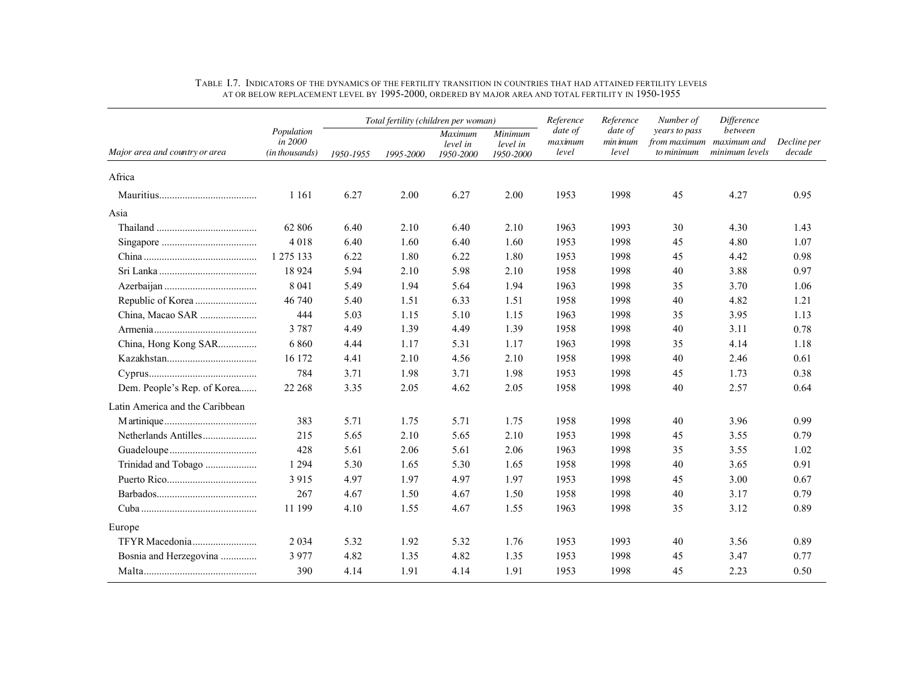|                                 |                                         |           |           | Total fertility (children per woman) |                                  | Reference<br>date of<br>date of | Reference         | Number of                                   | <b>Difference</b>                        |                       |
|---------------------------------|-----------------------------------------|-----------|-----------|--------------------------------------|----------------------------------|---------------------------------|-------------------|---------------------------------------------|------------------------------------------|-----------------------|
| Major area and country or area  | Population<br>in 2000<br>(in thousands) | 1950-1955 | 1995-2000 | Maximum<br>level in<br>1950-2000     | Minimum<br>level in<br>1950-2000 | maximum<br>level                | min imum<br>level | years to pass<br>from maximum<br>to minimum | between<br>maximum and<br>minimum levels | Decline per<br>decade |
| Africa                          |                                         |           |           |                                      |                                  |                                 |                   |                                             |                                          |                       |
|                                 | 1 1 6 1                                 | 6.27      | 2.00      | 6.27                                 | 2.00                             | 1953                            | 1998              | 45                                          | 4.27                                     | 0.95                  |
| Asia                            |                                         |           |           |                                      |                                  |                                 |                   |                                             |                                          |                       |
|                                 | 62 806                                  | 6.40      | 2.10      | 6.40                                 | 2.10                             | 1963                            | 1993              | 30                                          | 4.30                                     | 1.43                  |
|                                 | 4 0 1 8                                 | 6.40      | 1.60      | 6.40                                 | 1.60                             | 1953                            | 1998              | 45                                          | 4.80                                     | 1.07                  |
|                                 | 1 275 133                               | 6.22      | 1.80      | 6.22                                 | 1.80                             | 1953                            | 1998              | 45                                          | 4.42                                     | 0.98                  |
|                                 | 18 9 24                                 | 5.94      | 2.10      | 5.98                                 | 2.10                             | 1958                            | 1998              | 40                                          | 3.88                                     | 0.97                  |
|                                 | 8 0 4 1                                 | 5.49      | 1.94      | 5.64                                 | 1.94                             | 1963                            | 1998              | 35                                          | 3.70                                     | 1.06                  |
|                                 | 46 740                                  | 5.40      | 1.51      | 6.33                                 | 1.51                             | 1958                            | 1998              | 40                                          | 4.82                                     | 1.21                  |
| China, Macao SAR                | 444                                     | 5.03      | 1.15      | 5.10                                 | 1.15                             | 1963                            | 1998              | 35                                          | 3.95                                     | 1.13                  |
|                                 | 3 7 8 7                                 | 4.49      | 1.39      | 4.49                                 | 1.39                             | 1958                            | 1998              | 40                                          | 3.11                                     | 0.78                  |
| China, Hong Kong SAR            | 6860                                    | 4.44      | 1.17      | 5.31                                 | 1.17                             | 1963                            | 1998              | 35                                          | 4.14                                     | 1.18                  |
|                                 | 16 172                                  | 4.41      | 2.10      | 4.56                                 | 2.10                             | 1958                            | 1998              | 40                                          | 2.46                                     | 0.61                  |
|                                 | 784                                     | 3.71      | 1.98      | 3.71                                 | 1.98                             | 1953                            | 1998              | 45                                          | 1.73                                     | 0.38                  |
| Dem. People's Rep. of Korea     | 22 268                                  | 3.35      | 2.05      | 4.62                                 | 2.05                             | 1958                            | 1998              | 40                                          | 2.57                                     | 0.64                  |
| Latin America and the Caribbean |                                         |           |           |                                      |                                  |                                 |                   |                                             |                                          |                       |
|                                 | 383                                     | 5.71      | 1.75      | 5.71                                 | 1.75                             | 1958                            | 1998              | 40                                          | 3.96                                     | 0.99                  |
|                                 | 215                                     | 5.65      | 2.10      | 5.65                                 | 2.10                             | 1953                            | 1998              | 45                                          | 3.55                                     | 0.79                  |
|                                 | 428                                     | 5.61      | 2.06      | 5.61                                 | 2.06                             | 1963                            | 1998              | 35                                          | 3.55                                     | 1.02                  |
| Trinidad and Tobago             | 1 2 9 4                                 | 5.30      | 1.65      | 5.30                                 | 1.65                             | 1958                            | 1998              | 40                                          | 3.65                                     | 0.91                  |
|                                 | 3 9 1 5                                 | 4.97      | 1.97      | 4.97                                 | 1.97                             | 1953                            | 1998              | 45                                          | 3.00                                     | 0.67                  |
|                                 | 267                                     | 4.67      | 1.50      | 4.67                                 | 1.50                             | 1958                            | 1998              | 40                                          | 3.17                                     | 0.79                  |
|                                 | 11 199                                  | 4.10      | 1.55      | 4.67                                 | 1.55                             | 1963                            | 1998              | 35                                          | 3.12                                     | 0.89                  |
| Europe                          |                                         |           |           |                                      |                                  |                                 |                   |                                             |                                          |                       |
|                                 | 2 0 3 4                                 | 5.32      | 1.92      | 5.32                                 | 1.76                             | 1953                            | 1993              | 40                                          | 3.56                                     | 0.89                  |
| Bosnia and Herzegovina          | 3977                                    | 4.82      | 1.35      | 4.82                                 | 1.35                             | 1953                            | 1998              | 45                                          | 3.47                                     | 0.77                  |
|                                 | 390                                     | 4.14      | 1.91      | 4.14                                 | 1.91                             | 1953                            | 1998              | 45                                          | 2.23                                     | 0.50                  |

#### TABLE I.7. INDICATORS OF THE DYNAMICS OF THE FERTILITY TRANSITION IN COUNTRIES THAT HAD ATTAINED FERTILITY LEVELS AT OR BELOW REPLACEMENT LEVEL BY 1995-2000, ORDERED BY MAJOR AREA AND TOTAL FERTILITY IN 1950-1955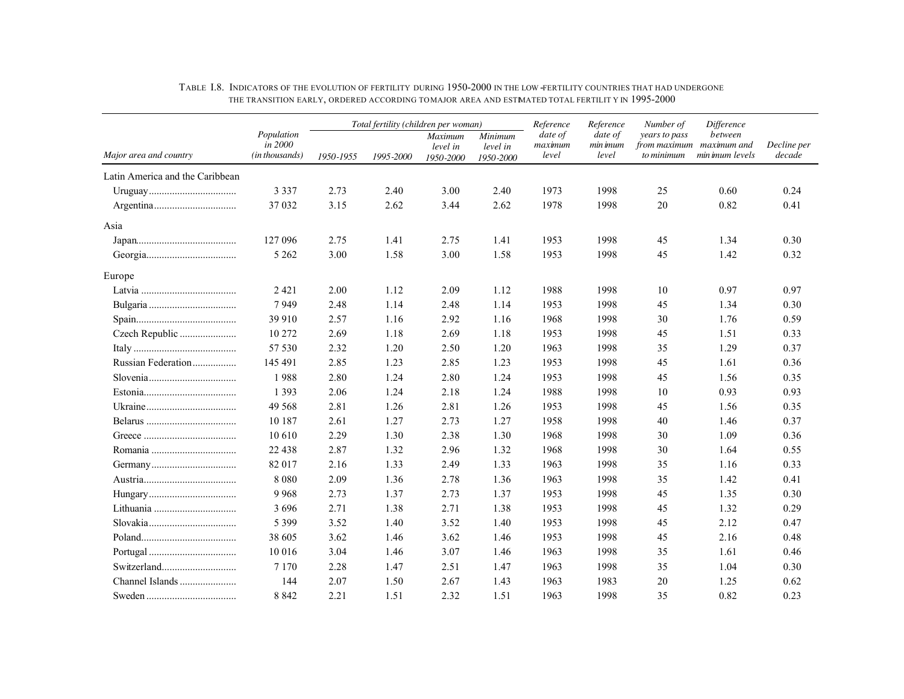|                                 |                                         | Total fertility (children per woman) |           |                                         |                                         | Reference<br>Reference      | Number of                    | Difference                                              |                            |                       |
|---------------------------------|-----------------------------------------|--------------------------------------|-----------|-----------------------------------------|-----------------------------------------|-----------------------------|------------------------------|---------------------------------------------------------|----------------------------|-----------------------|
| Major area and country          | Population<br>in 2000<br>(in thousands) | 1950-1955                            | 1995-2000 | <b>Maximum</b><br>level in<br>1950-2000 | <b>Minimum</b><br>level in<br>1950-2000 | date of<br>maximum<br>level | date of<br>min imum<br>level | years to pass<br>from maximum maximum and<br>to minimum | between<br>min imum levels | Decline per<br>decade |
| Latin America and the Caribbean |                                         |                                      |           |                                         |                                         |                             |                              |                                                         |                            |                       |
|                                 | 3 3 3 7                                 | 2.73                                 | 2.40      | 3.00                                    | 2.40                                    | 1973                        | 1998                         | 25                                                      | 0.60                       | 0.24                  |
|                                 | 37 032                                  | 3.15                                 | 2.62      | 3.44                                    | 2.62                                    | 1978                        | 1998                         | 20                                                      | 0.82                       | 0.41                  |
| Asia                            |                                         |                                      |           |                                         |                                         |                             |                              |                                                         |                            |                       |
|                                 | 127 096                                 | 2.75                                 | 1.41      | 2.75                                    | 1.41                                    | 1953                        | 1998                         | 45                                                      | 1.34                       | 0.30                  |
|                                 | 5 2 6 2                                 | 3.00                                 | 1.58      | 3.00                                    | 1.58                                    | 1953                        | 1998                         | 45                                                      | 1.42                       | 0.32                  |
| Europe                          |                                         |                                      |           |                                         |                                         |                             |                              |                                                         |                            |                       |
|                                 | 2 4 2 1                                 | 2.00                                 | 1.12      | 2.09                                    | 1.12                                    | 1988                        | 1998                         | 10                                                      | 0.97                       | 0.97                  |
|                                 | 7949                                    | 2.48                                 | 1.14      | 2.48                                    | 1.14                                    | 1953                        | 1998                         | 45                                                      | 1.34                       | 0.30                  |
|                                 | 39 910                                  | 2.57                                 | 1.16      | 2.92                                    | 1.16                                    | 1968                        | 1998                         | 30                                                      | 1.76                       | 0.59                  |
| Czech Republic                  | 10 272                                  | 2.69                                 | 1.18      | 2.69                                    | 1.18                                    | 1953                        | 1998                         | 45                                                      | 1.51                       | 0.33                  |
|                                 | 57 530                                  | 2.32                                 | 1.20      | 2.50                                    | 1.20                                    | 1963                        | 1998                         | 35                                                      | 1.29                       | 0.37                  |
| Russian Federation              | 145 491                                 | 2.85                                 | 1.23      | 2.85                                    | 1.23                                    | 1953                        | 1998                         | 45                                                      | 1.61                       | 0.36                  |
|                                 | 1988                                    | 2.80                                 | 1.24      | 2.80                                    | 1.24                                    | 1953                        | 1998                         | 45                                                      | 1.56                       | 0.35                  |
|                                 | 1 3 9 3                                 | 2.06                                 | 1.24      | 2.18                                    | 1.24                                    | 1988                        | 1998                         | 10                                                      | 0.93                       | 0.93                  |
|                                 | 49 5 68                                 | 2.81                                 | 1.26      | 2.81                                    | 1.26                                    | 1953                        | 1998                         | 45                                                      | 1.56                       | 0.35                  |
|                                 | 10 187                                  | 2.61                                 | 1.27      | 2.73                                    | 1.27                                    | 1958                        | 1998                         | 40                                                      | 1.46                       | 0.37                  |
|                                 | 10 610                                  | 2.29                                 | 1.30      | 2.38                                    | 1.30                                    | 1968                        | 1998                         | 30                                                      | 1.09                       | 0.36                  |
| Romania                         | 22 4 38                                 | 2.87                                 | 1.32      | 2.96                                    | 1.32                                    | 1968                        | 1998                         | 30                                                      | 1.64                       | 0.55                  |
|                                 | 82 017                                  | 2.16                                 | 1.33      | 2.49                                    | 1.33                                    | 1963                        | 1998                         | 35                                                      | 1.16                       | 0.33                  |
|                                 | 8 0 8 0                                 | 2.09                                 | 1.36      | 2.78                                    | 1.36                                    | 1963                        | 1998                         | 35                                                      | 1.42                       | 0.41                  |
|                                 | 9 9 6 8                                 | 2.73                                 | 1.37      | 2.73                                    | 1.37                                    | 1953                        | 1998                         | 45                                                      | 1.35                       | 0.30                  |
|                                 | 3 6 9 6                                 | 2.71                                 | 1.38      | 2.71                                    | 1.38                                    | 1953                        | 1998                         | 45                                                      | 1.32                       | 0.29                  |
|                                 | 5 3 9 9                                 | 3.52                                 | 1.40      | 3.52                                    | 1.40                                    | 1953                        | 1998                         | 45                                                      | 2.12                       | 0.47                  |
|                                 | 38 605                                  | 3.62                                 | 1.46      | 3.62                                    | 1.46                                    | 1953                        | 1998                         | 45                                                      | 2.16                       | 0.48                  |
|                                 | 10 016                                  | 3.04                                 | 1.46      | 3.07                                    | 1.46                                    | 1963                        | 1998                         | 35                                                      | 1.61                       | 0.46                  |
|                                 | 7 1 7 0                                 | 2.28                                 | 1.47      | 2.51                                    | 1.47                                    | 1963                        | 1998                         | 35                                                      | 1.04                       | 0.30                  |
|                                 | 144                                     | 2.07                                 | 1.50      | 2.67                                    | 1.43                                    | 1963                        | 1983                         | 20                                                      | 1.25                       | 0.62                  |
|                                 | 8 8 4 2                                 | 2.21                                 | 1.51      | 2.32                                    | 1.51                                    | 1963                        | 1998                         | 35                                                      | 0.82                       | 0.23                  |

### TABLE I.8. INDICATORS OF THE EVOLUTION OF FERTILITY DURING 1950-2000 IN THE LOW -FERTILITY COUNTRIES THAT HAD UNDERGONE THE TRANSITION EARLY, ORDERED ACCORDING TOMAJOR AREA AND ESTMATED TOTAL FERTILIT Y IN 1995-2000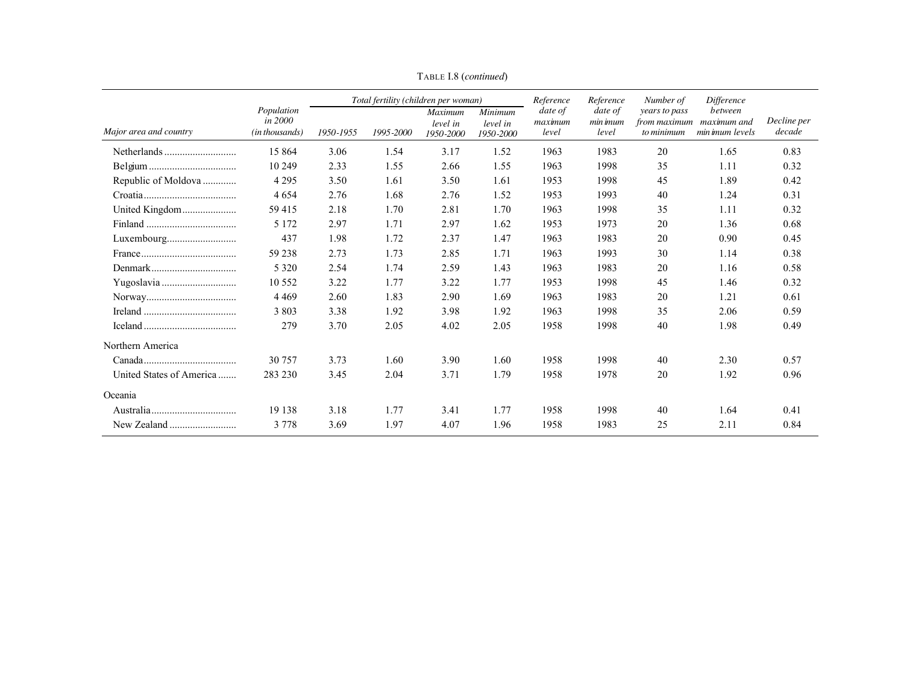|                                                                                        |                                         |           | Total fertility (children per woman) |                                         |                                  | Reference                   | Reference                    | Number of                                   | <i>Difference</i>                         |                       |
|----------------------------------------------------------------------------------------|-----------------------------------------|-----------|--------------------------------------|-----------------------------------------|----------------------------------|-----------------------------|------------------------------|---------------------------------------------|-------------------------------------------|-----------------------|
| Major area and country                                                                 | Population<br>in 2000<br>(in thousands) | 1950-1955 | 1995-2000                            | <b>Maximum</b><br>level in<br>1950-2000 | Minimum<br>level in<br>1950-2000 | date of<br>maximum<br>level | date of<br>min imum<br>level | years to pass<br>from maximum<br>to minimum | between<br>maximum and<br>min imum levels | Decline per<br>decade |
|                                                                                        | 15 864                                  | 3.06      | 1.54                                 | 3.17                                    | 1.52                             | 1963                        | 1983                         | 20                                          | 1.65                                      | 0.83                  |
|                                                                                        | 10 249                                  | 2.33      | 1.55                                 | 2.66                                    | 1.55                             | 1963                        | 1998                         | 35                                          | 1.11                                      | 0.32                  |
| Republic of Moldova                                                                    | 4 2 9 5                                 | 3.50      | 1.61                                 | 3.50                                    | 1.61                             | 1953                        | 1998                         | 45                                          | 1.89                                      | 0.42                  |
|                                                                                        | 4 6 5 4                                 | 2.76      | 1.68                                 | 2.76                                    | 1.52                             | 1953                        | 1993                         | 40                                          | 1.24                                      | 0.31                  |
| United Kingdom                                                                         | 59415                                   | 2.18      | 1.70                                 | 2.81                                    | 1.70                             | 1963                        | 1998                         | 35                                          | 1.11                                      | 0.32                  |
|                                                                                        | 5 1 7 2                                 | 2.97      | 1.71                                 | 2.97                                    | 1.62                             | 1953                        | 1973                         | 20                                          | 1.36                                      | 0.68                  |
| Luxembourg                                                                             | 437                                     | 1.98      | 1.72                                 | 2.37                                    | 1.47                             | 1963                        | 1983                         | 20                                          | 0.90                                      | 0.45                  |
| $France \dots \dots \dots \dots \dots \dots \dots \dots \dots \dots \dots \dots \dots$ | 59 238                                  | 2.73      | 1.73                                 | 2.85                                    | 1.71                             | 1963                        | 1993                         | 30                                          | 1.14                                      | 0.38                  |
|                                                                                        | 5 3 2 0                                 | 2.54      | 1.74                                 | 2.59                                    | 1.43                             | 1963                        | 1983                         | 20                                          | 1.16                                      | 0.58                  |
|                                                                                        | 10 5 5 2                                | 3.22      | 1.77                                 | 3.22                                    | 1.77                             | 1953                        | 1998                         | 45                                          | 1.46                                      | 0.32                  |
|                                                                                        | 4 4 6 9                                 | 2.60      | 1.83                                 | 2.90                                    | 1.69                             | 1963                        | 1983                         | 20                                          | 1.21                                      | 0.61                  |
|                                                                                        | 3 8 0 3                                 | 3.38      | 1.92                                 | 3.98                                    | 1.92                             | 1963                        | 1998                         | 35                                          | 2.06                                      | 0.59                  |
|                                                                                        | 279                                     | 3.70      | 2.05                                 | 4.02                                    | 2.05                             | 1958                        | 1998                         | 40                                          | 1.98                                      | 0.49                  |
| Northern America                                                                       |                                         |           |                                      |                                         |                                  |                             |                              |                                             |                                           |                       |
|                                                                                        | 30 757                                  | 3.73      | 1.60                                 | 3.90                                    | 1.60                             | 1958                        | 1998                         | 40                                          | 2.30                                      | 0.57                  |
| United States of America                                                               | 283 230                                 | 3.45      | 2.04                                 | 3.71                                    | 1.79                             | 1958                        | 1978                         | 20                                          | 1.92                                      | 0.96                  |
| Oceania                                                                                |                                         |           |                                      |                                         |                                  |                             |                              |                                             |                                           |                       |
|                                                                                        | 19 138                                  | 3.18      | 1.77                                 | 3.41                                    | 1.77                             | 1958                        | 1998                         | 40                                          | 1.64                                      | 0.41                  |
|                                                                                        | 3 7 7 8                                 | 3.69      | 1.97                                 | 4.07                                    | 1.96                             | 1958                        | 1983                         | 25                                          | 2.11                                      | 0.84                  |

TABLE I.8 (*continued*)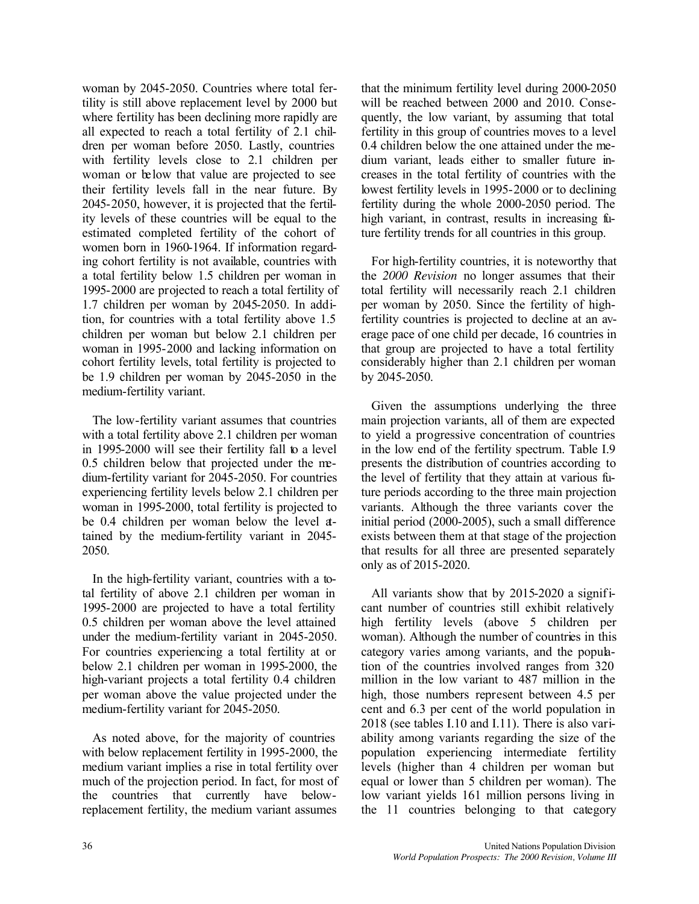woman by 2045-2050. Countries where total fertility is still above replacement level by 2000 but where fertility has been declining more rapidly are all expected to reach a total fertility of 2.1 children per woman before 2050. Lastly, countries with fertility levels close to 2.1 children per woman or below that value are projected to see their fertility levels fall in the near future. By 2045-2050, however, it is projected that the fertility levels of these countries will be equal to the estimated completed fertility of the cohort of women born in 1960-1964. If information regarding cohort fertility is not available, countries with a total fertility below 1.5 children per woman in 1995-2000 are projected to reach a total fertility of 1.7 children per woman by 2045-2050. In addition, for countries with a total fertility above 1.5 children per woman but below 2.1 children per woman in 1995-2000 and lacking information on cohort fertility levels, total fertility is projected to be 1.9 children per woman by 2045-2050 in the medium-fertility variant.

The low-fertility variant assumes that countries with a total fertility above 2.1 children per woman in 1995-2000 will see their fertility fall to a level 0.5 children below that projected under the medium-fertility variant for 2045-2050. For countries experiencing fertility levels below 2.1 children per woman in 1995-2000, total fertility is projected to be 0.4 children per woman below the level attained by the medium-fertility variant in 2045- 2050.

In the high-fertility variant, countries with a total fertility of above 2.1 children per woman in 1995-2000 are projected to have a total fertility 0.5 children per woman above the level attained under the medium-fertility variant in 2045-2050. For countries experiencing a total fertility at or below 2.1 children per woman in 1995-2000, the high-variant projects a total fertility 0.4 children per woman above the value projected under the medium-fertility variant for 2045-2050.

As noted above, for the majority of countries with below replacement fertility in 1995-2000, the medium variant implies a rise in total fertility over much of the projection period. In fact, for most of the countries that currently have belowreplacement fertility, the medium variant assumes

that the minimum fertility level during 2000-2050 will be reached between 2000 and 2010. Consequently, the low variant, by assuming that total fertility in this group of countries moves to a level 0.4 children below the one attained under the medium variant, leads either to smaller future increases in the total fertility of countries with the lowest fertility levels in 1995-2000 or to declining fertility during the whole 2000-2050 period. The high variant, in contrast, results in increasing future fertility trends for all countries in this group.

For high-fertility countries, it is noteworthy that the *2000 Revision* no longer assumes that their total fertility will necessarily reach 2.1 children per woman by 2050. Since the fertility of highfertility countries is projected to decline at an average pace of one child per decade, 16 countries in that group are projected to have a total fertility considerably higher than 2.1 children per woman by 2045-2050.

Given the assumptions underlying the three main projection variants, all of them are expected to yield a progressive concentration of countries in the low end of the fertility spectrum. Table I.9 presents the distribution of countries according to the level of fertility that they attain at various future periods according to the three main projection variants. Although the three variants cover the initial period (2000-2005), such a small difference exists between them at that stage of the projection that results for all three are presented separately only as of 2015-2020.

All variants show that by 2015-2020 a significant number of countries still exhibit relatively high fertility levels (above 5 children per woman). Although the number of countries in this category varies among variants, and the population of the countries involved ranges from 320 million in the low variant to 487 million in the high, those numbers represent between 4.5 per cent and 6.3 per cent of the world population in 2018 (see tables I.10 and I.11). There is also variability among variants regarding the size of the population experiencing intermediate fertility levels (higher than 4 children per woman but equal or lower than 5 children per woman). The low variant yields 161 million persons living in the 11 countries belonging to that category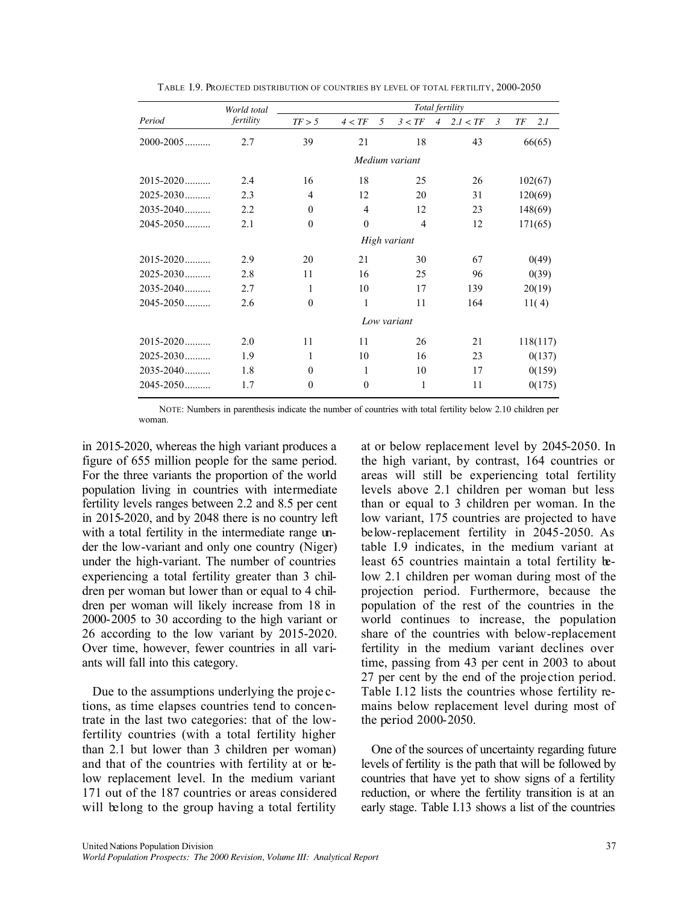|               | World total | Total fertility  |                  |                |                |          |                |    |          |  |  |  |  |
|---------------|-------------|------------------|------------------|----------------|----------------|----------|----------------|----|----------|--|--|--|--|
| Period        | fertility   | TF > 5           | 4 < TF           | 5<br>3 < TF    | $\overline{4}$ | 2.I < TF | $\mathfrak{Z}$ | TF | 2.I      |  |  |  |  |
| $2000 - 2005$ | 2.7         | 39               | 21               | 18             |                | 43       |                |    | 66(65)   |  |  |  |  |
|               |             |                  |                  | Medium variant |                |          |                |    |          |  |  |  |  |
| 2015-2020     | 2.4         | 16               | 18               | 25             |                | 26       |                |    | 102(67)  |  |  |  |  |
| $2025 - 2030$ | 2.3         | 4                | 12               | 20             |                | 31       |                |    | 120(69)  |  |  |  |  |
| 2035-2040     | 2.2         | $\mathbf{0}$     | $\overline{4}$   | 12             |                | 23       |                |    | 148(69)  |  |  |  |  |
| $2045 - 2050$ | 2.1         | $\boldsymbol{0}$ | $\boldsymbol{0}$ | $\overline{4}$ |                | 12       |                |    | 171(65)  |  |  |  |  |
|               |             |                  |                  | High variant   |                |          |                |    |          |  |  |  |  |
| $2015 - 2020$ | 2.9         | 20               | 21               | 30             |                | 67       |                |    | 0(49)    |  |  |  |  |
| $2025 - 2030$ | 2.8         | 11               | 16               | 25             |                | 96       |                |    | 0(39)    |  |  |  |  |
| $2035 - 2040$ | 2.7         | 1                | 10               | 17             |                | 139      |                |    | 20(19)   |  |  |  |  |
| $2045 - 2050$ | 2.6         | $\mathbf{0}$     | $\mathbf{1}$     | 11             |                | 164      |                |    | 11(4)    |  |  |  |  |
|               |             |                  |                  | Low variant    |                |          |                |    |          |  |  |  |  |
| $2015 - 2020$ | 2.0         | 11               | 11               | 26             |                | 21       |                |    | 118(117) |  |  |  |  |
| $2025 - 2030$ | 1.9         | 1                | 10               | 16             |                | 23       |                |    | 0(137)   |  |  |  |  |
| $2035 - 2040$ | 1.8         | $\mathbf{0}$     | 1                | 10             |                | 17       |                |    | 0(159)   |  |  |  |  |
| $2045 - 2050$ | 1.7         | $\mathbf{0}$     | $\boldsymbol{0}$ | 1              |                | 11       |                |    | 0(175)   |  |  |  |  |

TABLE I.9. PROJECTED DISTRIBUTION OF COUNTRIES BY LEVEL OF TOTAL FERTILITY, 2000-2050

NOTE: Numbers in parenthesis indicate the number of countries with total fertility below 2.10 children per woman.

in 2015-2020, whereas the high variant produces a figure of 655 million people for the same period. For the three variants the proportion of the world population living in countries with intermediate fertility levels ranges between 2.2 and 8.5 per cent in 2015-2020, and by 2048 there is no country left with a total fertility in the intermediate range under the low-variant and only one country (Niger) under the high-variant. The number of countries experiencing a total fertility greater than 3 children per woman but lower than or equal to 4 children per woman will likely increase from 18 in 2000-2005 to 30 according to the high variant or 26 according to the low variant by 2015-2020. Over time, however, fewer countries in all variants will fall into this category.

Due to the assumptions underlying the proje ctions, as time elapses countries tend to concentrate in the last two categories: that of the lowfertility countries (with a total fertility higher than 2.1 but lower than 3 children per woman) and that of the countries with fertility at or below replacement level. In the medium variant 171 out of the 187 countries or areas considered will belong to the group having a total fertility at or below replacement level by 2045-2050. In the high variant, by contrast, 164 countries or areas will still be experiencing total fertility levels above 2.1 children per woman but less than or equal to 3 children per woman. In the low variant, 175 countries are projected to have below-replacement fertility in 2045-2050. As table I.9 indicates, in the medium variant at least 65 countries maintain a total fertility below 2.1 children per woman during most of the projection period. Furthermore, because the population of the rest of the countries in the world continues to increase, the population share of the countries with below-replacement fertility in the medium variant declines over time, passing from 43 per cent in 2003 to about 27 per cent by the end of the proje ction period. Table I.12 lists the countries whose fertility remains below replacement level during most of the period 2000-2050.

One of the sources of uncertainty regarding future levels of fertility is the path that will be followed by countries that have yet to show signs of a fertility reduction, or where the fertility transition is at an early stage. Table I.13 shows a list of the countries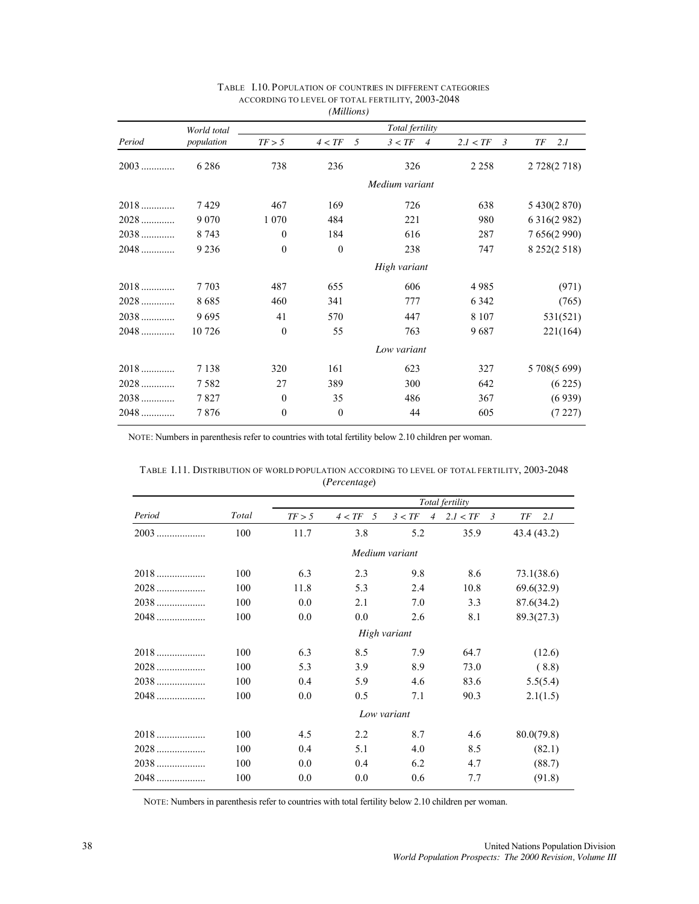|        | World total |                  |              | Total fertility          |                            |                     |
|--------|-------------|------------------|--------------|--------------------------|----------------------------|---------------------|
| Period | population  | TF > 5           | 4 < TF<br>5  | 3 < TF<br>$\overline{4}$ | 2.I < TF<br>$\mathfrak{Z}$ | ТF<br>2.I           |
| $2003$ | 6 2 8 6     | 738              | 236          | 326                      | 2 2 5 8                    | 2 728(2 718)        |
|        |             |                  |              | Medium variant           |                            |                     |
|        | 7429        | 467              | 169          | 726                      | 638                        | 5 430(2 870)        |
| $2028$ | 9 0 7 0     | 1 0 7 0          | 484          | 221                      | 980                        | 6 3 1 6 (2 9 8 2)   |
| $2038$ | 8 7 4 3     | $\mathbf{0}$     | 184          | 616                      | 287                        | 7 656(2 990)        |
| $2048$ | 9 2 3 6     | $\mathbf{0}$     | $\Omega$     | 238                      | 747                        | 8 2 5 2 ( 2 5 1 8 ) |
|        |             |                  |              | High variant             |                            |                     |
| $2018$ | 7 7 0 3     | 487              | 655          | 606                      | 4985                       | (971)               |
| $2028$ | 8685        | 460              | 341          | 777                      | 6 3 4 2                    | (765)               |
| $2038$ | 9695        | 41               | 570          | 447                      | 8 1 0 7                    | 531(521)            |
| $2048$ | 10726       | $\mathbf{0}$     | 55           | 763                      | 9687                       | 221(164)            |
|        |             |                  |              | Low variant              |                            |                     |
| $2018$ | 7 1 3 8     | 320              | 161          | 623                      | 327                        | 5 708(5 699)        |
| $2028$ | 7582        | 27               | 389          | 300                      | 642                        | (6225)              |
| $2038$ | 7827        | $\mathbf{0}$     | 35           | 486                      | 367                        | (6939)              |
| $2048$ | 7876        | $\boldsymbol{0}$ | $\mathbf{0}$ | 44                       | 605                        | (7227)              |

#### TABLE I.10. POPULATION OF COUNTRIES IN DIFFERENT CATEGORIES ACCORDING TO LEVEL OF TOTAL FERTILITY, 2003-2048 *(Millions)*

NOTE: Numbers in parenthesis refer to countries with total fertility below 2.10 children per woman.

|        |       |                 | (Percentage) |                          |               |             |
|--------|-------|-----------------|--------------|--------------------------|---------------|-------------|
|        |       | Total fertility |              |                          |               |             |
| Period | Total | TF > 5          | $4 < TF$ 5   | 3 < TF<br>$\overline{4}$ | 2.I < TF<br>3 | ТF<br>2.I   |
| $2003$ | 100   | 11.7            | 3.8          | 5.2                      | 35.9          | 43.4 (43.2) |
|        |       |                 |              | Medium variant           |               |             |
| $2018$ | 100   | 6.3             | 2.3          | 9.8                      | 8.6           | 73.1(38.6)  |
| $2028$ | 100   | 11.8            | 5.3          | 2.4                      | 10.8          | 69.6(32.9)  |
| $2038$ | 100   | 0.0             | 2.1          | 7.0                      | 3.3           | 87.6(34.2)  |
| $2048$ | 100   | 0.0             | $0.0\,$      | 2.6                      | 8.1           | 89.3(27.3)  |
|        |       |                 |              | High variant             |               |             |
| $2018$ | 100   | 6.3             | 8.5          | 7.9                      | 64.7          | (12.6)      |
| 2028   | 100   | 5.3             | 3.9          | 8.9                      | 73.0          | (8.8)       |
| $2038$ | 100   | 0.4             | 5.9          | 4.6                      | 83.6          | 5.5(5.4)    |
| $2048$ | 100   | 0.0             | 0.5          | 7.1                      | 90.3          | 2.1(1.5)    |
|        |       |                 |              | Low variant              |               |             |
| 2018   | 100   | 4.5             | 2.2          | 8.7                      | 4.6           | 80.0(79.8)  |
| $2028$ | 100   | 0.4             | 5.1          | 4.0                      | 8.5           | (82.1)      |
| $2038$ | 100   | 0.0             | 0.4          | 6.2                      | 4.7           | (88.7)      |
| 2048   | 100   | 0.0             | 0.0          | 0.6                      | 7.7           | (91.8)      |

TABLE I.11. DISTRIBUTION OF WORLD POPULATION ACCORDING TO LEVEL OF TOTAL FERTILITY, 2003-2048 (*Percentage*)

NOTE: Numbers in parenthesis refer to countries with total fertility below 2.10 children per woman.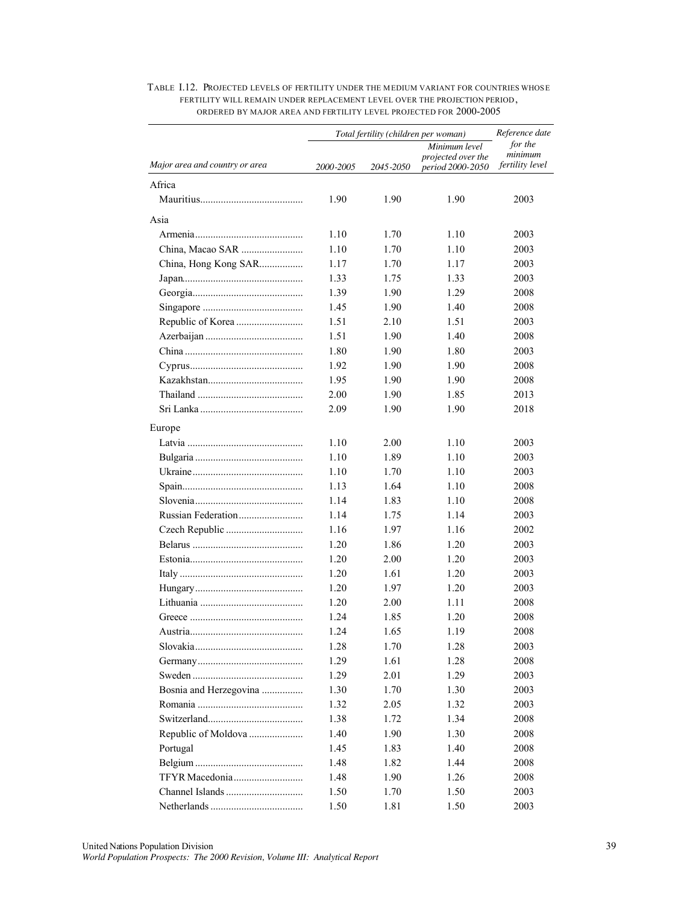|                                |           | Total fertility (children per woman) | Reference date                         |                        |  |
|--------------------------------|-----------|--------------------------------------|----------------------------------------|------------------------|--|
|                                |           |                                      | Minimum level                          | for the<br>minimum     |  |
| Major area and country or area | 2000-2005 | 2045-2050                            | projected over the<br>period 2000-2050 | <i>fertility level</i> |  |
| Africa                         |           |                                      |                                        |                        |  |
|                                | 1.90      | 1.90                                 | 1.90                                   | 2003                   |  |
| Asia                           |           |                                      |                                        |                        |  |
|                                | 1.10      | 1.70                                 | 1.10                                   | 2003                   |  |
|                                | 1.10      | 1.70                                 | 1.10                                   | 2003                   |  |
| China, Hong Kong SAR           | 1.17      | 1.70                                 | 1.17                                   | 2003                   |  |
|                                | 1.33      | 1.75                                 | 1.33                                   | 2003                   |  |
|                                | 1.39      | 1.90                                 | 1.29                                   | 2008                   |  |
|                                | 1.45      | 1.90                                 | 1.40                                   | 2008                   |  |
|                                | 1.51      | 2.10                                 | 1.51                                   | 2003                   |  |
|                                | 1.51      | 1.90                                 | 1.40                                   | 2008                   |  |
|                                | 1.80      | 1.90                                 | 1.80                                   | 2003                   |  |
|                                | 1.92      | 1.90                                 | 1.90                                   | 2008                   |  |
|                                | 1.95      | 1.90                                 | 1.90                                   | 2008                   |  |
|                                | 2.00      | 1.90                                 | 1.85                                   | 2013                   |  |
|                                | 2.09      | 1.90                                 | 1.90                                   | 2018                   |  |
| Europe                         |           |                                      |                                        |                        |  |
|                                | 1.10      | 2.00                                 | 1.10                                   | 2003                   |  |
|                                | 1.10      | 1.89                                 | 1.10                                   | 2003                   |  |
|                                | 1.10      | 1.70                                 | 1.10                                   | 2003                   |  |
|                                | 1.13      | 1.64                                 | 1.10                                   | 2008                   |  |
|                                | 1.14      | 1.83                                 | 1.10                                   | 2008                   |  |
|                                | 1.14      | 1.75                                 | 1.14                                   | 2003                   |  |
|                                | 1.16      | 1.97                                 | 1.16                                   | 2002                   |  |
|                                | 1.20      | 1.86                                 | 1.20                                   | 2003                   |  |
|                                | 1.20      | 2.00                                 | 1.20                                   | 2003                   |  |
|                                | 1.20      | 1.61                                 | 1.20                                   | 2003                   |  |
|                                | 1.20      | 1.97                                 | 1.20                                   | 2003                   |  |
|                                | 1.20      | 2.00                                 | 1.11                                   | 2008                   |  |
|                                | 1.24      | 1.85                                 | 1.20                                   | 2008                   |  |
|                                | 1.24      | 1.65                                 | 1.19                                   | 2008                   |  |
|                                | 1.28      | 1.70                                 | 1.28                                   | 2003                   |  |
|                                | 1.29      | 1.61                                 | 1.28                                   | 2008                   |  |
|                                | 1.29      | 2.01                                 | 1.29                                   | 2003                   |  |
| Bosnia and Herzegovina         | 1.30      | 1.70                                 | 1.30                                   | 2003                   |  |
|                                | 1.32      | 2.05                                 | 1.32                                   | 2003                   |  |
|                                | 1.38      | 1.72                                 | 1.34                                   | 2008                   |  |
| Republic of Moldova            | 1.40      | 1.90                                 | 1.30                                   | 2008                   |  |
| Portugal                       | 1.45      | 1.83                                 | 1.40                                   | 2008                   |  |
|                                | 1.48      | 1.82                                 | 1.44                                   | 2008                   |  |
|                                | 1.48      | 1.90                                 | 1.26                                   | 2008                   |  |
|                                | 1.50      | 1.70                                 | 1.50                                   | 2003                   |  |
|                                | 1.50      | 1.81                                 | 1.50                                   | 2003                   |  |

### TABLE I.12. PROJECTED LEVELS OF FERTILITY UNDER THE MEDIUM VARIANT FOR COUNTRIES WHOSE FERTILITY WILL REMAIN UNDER REPLACEMENT LEVEL OVER THE PROJECTION PERIOD, ORDERED BY MAJOR AREA AND FERTILITY LEVEL PROJECTED FOR 2000-2005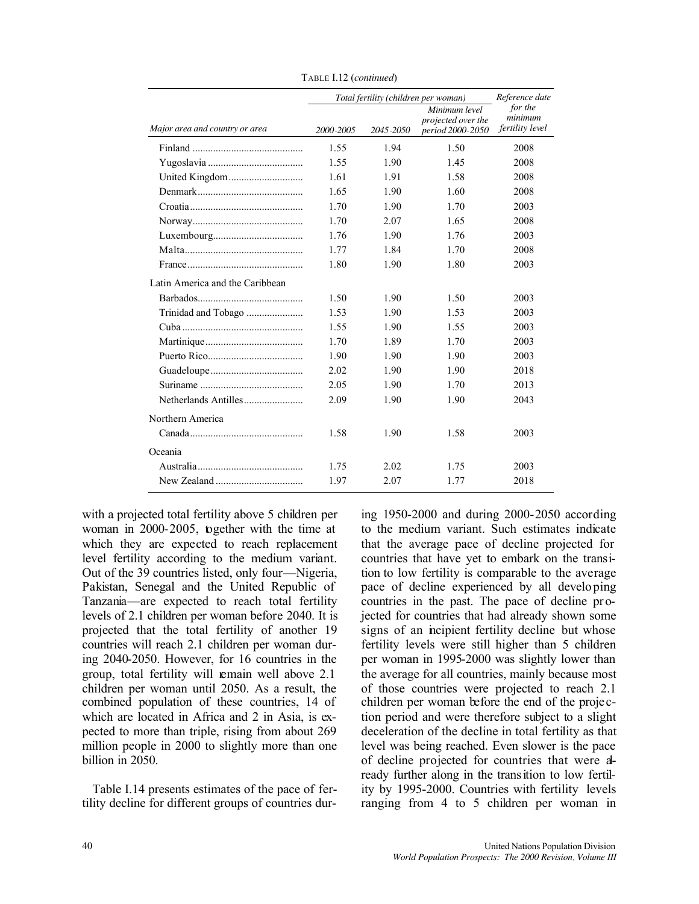|                                 |           | Total fertility (children per woman) |                                                         | Reference date                        |  |
|---------------------------------|-----------|--------------------------------------|---------------------------------------------------------|---------------------------------------|--|
| Major area and country or area  | 2000-2005 | 2045-2050                            | Minimum level<br>projected over the<br>period 2000-2050 | for the<br>minimum<br>fertility level |  |
|                                 | 1.55      | 1.94                                 | 1.50                                                    | 2008                                  |  |
|                                 | 1.55      | 1.90                                 | 1.45                                                    | 2008                                  |  |
|                                 | 1.61      | 1.91                                 | 1.58                                                    | 2008                                  |  |
|                                 | 1.65      | 1.90                                 | 1.60                                                    | 2008                                  |  |
|                                 | 1.70      | 1.90                                 | 1.70                                                    | 2003                                  |  |
|                                 | 1.70      | 2.07                                 | 1.65                                                    | 2008                                  |  |
|                                 | 1.76      | 1.90                                 | 1.76                                                    | 2003                                  |  |
|                                 | 1.77      | 1.84                                 | 1.70                                                    | 2008                                  |  |
|                                 | 1.80      | 1.90                                 | 1.80                                                    | 2003                                  |  |
| Latin America and the Caribbean |           |                                      |                                                         |                                       |  |
|                                 | 1.50      | 1.90                                 | 1.50                                                    | 2003                                  |  |
| Trinidad and Tobago             | 1.53      | 1.90                                 | 1.53                                                    | 2003                                  |  |
|                                 | 1.55      | 1.90                                 | 1.55                                                    | 2003                                  |  |
|                                 | 1.70      | 1.89                                 | 1.70                                                    | 2003                                  |  |
|                                 | 1.90      | 1.90                                 | 1.90                                                    | 2003                                  |  |
|                                 | 2.02      | 1.90                                 | 1.90                                                    | 2018                                  |  |
|                                 | 2.05      | 1.90                                 | 1.70                                                    | 2013                                  |  |
|                                 | 2.09      | 1.90                                 | 1.90                                                    | 2043                                  |  |
| Northern America                |           |                                      |                                                         |                                       |  |
|                                 | 1.58      | 1.90                                 | 1.58                                                    | 2003                                  |  |
| Oceania                         |           |                                      |                                                         |                                       |  |
|                                 | 1.75      | 2.02                                 | 1.75                                                    | 2003                                  |  |
|                                 | 1.97      | 2.07                                 | 1.77                                                    | 2018                                  |  |

TABLE I.12 (*continued*)

with a projected total fertility above 5 children per woman in 2000-2005, together with the time at which they are expected to reach replacement level fertility according to the medium variant. Out of the 39 countries listed, only four—Nigeria, Pakistan, Senegal and the United Republic of Tanzania—are expected to reach total fertility levels of 2.1 children per woman before 2040. It is projected that the total fertility of another 19 countries will reach 2.1 children per woman during 2040-2050. However, for 16 countries in the group, total fertility will remain well above 2.1 children per woman until 2050. As a result, the combined population of these countries, 14 of which are located in Africa and 2 in Asia, is expected to more than triple, rising from about 269 million people in 2000 to slightly more than one billion in 2050.

Table I.14 presents estimates of the pace of fertility decline for different groups of countries during 1950-2000 and during 2000-2050 according to the medium variant. Such estimates indicate that the average pace of decline projected for countries that have yet to embark on the transition to low fertility is comparable to the average pace of decline experienced by all developing countries in the past. The pace of decline projected for countries that had already shown some signs of an incipient fertility decline but whose fertility levels were still higher than 5 children per woman in 1995-2000 was slightly lower than the average for all countries, mainly because most of those countries were projected to reach 2.1 children per woman before the end of the proje ction period and were therefore subject to a slight deceleration of the decline in total fertility as that level was being reached. Even slower is the pace of decline projected for countries that were already further along in the transition to low fertility by 1995-2000. Countries with fertility levels ranging from 4 to 5 children per woman in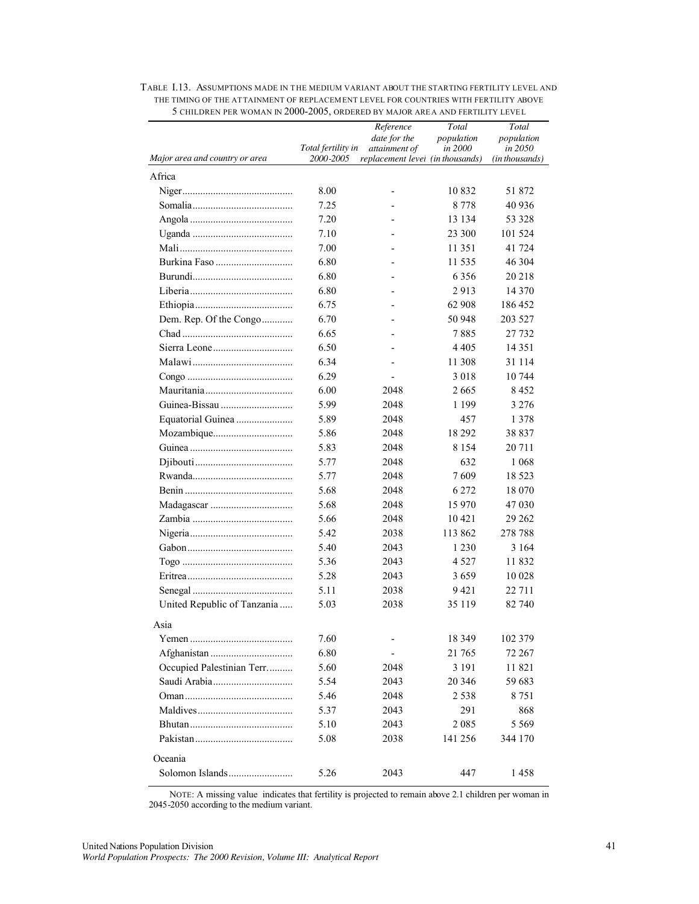| Major area and country or area | Total fertility in<br>2000-2005 | Reference<br>date for the<br>attainment of<br>replacement level (in thousands) | Total<br>population<br>in 2000 | Total<br>population<br>in 2050<br>(in thousands) |
|--------------------------------|---------------------------------|--------------------------------------------------------------------------------|--------------------------------|--------------------------------------------------|
| Africa                         |                                 |                                                                                |                                |                                                  |
|                                | 8.00                            | $\overline{a}$                                                                 | 10832                          | 51 872                                           |
|                                | 7.25                            |                                                                                | 8 7 7 8                        | 40 936                                           |
|                                | 7.20                            |                                                                                | 13 134                         | 53 328                                           |
|                                | 7.10                            |                                                                                | 23 300                         | 101 524                                          |
|                                | 7.00                            |                                                                                | 11 351                         | 41 724                                           |
|                                | 6.80                            |                                                                                | 11 535                         | 46 304                                           |
|                                | 6.80                            |                                                                                | 6 3 5 6                        | 20 218                                           |
|                                | 6.80                            |                                                                                | 2913                           | 14 370                                           |
|                                | 6.75                            |                                                                                | 62 908                         | 186 452                                          |
| Dem. Rep. Of the Congo         | 6.70                            |                                                                                | 50 948                         | 203 527                                          |
|                                | 6.65                            |                                                                                | 7885                           | 27 732                                           |
|                                | 6.50                            |                                                                                | 4 4 0 5                        | 14 3 5 1                                         |
|                                | 6.34                            |                                                                                | 11 308                         | 31 114                                           |
|                                | 6.29                            |                                                                                | 3018                           | 10 744                                           |
|                                | 6.00                            | 2048                                                                           | 2665                           | 8 4 5 2                                          |
| Guinea-Bissau                  | 5.99                            | 2048                                                                           | 1 1 9 9                        | 3 2 7 6                                          |
|                                | 5.89                            | 2048                                                                           | 457                            | 1 3 7 8                                          |
|                                | 5.86                            | 2048                                                                           | 18 29 2                        | 38 837                                           |
|                                | 5.83                            | 2048                                                                           | 8 1 5 4                        | 20 711                                           |
|                                | 5.77                            | 2048                                                                           | 632                            | 1 0 6 8                                          |
|                                | 5.77                            | 2048                                                                           | 7609                           | 18 5 23                                          |
|                                | 5.68                            | 2048                                                                           | 6 2 7 2                        | 18 070                                           |
|                                | 5.68                            | 2048                                                                           | 15 970                         | 47 030                                           |
|                                | 5.66                            | 2048                                                                           | 10 421                         | 29 26 2                                          |
|                                | 5.42                            | 2038                                                                           | 113 862                        | 278 788                                          |
|                                | 5.40                            | 2043                                                                           | 1 2 3 0                        | 3 1 6 4                                          |
|                                | 5.36                            | 2043                                                                           | 4 5 2 7                        | 11832                                            |
|                                | 5.28                            | 2043                                                                           | 3659                           | 10 028                                           |
|                                | 5.11                            | 2038                                                                           | 9421                           | 22 711                                           |
| United Republic of Tanzania    | 5.03                            | 2038                                                                           | 35 119                         | 82 740                                           |
| Asia                           |                                 |                                                                                |                                |                                                  |
|                                | 7.60                            |                                                                                | 18 3 49                        | 102 379                                          |
|                                | 6.80                            |                                                                                | 21 765                         | 72 267                                           |
| Occupied Palestinian Terr      | 5.60                            | 2048                                                                           | 3 1 9 1                        | 11 821                                           |
|                                | 5.54                            | 2043                                                                           | 20 34 6                        | 59 683                                           |
|                                | 5.46                            | 2048                                                                           | 2 5 3 8                        | 8751                                             |
|                                | 5.37                            | 2043                                                                           | 291                            | 868                                              |
|                                | 5.10                            | 2043                                                                           | 2 0 8 5                        | 5 5 6 9                                          |
|                                | 5.08                            | 2038                                                                           | 141 256                        | 344 170                                          |
| Oceania                        |                                 |                                                                                |                                |                                                  |
|                                | 5.26                            | 2043                                                                           | 447                            | 1458                                             |
|                                |                                 |                                                                                |                                |                                                  |

#### TABLE I.13. ASSUMPTIONS MADE IN THE MEDIUM VARIANT ABOUT THE STARTING FERTILITY LEVEL AND THE TIMING OF THE ATTAINMENT OF REPLACEMENT LEVEL FOR COUNTRIES WITH FERTILITY ABOVE 5 CHILDREN PER WOMAN IN 2000-2005, ORDERED BY MAJOR AREA AND FERTILITY LEVEL

NOTE: A missing value indicates that fertility is projected to remain above 2.1 children per woman in 2045-2050 according to the medium variant.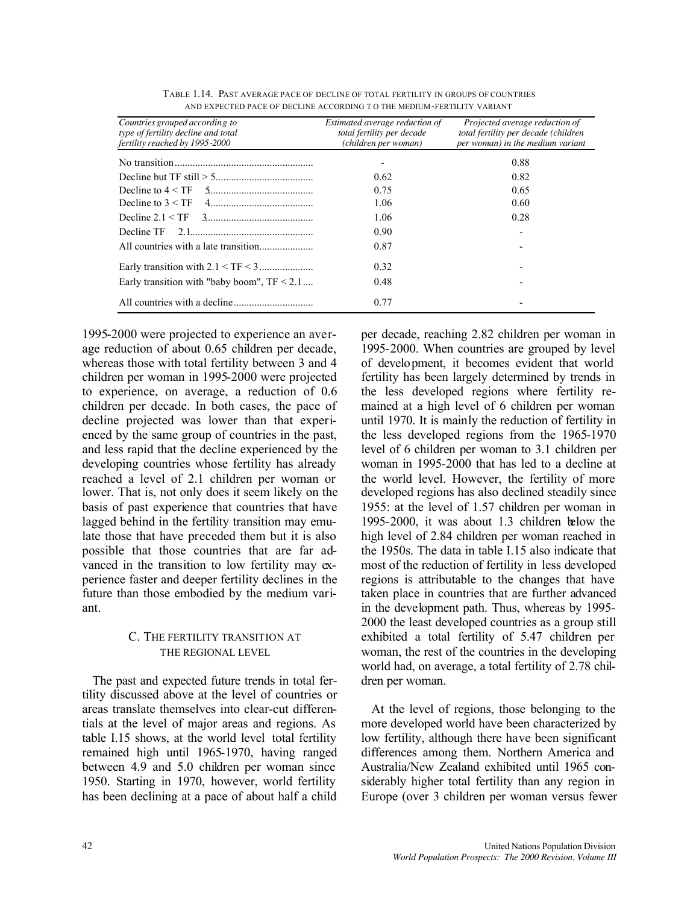| Countries grouped according to<br>type of fertility decline and total<br>fertility reached by 1995-2000 | Estimated average reduction of<br>total fertility per decade<br>(children per woman) | Projected average reduction of<br>total fertility per decade (children<br>per woman) in the medium variant |
|---------------------------------------------------------------------------------------------------------|--------------------------------------------------------------------------------------|------------------------------------------------------------------------------------------------------------|
|                                                                                                         |                                                                                      | 0.88                                                                                                       |
|                                                                                                         | 0.62                                                                                 | 0.82                                                                                                       |
|                                                                                                         | 0.75                                                                                 | 0.65                                                                                                       |
|                                                                                                         | 1.06                                                                                 | 0.60                                                                                                       |
|                                                                                                         | 1.06                                                                                 | 0.28                                                                                                       |
|                                                                                                         | 0.90                                                                                 |                                                                                                            |
|                                                                                                         | 0.87                                                                                 |                                                                                                            |
|                                                                                                         | 0.32                                                                                 |                                                                                                            |
| Early transition with "baby boom", $TF < 2.1$                                                           | 0.48                                                                                 |                                                                                                            |
|                                                                                                         | 0.77                                                                                 |                                                                                                            |

| TABLE 1.14. PAST AVERAGE PACE OF DECLINE OF TOTAL FERTILITY IN GROUPS OF COUNTRIES |  |
|------------------------------------------------------------------------------------|--|
| AND EXPECTED PACE OF DECLINE ACCORDING TO THE MEDIUM-FERTILITY VARIANT             |  |

1995-2000 were projected to experience an average reduction of about 0.65 children per decade, whereas those with total fertility between 3 and 4 children per woman in 1995-2000 were projected to experience, on average, a reduction of 0.6 children per decade. In both cases, the pace of decline projected was lower than that experienced by the same group of countries in the past, and less rapid that the decline experienced by the developing countries whose fertility has already reached a level of 2.1 children per woman or lower. That is, not only does it seem likely on the basis of past experience that countries that have lagged behind in the fertility transition may emulate those that have preceded them but it is also possible that those countries that are far advanced in the transition to low fertility may experience faster and deeper fertility declines in the future than those embodied by the medium variant.

## C. THE FERTILITY TRANSITION AT THE REGIONAL LEVEL

The past and expected future trends in total fertility discussed above at the level of countries or areas translate themselves into clear-cut differentials at the level of major areas and regions. As table I.15 shows, at the world level total fertility remained high until 1965-1970, having ranged between 4.9 and 5.0 children per woman since 1950. Starting in 1970, however, world fertility has been declining at a pace of about half a child

per decade, reaching 2.82 children per woman in 1995-2000. When countries are grouped by level of development, it becomes evident that world fertility has been largely determined by trends in the less developed regions where fertility remained at a high level of 6 children per woman until 1970. It is mainly the reduction of fertility in the less developed regions from the 1965-1970 level of 6 children per woman to 3.1 children per woman in 1995-2000 that has led to a decline at the world level. However, the fertility of more developed regions has also declined steadily since 1955: at the level of 1.57 children per woman in 1995-2000, it was about 1.3 children below the high level of 2.84 children per woman reached in the 1950s. The data in table I.15 also indicate that most of the reduction of fertility in less developed regions is attributable to the changes that have taken place in countries that are further advanced in the development path. Thus, whereas by 1995- 2000 the least developed countries as a group still exhibited a total fertility of 5.47 children per woman, the rest of the countries in the developing world had, on average, a total fertility of 2.78 children per woman.

At the level of regions, those belonging to the more developed world have been characterized by low fertility, although there have been significant differences among them. Northern America and Australia/New Zealand exhibited until 1965 considerably higher total fertility than any region in Europe (over 3 children per woman versus fewer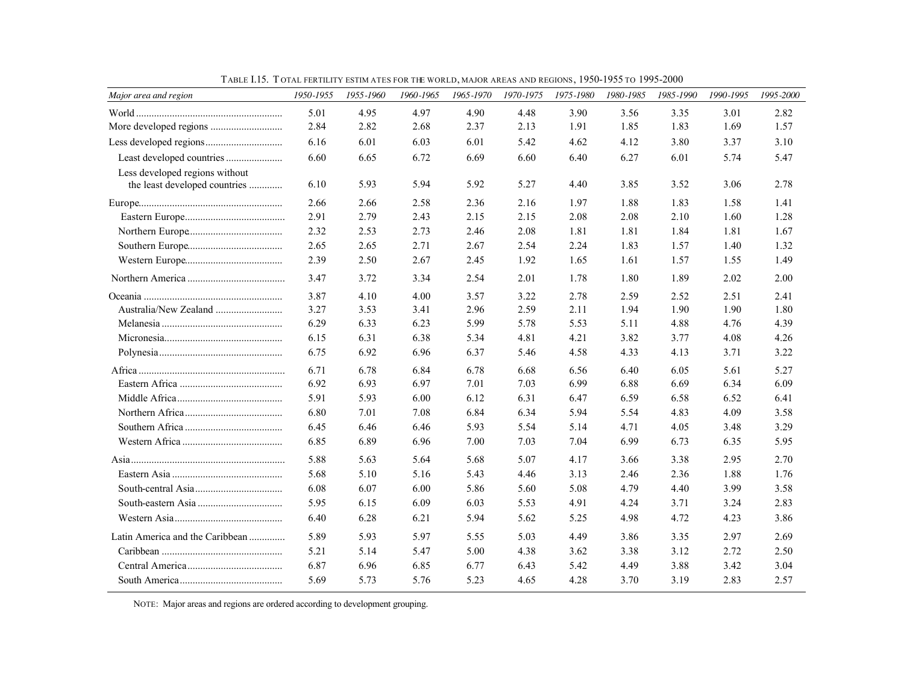| Major area and region                                           | 1950-1955 | 1955-1960 | 1960-1965 | 1965-1970 | 1970-1975 | 1975-1980 | 1980-1985 | 1985-1990 | 1990-1995 | 1995-2000 |
|-----------------------------------------------------------------|-----------|-----------|-----------|-----------|-----------|-----------|-----------|-----------|-----------|-----------|
|                                                                 | 5.01      | 4.95      | 4.97      | 4.90      | 4.48      | 3.90      | 3.56      | 3.35      | 3.01      | 2.82      |
|                                                                 | 2.84      | 2.82      | 2.68      | 2.37      | 2.13      | 1.91      | 1.85      | 1.83      | 1.69      | 1.57      |
|                                                                 | 6.16      | 6.01      | 6.03      | 6.01      | 5.42      | 4.62      | 4.12      | 3.80      | 3.37      | 3.10      |
| Least developed countries                                       | 6.60      | 6.65      | 6.72      | 6.69      | 6.60      | 6.40      | 6.27      | 6.01      | 5.74      | 5.47      |
| Less developed regions without<br>the least developed countries | 6.10      | 5.93      | 5.94      | 5.92      | 5.27      | 4.40      | 3.85      | 3.52      | 3.06      | 2.78      |
|                                                                 | 2.66      | 2.66      | 2.58      | 2.36      | 2.16      | 1.97      | 1.88      | 1.83      | 1.58      | 1.41      |
|                                                                 | 2.91      | 2.79      | 2.43      | 2.15      | 2.15      | 2.08      | 2.08      | 2.10      | 1.60      | 1.28      |
|                                                                 | 2.32      | 2.53      | 2.73      | 2.46      | 2.08      | 1.81      | 1.81      | 1.84      | 1.81      | 1.67      |
|                                                                 | 2.65      | 2.65      | 2.71      | 2.67      | 2.54      | 2.24      | 1.83      | 1.57      | 1.40      | 1.32      |
|                                                                 | 2.39      | 2.50      | 2.67      | 2.45      | 1.92      | 1.65      | 1.61      | 1.57      | 1.55      | 1.49      |
|                                                                 | 3.47      | 3.72      | 3.34      | 2.54      | 2.01      | 1.78      | 1.80      | 1.89      | 2.02      | 2.00      |
|                                                                 | 3.87      | 4.10      | 4.00      | 3.57      | 3.22      | 2.78      | 2.59      | 2.52      | 2.51      | 2.41      |
| Australia/New Zealand                                           | 3.27      | 3.53      | 3.41      | 2.96      | 2.59      | 2.11      | 1.94      | 1.90      | 1.90      | 1.80      |
|                                                                 | 6.29      | 6.33      | 6.23      | 5.99      | 5.78      | 5.53      | 5.11      | 4.88      | 4.76      | 4.39      |
|                                                                 | 6.15      | 6.31      | 6.38      | 5.34      | 4.81      | 4.21      | 3.82      | 3.77      | 4.08      | 4.26      |
|                                                                 | 6.75      | 6.92      | 6.96      | 6.37      | 5.46      | 4.58      | 4.33      | 4.13      | 3.71      | 3.22      |
|                                                                 | 6.71      | 6.78      | 6.84      | 6.78      | 6.68      | 6.56      | 6.40      | 6.05      | 5.61      | 5.27      |
|                                                                 | 6.92      | 6.93      | 6.97      | 7.01      | 7.03      | 6.99      | 6.88      | 6.69      | 6.34      | 6.09      |
|                                                                 | 5.91      | 5.93      | 6.00      | 6.12      | 6.31      | 6.47      | 6.59      | 6.58      | 6.52      | 6.41      |
|                                                                 | 6.80      | 7.01      | 7.08      | 6.84      | 6.34      | 5.94      | 5.54      | 4.83      | 4.09      | 3.58      |
|                                                                 | 6.45      | 6.46      | 6.46      | 5.93      | 5.54      | 5.14      | 4.71      | 4.05      | 3.48      | 3.29      |
|                                                                 | 6.85      | 6.89      | 6.96      | 7.00      | 7.03      | 7.04      | 6.99      | 6.73      | 6.35      | 5.95      |
|                                                                 | 5.88      | 5.63      | 5.64      | 5.68      | 5.07      | 4.17      | 3.66      | 3.38      | 2.95      | 2.70      |
|                                                                 | 5.68      | 5.10      | 5.16      | 5.43      | 4.46      | 3.13      | 2.46      | 2.36      | 1.88      | 1.76      |
|                                                                 | 6.08      | 6.07      | 6.00      | 5.86      | 5.60      | 5.08      | 4.79      | 4.40      | 3.99      | 3.58      |
|                                                                 | 5.95      | 6.15      | 6.09      | 6.03      | 5.53      | 4.91      | 4.24      | 3.71      | 3.24      | 2.83      |
|                                                                 | 6.40      | 6.28      | 6.21      | 5.94      | 5.62      | 5.25      | 4.98      | 4.72      | 4.23      | 3.86      |
| Latin America and the Caribbean                                 | 5.89      | 5.93      | 5.97      | 5.55      | 5.03      | 4.49      | 3.86      | 3.35      | 2.97      | 2.69      |
|                                                                 | 5.21      | 5.14      | 5.47      | 5.00      | 4.38      | 3.62      | 3.38      | 3.12      | 2.72      | 2.50      |
|                                                                 | 6.87      | 6.96      | 6.85      | 6.77      | 6.43      | 5.42      | 4.49      | 3.88      | 3.42      | 3.04      |
|                                                                 | 5.69      | 5.73      | 5.76      | 5.23      | 4.65      | 4.28      | 3.70      | 3.19      | 2.83      | 2.57      |

TABLE I.15. T OTAL FERTILITY ESTIM ATES FOR THE WORLD, MAJOR AREAS AND REGIONS, 1950-1955 TO 1995-2000

NOTE: Major areas and regions are ordered according to development grouping.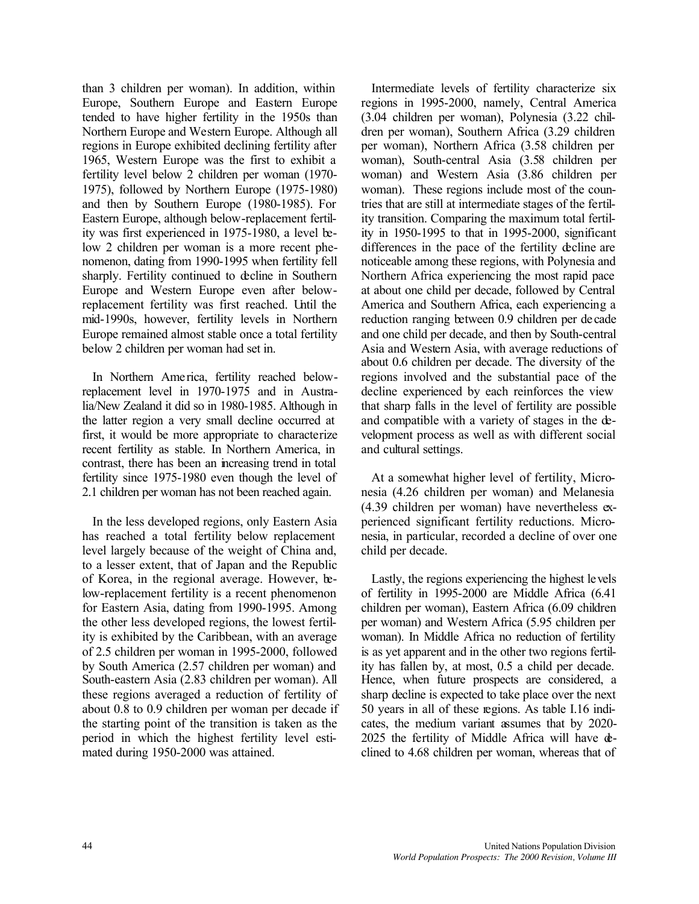than 3 children per woman). In addition, within Europe, Southern Europe and Eastern Europe tended to have higher fertility in the 1950s than Northern Europe and Western Europe. Although all regions in Europe exhibited declining fertility after 1965, Western Europe was the first to exhibit a fertility level below 2 children per woman (1970- 1975), followed by Northern Europe (1975-1980) and then by Southern Europe (1980-1985). For Eastern Europe, although below-replacement fertility was first experienced in 1975-1980, a level below 2 children per woman is a more recent phenomenon, dating from 1990-1995 when fertility fell sharply. Fertility continued to decline in Southern Europe and Western Europe even after belowreplacement fertility was first reached. Until the mid-1990s, however, fertility levels in Northern Europe remained almost stable once a total fertility below 2 children per woman had set in.

In Northern America, fertility reached belowreplacement level in 1970-1975 and in Australia/New Zealand it did so in 1980-1985. Although in the latter region a very small decline occurred at first, it would be more appropriate to characterize recent fertility as stable. In Northern America, in contrast, there has been an increasing trend in total fertility since 1975-1980 even though the level of 2.1 children per woman has not been reached again.

In the less developed regions, only Eastern Asia has reached a total fertility below replacement level largely because of the weight of China and, to a lesser extent, that of Japan and the Republic of Korea, in the regional average. However, below-replacement fertility is a recent phenomenon for Eastern Asia, dating from 1990-1995. Among the other less developed regions, the lowest fertility is exhibited by the Caribbean, with an average of 2.5 children per woman in 1995-2000, followed by South America (2.57 children per woman) and South-eastern Asia (2.83 children per woman). All these regions averaged a reduction of fertility of about 0.8 to 0.9 children per woman per decade if the starting point of the transition is taken as the period in which the highest fertility level estimated during 1950-2000 was attained.

Intermediate levels of fertility characterize six regions in 1995-2000, namely, Central America (3.04 children per woman), Polynesia (3.22 children per woman), Southern Africa (3.29 children per woman), Northern Africa (3.58 children per woman), South-central Asia (3.58 children per woman) and Western Asia (3.86 children per woman). These regions include most of the countries that are still at intermediate stages of the fertility transition. Comparing the maximum total fertility in 1950-1995 to that in 1995-2000, significant differences in the pace of the fertility decline are noticeable among these regions, with Polynesia and Northern Africa experiencing the most rapid pace at about one child per decade, followed by Central America and Southern Africa, each experiencing a reduction ranging between 0.9 children per decade and one child per decade, and then by South-central Asia and Western Asia, with average reductions of about 0.6 children per decade. The diversity of the regions involved and the substantial pace of the decline experienced by each reinforces the view that sharp falls in the level of fertility are possible and compatible with a variety of stages in the development process as well as with different social and cultural settings.

At a somewhat higher level of fertility, Micronesia (4.26 children per woman) and Melanesia (4.39 children per woman) have nevertheless experienced significant fertility reductions. Micronesia, in particular, recorded a decline of over one child per decade.

Lastly, the regions experiencing the highest levels of fertility in 1995-2000 are Middle Africa (6.41 children per woman), Eastern Africa (6.09 children per woman) and Western Africa (5.95 children per woman). In Middle Africa no reduction of fertility is as yet apparent and in the other two regions fertility has fallen by, at most, 0.5 a child per decade. Hence, when future prospects are considered, a sharp decline is expected to take place over the next 50 years in all of these regions. As table I.16 indicates, the medium variant assumes that by 2020- 2025 the fertility of Middle Africa will have declined to 4.68 children per woman, whereas that of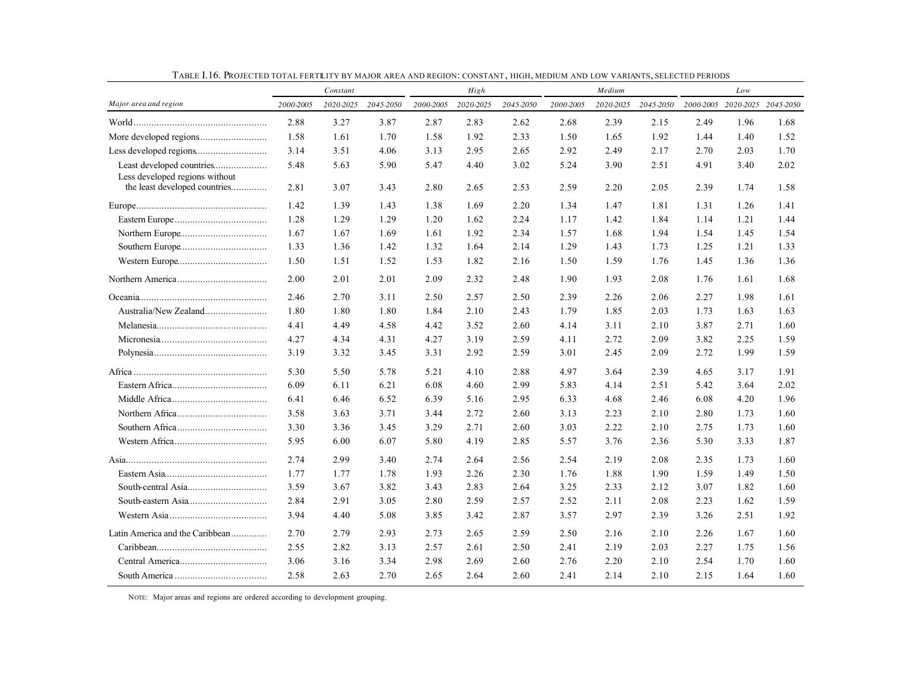|                                                                 |           | Constant  |           |           | High      |           |           | Medium    |           |      | Low                           |      |
|-----------------------------------------------------------------|-----------|-----------|-----------|-----------|-----------|-----------|-----------|-----------|-----------|------|-------------------------------|------|
| Major area and region                                           | 2000-2005 | 2020-2025 | 2045-2050 | 2000-2005 | 2020-2025 | 2045-2050 | 2000-2005 | 2020-2025 | 2045-2050 |      | 2000-2005 2020-2025 2045-2050 |      |
|                                                                 | 2.88      | 3.27      | 3.87      | 2.87      | 2.83      | 2.62      | 2.68      | 2.39      | 2.15      | 2.49 | 1.96                          | 1.68 |
|                                                                 | 1.58      | 1.61      | 1.70      | 1.58      | 1.92      | 2.33      | 1.50      | 1.65      | 1.92      | 1.44 | 1.40                          | 1.52 |
|                                                                 | 3.14      | 3.51      | 4.06      | 3.13      | 2.95      | 2.65      | 2.92      | 2.49      | 2.17      | 2.70 | 2.03                          | 1.70 |
| Least developed countries                                       | 5.48      | 5.63      | 5.90      | 5.47      | 4.40      | 3.02      | 5.24      | 3.90      | 2.51      | 4.91 | 3.40                          | 2.02 |
| Less developed regions without<br>the least developed countries | 2.81      | 3.07      | 3.43      | 2.80      | 2.65      | 2.53      | 2.59      | 2.20      | 2.05      | 2.39 | 1.74                          | 1.58 |
|                                                                 | 1.42      | 1.39      | 1.43      | 1.38      | 1.69      | 2.20      | 1.34      | 1.47      | 1.81      | 1.31 | 1.26                          | 1.41 |
|                                                                 | 1.28      | 1.29      | 1.29      | 1.20      | 1.62      | 2.24      | 1.17      | 1.42      | 1.84      | 1.14 | 1.21                          | 1.44 |
|                                                                 | 1.67      | 1.67      | 1.69      | 1.61      | 1.92      | 2.34      | 1.57      | 1.68      | 1.94      | 1.54 | 1.45                          | 1.54 |
|                                                                 | 1.33      | 1.36      | 1.42      | 1.32      | 1.64      | 2.14      | 1.29      | 1.43      | 1.73      | 1.25 | 1.21                          | 1.33 |
|                                                                 | 1.50      | 1.51      | 1.52      | 1.53      | 1.82      | 2.16      | 1.50      | 1.59      | 1.76      | 1.45 | 1.36                          | 1.36 |
|                                                                 | 2.00      | 2.01      | 2.01      | 2.09      | 2.32      | 2.48      | 1.90      | 1.93      | 2.08      | 1.76 | 1.61                          | 1.68 |
|                                                                 | 2.46      | 2.70      | 3.11      | 2.50      | 2.57      | 2.50      | 2.39      | 2.26      | 2.06      | 2.27 | 1.98                          | 1.61 |
|                                                                 | 1.80      | 1.80      | 1.80      | 1.84      | 2.10      | 2.43      | 1.79      | 1.85      | 2.03      | 1.73 | 1.63                          | 1.63 |
|                                                                 | 4.41      | 4.49      | 4.58      | 4.42      | 3.52      | 2.60      | 4.14      | 3.11      | 2.10      | 3.87 | 2.71                          | 1.60 |
|                                                                 | 4.27      | 4.34      | 4.31      | 4.27      | 3.19      | 2.59      | 4.11      | 2.72      | 2.09      | 3.82 | 2.25                          | 1.59 |
|                                                                 | 3.19      | 3.32      | 3.45      | 3.31      | 2.92      | 2.59      | 3.01      | 2.45      | 2.09      | 2.72 | 1.99                          | 1.59 |
|                                                                 | 5.30      | 5.50      | 5.78      | 5.21      | 4.10      | 2.88      | 4.97      | 3.64      | 2.39      | 4.65 | 3.17                          | 1.91 |
|                                                                 | 6.09      | 6.11      | 6.21      | 6.08      | 4.60      | 2.99      | 5.83      | 4.14      | 2.51      | 5.42 | 3.64                          | 2.02 |
|                                                                 | 6.41      | 6.46      | 6.52      | 6.39      | 5.16      | 2.95      | 6.33      | 4.68      | 2.46      | 6.08 | 4.20                          | 1.96 |
|                                                                 | 3.58      | 3.63      | 3.71      | 3.44      | 2.72      | 2.60      | 3.13      | 2.23      | 2.10      | 2.80 | 1.73                          | 1.60 |
|                                                                 | 3.30      | 3.36      | 3.45      | 3.29      | 2.71      | 2.60      | 3.03      | 2.22      | 2.10      | 2.75 | 1.73                          | 1.60 |
|                                                                 | 5.95      | 6.00      | 6.07      | 5.80      | 4.19      | 2.85      | 5.57      | 3.76      | 2.36      | 5.30 | 3.33                          | 1.87 |
|                                                                 | 2.74      | 2.99      | 3.40      | 2.74      | 2.64      | 2.56      | 2.54      | 2.19      | 2.08      | 2.35 | 1.73                          | 1.60 |
|                                                                 | 1.77      | 1.77      | 1.78      | 1.93      | 2.26      | 2.30      | 1.76      | 1.88      | 1.90      | 1.59 | 1.49                          | 1.50 |
|                                                                 | 3.59      | 3.67      | 3.82      | 3.43      | 2.83      | 2.64      | 3.25      | 2.33      | 2.12      | 3.07 | 1.82                          | 1.60 |
|                                                                 | 2.84      | 2.91      | 3.05      | 2.80      | 2.59      | 2.57      | 2.52      | 2.11      | 2.08      | 2.23 | 1.62                          | 1.59 |
|                                                                 | 3.94      | 4.40      | 5.08      | 3.85      | 3.42      | 2.87      | 3.57      | 2.97      | 2.39      | 3.26 | 2.51                          | 1.92 |
| Latin America and the Caribbean                                 | 2.70      | 2.79      | 2.93      | 2.73      | 2.65      | 2.59      | 2.50      | 2.16      | 2.10      | 2.26 | 1.67                          | 1.60 |
|                                                                 | 2.55      | 2.82      | 3.13      | 2.57      | 2.61      | 2.50      | 2.41      | 2.19      | 2.03      | 2.27 | 1.75                          | 1.56 |
|                                                                 | 3.06      | 3.16      | 3.34      | 2.98      | 2.69      | 2.60      | 2.76      | 2.20      | 2.10      | 2.54 | 1.70                          | 1.60 |
|                                                                 | 2.58      | 2.63      | 2.70      | 2.65      | 2.64      | 2.60      | 2.41      | 2.14      | 2.10      | 2.15 | 1.64                          | 1.60 |

TABLE I.16. PROJECTED TOTAL FERTILITY BY MAJOR AREA AND REGION: CONSTANT, HIGH, MEDIUM AND LOW VARIANTS, SELECTED PERIODS

NOTE: Major areas and regions are ordered according to development grouping.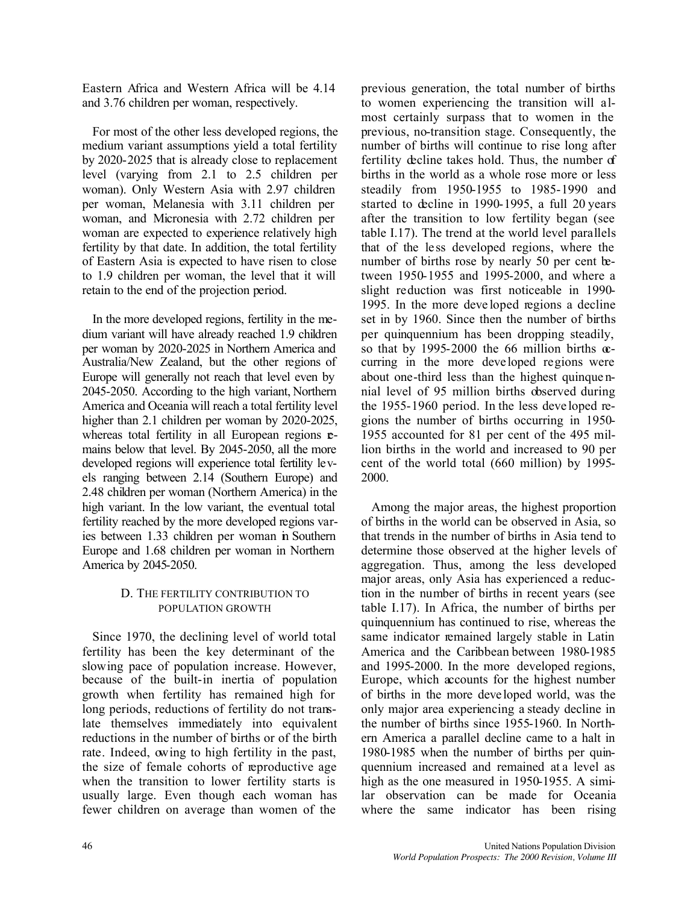Eastern Africa and Western Africa will be 4.14 and 3.76 children per woman, respectively.

For most of the other less developed regions, the medium variant assumptions yield a total fertility by 2020-2025 that is already close to replacement level (varying from 2.1 to 2.5 children per woman). Only Western Asia with 2.97 children per woman, Melanesia with 3.11 children per woman, and Micronesia with 2.72 children per woman are expected to experience relatively high fertility by that date. In addition, the total fertility of Eastern Asia is expected to have risen to close to 1.9 children per woman, the level that it will retain to the end of the projection period.

In the more developed regions, fertility in the medium variant will have already reached 1.9 children per woman by 2020-2025 in Northern America and Australia/New Zealand, but the other regions of Europe will generally not reach that level even by 2045-2050. According to the high variant, Northern America and Oceania will reach a total fertility level higher than 2.1 children per woman by 2020-2025, whereas total fertility in all European regions **e**mains below that level. By 2045-2050, all the more developed regions will experience total fertility levels ranging between 2.14 (Southern Europe) and 2.48 children per woman (Northern America) in the high variant. In the low variant, the eventual total fertility reached by the more developed regions varies between 1.33 children per woman in Southern Europe and 1.68 children per woman in Northern America by 2045-2050.

# D. THE FERTILITY CONTRIBUTION TO POPULATION GROWTH

Since 1970, the declining level of world total fertility has been the key determinant of the slowing pace of population increase. However, because of the built-in inertia of population growth when fertility has remained high for long periods, reductions of fertility do not translate themselves immediately into equivalent reductions in the number of births or of the birth rate. Indeed, owing to high fertility in the past, the size of female cohorts of reproductive age when the transition to lower fertility starts is usually large. Even though each woman has fewer children on average than women of the

previous generation, the total number of births to women experiencing the transition will almost certainly surpass that to women in the previous, no-transition stage. Consequently, the number of births will continue to rise long after fertility decline takes hold. Thus, the number of births in the world as a whole rose more or less steadily from 1950-1955 to 1985-1990 and started to decline in 1990-1995, a full 20 years after the transition to low fertility began (see table I.17). The trend at the world level parallels that of the le ss developed regions, where the number of births rose by nearly 50 per cent between 1950-1955 and 1995-2000, and where a slight reduction was first noticeable in 1990- 1995. In the more deve loped regions a decline set in by 1960. Since then the number of births per quinquennium has been dropping steadily, so that by 1995-2000 the 66 million births  $\infty$ curring in the more deve loped regions were about one-third less than the highest quinque nnial level of 95 million births observed during the 1955-1960 period. In the less deve loped regions the number of births occurring in 1950- 1955 accounted for 81 per cent of the 495 million births in the world and increased to 90 per cent of the world total (660 million) by 1995- 2000.

Among the major areas, the highest proportion of births in the world can be observed in Asia, so that trends in the number of births in Asia tend to determine those observed at the higher levels of aggregation. Thus, among the less developed major areas, only Asia has experienced a reduction in the number of births in recent years (see table I.17). In Africa, the number of births per quinquennium has continued to rise, whereas the same indicator remained largely stable in Latin America and the Caribbean between 1980-1985 and 1995-2000. In the more developed regions, Europe, which accounts for the highest number of births in the more deve loped world, was the only major area experiencing a steady decline in the number of births since 1955-1960. In Northern America a parallel decline came to a halt in 1980-1985 when the number of births per quinquennium increased and remained at a level as high as the one measured in 1950-1955. A similar observation can be made for Oceania where the same indicator has been rising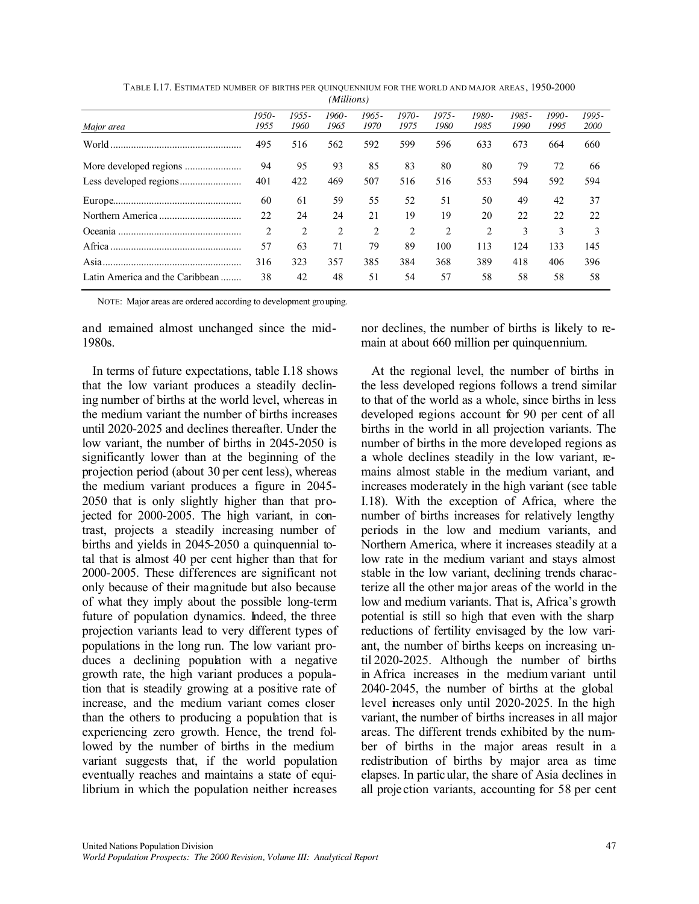|                                  |                |                | 111111101131  |                |                 |                  |               |               |               |                |
|----------------------------------|----------------|----------------|---------------|----------------|-----------------|------------------|---------------|---------------|---------------|----------------|
| Major area                       | 1950-<br>1955  | 1955 -<br>1960 | 1960-<br>1965 | 1965 -<br>1970 | $1970-$<br>1975 | $1975 -$<br>1980 | 1980-<br>1985 | 1985-<br>1990 | 1990-<br>1995 | 1995 -<br>2000 |
| World                            | 495            | 516            | 562           | 592            | 599             | 596              | 633           | 673           | 664           | 660            |
|                                  | 94             | 95             | 93            | 85             | 83              | 80               | 80            | 79            | 72            | 66             |
|                                  | 401            | 422            | 469           | 507            | 516             | 516              | 553           | 594           | 592           | 594            |
|                                  | 60             | 61             | 59            | 55             | 52              | 51               | 50            | 49            | 42            | 37             |
|                                  | 22             | 24             | 24            | 21             | 19              | 19               | 20            | 22            | 22            | 22             |
| Oceania                          | $\overline{2}$ | 2              | 2             | 2              | 2               | 2                | 2             | 3             | 3             | 3              |
| Africa                           | 57             | 63             | 71            | 79             | 89              | 100              | 113           | 124           | 133           | 145            |
| Asia                             | 316            | 323            | 357           | 385            | 384             | 368              | 389           | 418           | 406           | 396            |
| Latin America and the Caribbean. | 38             | 42             | 48            | 51             | 54              | 57               | 58            | 58            | 58            | 58             |

TABLE I.17. ESTIMATED NUMBER OF BIRTHS PER QUINQUENNIUM FOR THE WORLD AND MAJOR AREAS, 1950-2000 *(Millions)*

NOTE: Major areas are ordered according to development grouping.

and remained almost unchanged since the mid-1980s.

In terms of future expectations, table I.18 shows that the low variant produces a steadily declining number of births at the world level, whereas in the medium variant the number of births increases until 2020-2025 and declines thereafter. Under the low variant, the number of births in 2045-2050 is significantly lower than at the beginning of the projection period (about 30 per cent less), whereas the medium variant produces a figure in 2045- 2050 that is only slightly higher than that projected for 2000-2005. The high variant, in contrast, projects a steadily increasing number of births and yields in 2045-2050 a quinquennial total that is almost 40 per cent higher than that for 2000-2005. These differences are significant not only because of their magnitude but also because of what they imply about the possible long-term future of population dynamics. Indeed, the three projection variants lead to very different types of populations in the long run. The low variant produces a declining population with a negative growth rate, the high variant produces a population that is steadily growing at a positive rate of increase, and the medium variant comes closer than the others to producing a population that is experiencing zero growth. Hence, the trend followed by the number of births in the medium variant suggests that, if the world population eventually reaches and maintains a state of equilibrium in which the population neither increases nor declines, the number of births is likely to remain at about 660 million per quinquennium.

At the regional level, the number of births in the less developed regions follows a trend similar to that of the world as a whole, since births in less developed regions account for 90 per cent of all births in the world in all projection variants. The number of births in the more developed regions as a whole declines steadily in the low variant, remains almost stable in the medium variant, and increases moderately in the high variant (see table I.18). With the exception of Africa, where the number of births increases for relatively lengthy periods in the low and medium variants, and Northern America, where it increases steadily at a low rate in the medium variant and stays almost stable in the low variant, declining trends characterize all the other major areas of the world in the low and medium variants. That is, Africa's growth potential is still so high that even with the sharp reductions of fertility envisaged by the low variant, the number of births keeps on increasing until 2020-2025. Although the number of births in Africa increases in the medium variant until 2040-2045, the number of births at the global level increases only until 2020-2025. In the high variant, the number of births increases in all major areas. The different trends exhibited by the number of births in the major areas result in a redistribution of births by major area as time elapses. In particular, the share of Asia declines in all projection variants, accounting for 58 per cent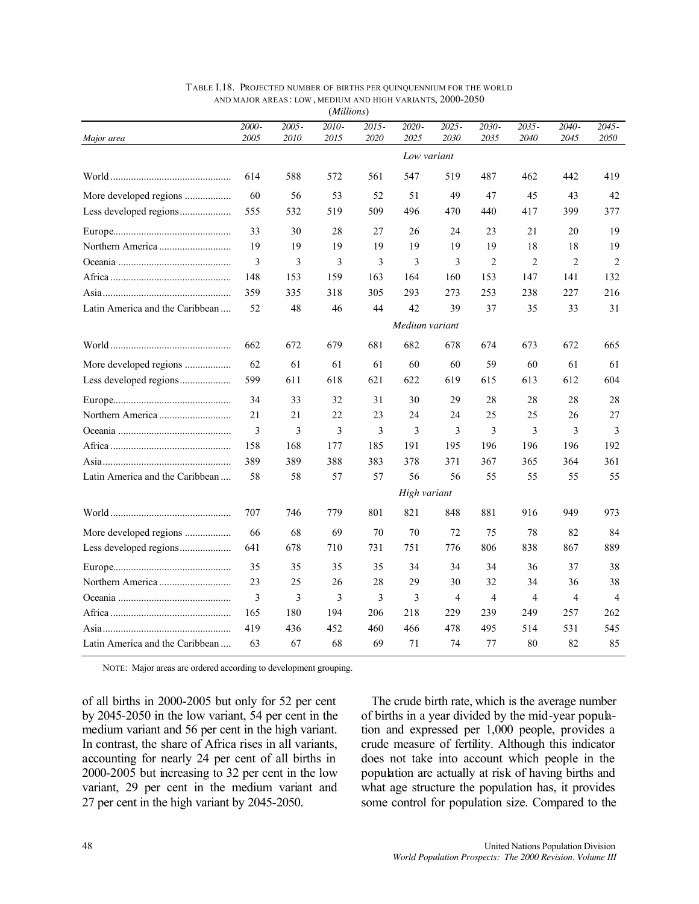|                                 |               |                  | (Millions)    |                  |                |                  |                |                |                  |                  |
|---------------------------------|---------------|------------------|---------------|------------------|----------------|------------------|----------------|----------------|------------------|------------------|
| Major area                      | 2000-<br>2005 | $2005 -$<br>2010 | 2010-<br>2015 | $2015 -$<br>2020 | 2020-<br>2025  | $2025 -$<br>2030 | 2030-<br>2035  | 2035-<br>2040  | $2040 -$<br>2045 | $2045 -$<br>2050 |
|                                 |               |                  |               |                  | Low variant    |                  |                |                |                  |                  |
|                                 | 614           | 588              | 572           | 561              | 547            | 519              | 487            | 462            | 442              | 419              |
| More developed regions          | 60            | 56               | 53            | 52               | 51             | 49               | 47             | 45             | 43               | 42               |
| Less developed regions          | 555           | 532              | 519           | 509              | 496            | 470              | 440            | 417            | 399              | 377              |
|                                 | 33            | 30               | 28            | 27               | 26             | 24               | 23             | 21             | 20               | 19               |
|                                 | 19            | 19               | 19            | 19               | 19             | 19               | 19             | 18             | 18               | 19               |
|                                 | 3             | 3                | 3             | 3                | 3              | 3                | $\overline{2}$ | $\overline{2}$ | $\overline{2}$   | $\overline{2}$   |
|                                 | 148           | 153              | 159           | 163              | 164            | 160              | 153            | 147            | 141              | 132              |
|                                 | 359           | 335              | 318           | 305              | 293            | 273              | 253            | 238            | 227              | 216              |
| Latin America and the Caribbean | 52            | 48               | 46            | 44               | 42             | 39               | 37             | 35             | 33               | 31               |
|                                 |               |                  |               |                  | Medium variant |                  |                |                |                  |                  |
|                                 | 662           | 672              | 679           | 681              | 682            | 678              | 674            | 673            | 672              | 665              |
| More developed regions          | 62            | 61               | 61            | 61               | 60             | 60               | 59             | 60             | 61               | 61               |
| Less developed regions          | 599           | 611              | 618           | 621              | 622            | 619              | 615            | 613            | 612              | 604              |
|                                 | 34            | 33               | 32            | 31               | 30             | 29               | 28             | 28             | 28               | 28               |
|                                 | 21            | 21               | 22            | 23               | 24             | 24               | 25             | 25             | 26               | 27               |
|                                 | 3             | 3                | 3             | 3                | 3              | 3                | 3              | 3              | 3                | 3                |
|                                 | 158           | 168              | 177           | 185              | 191            | 195              | 196            | 196            | 196              | 192              |
|                                 | 389           | 389              | 388           | 383              | 378            | 371              | 367            | 365            | 364              | 361              |
| Latin America and the Caribbean | 58            | 58               | 57            | 57               | 56             | 56               | 55             | 55             | 55               | 55               |
|                                 |               |                  |               |                  | High variant   |                  |                |                |                  |                  |
|                                 | 707           | 746              | 779           | 801              | 821            | 848              | 881            | 916            | 949              | 973              |
| More developed regions          | 66            | 68               | 69            | 70               | 70             | 72               | 75             | 78             | 82               | 84               |
|                                 | 641           | 678              | 710           | 731              | 751            | 776              | 806            | 838            | 867              | 889              |
|                                 | 35            | 35               | 35            | 35               | 34             | 34               | 34             | 36             | 37               | 38               |
|                                 | 23            | 25               | 26            | 28               | 29             | 30               | 32             | 34             | 36               | 38               |
|                                 | 3             | 3                | 3             | 3                | 3              | 4                | $\overline{4}$ | $\overline{4}$ | 4                | $\overline{4}$   |
|                                 | 165           | 180              | 194           | 206              | 218            | 229              | 239            | 249            | 257              | 262              |
|                                 | 419           | 436              | 452           | 460              | 466            | 478              | 495            | 514            | 531              | 545              |
| Latin America and the Caribbean | 63            | 67               | 68            | 69               | 71             | 74               | 77             | 80             | 82               | 85               |

| TABLE I.18. PROJECTED NUMBER OF BIRTHS PER QUINQUENNIUM FOR THE WORLD |  |  |
|-----------------------------------------------------------------------|--|--|
| AND MAJOR AREAS: LOW, MEDIUM AND HIGH VARIANTS, 2000-2050             |  |  |
|                                                                       |  |  |

NOTE: Major areas are ordered according to development grouping.

of all births in 2000-2005 but only for 52 per cent by 2045-2050 in the low variant, 54 per cent in the medium variant and 56 per cent in the high variant. In contrast, the share of Africa rises in all variants, accounting for nearly 24 per cent of all births in 2000-2005 but increasing to 32 per cent in the low variant, 29 per cent in the medium variant and 27 per cent in the high variant by 2045-2050.

The crude birth rate, which is the average number of births in a year divided by the mid-year population and expressed per 1,000 people, provides a crude measure of fertility. Although this indicator does not take into account which people in the population are actually at risk of having births and what age structure the population has, it provides some control for population size. Compared to the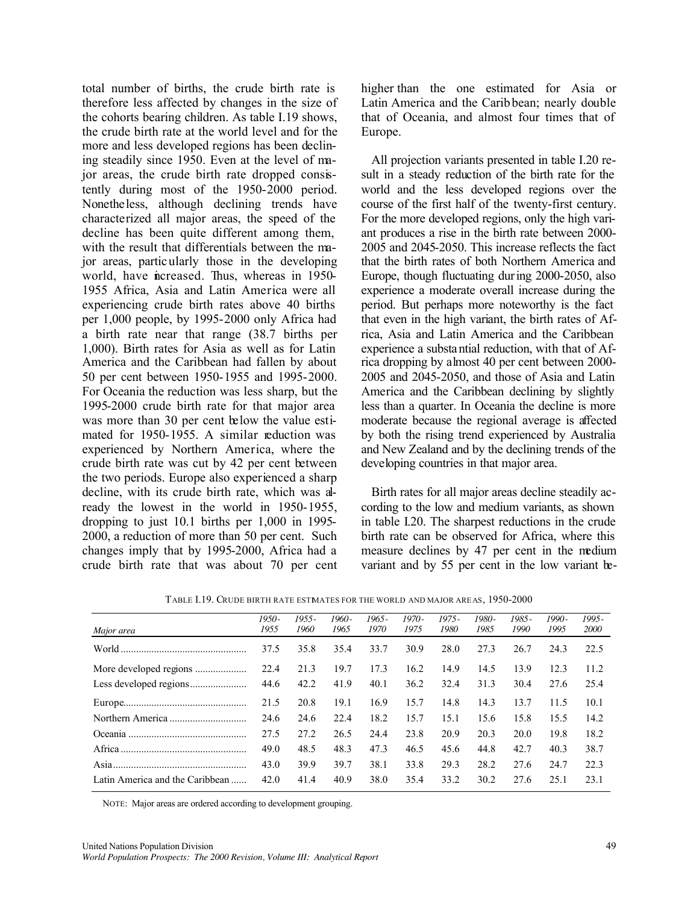total number of births, the crude birth rate is therefore less affected by changes in the size of the cohorts bearing children. As table I.19 shows, the crude birth rate at the world level and for the more and less developed regions has been declining steadily since 1950. Even at the level of major areas, the crude birth rate dropped consistently during most of the 1950-2000 period. Nonetheless, although declining trends have characterized all major areas, the speed of the decline has been quite different among them, with the result that differentials between the major areas, particularly those in the developing world, have increased. Thus, whereas in 1950-1955 Africa, Asia and Latin America were all experiencing crude birth rates above 40 births per 1,000 people, by 1995-2000 only Africa had a birth rate near that range (38.7 births per 1,000). Birth rates for Asia as well as for Latin America and the Caribbean had fallen by about 50 per cent between 1950-1955 and 1995-2000. For Oceania the reduction was less sharp, but the 1995-2000 crude birth rate for that major area was more than 30 per cent below the value estimated for 1950-1955. A similar reduction was experienced by Northern America, where the crude birth rate was cut by 42 per cent between the two periods. Europe also experienced a sharp decline, with its crude birth rate, which was already the lowest in the world in 1950-1955, dropping to just 10.1 births per 1,000 in 1995- 2000, a reduction of more than 50 per cent. Such changes imply that by 1995-2000, Africa had a crude birth rate that was about 70 per cent higher than the one estimated for Asia or Latin America and the Carib bean; nearly double that of Oceania, and almost four times that of Europe.

All projection variants presented in table I.20 result in a steady reduction of the birth rate for the world and the less developed regions over the course of the first half of the twenty-first century. For the more developed regions, only the high variant produces a rise in the birth rate between 2000- 2005 and 2045-2050. This increase reflects the fact that the birth rates of both Northern America and Europe, though fluctuating during 2000-2050, also experience a moderate overall increase during the period. But perhaps more noteworthy is the fact that even in the high variant, the birth rates of Africa, Asia and Latin America and the Caribbean experience a substantial reduction, with that of Africa dropping by almost 40 per cent between 2000- 2005 and 2045-2050, and those of Asia and Latin America and the Caribbean declining by slightly less than a quarter. In Oceania the decline is more moderate because the regional average is affected by both the rising trend experienced by Australia and New Zealand and by the declining trends of the developing countries in that major area.

Birth rates for all major areas decline steadily according to the low and medium variants, as shown in table I.20. The sharpest reductions in the crude birth rate can be observed for Africa, where this measure declines by 47 per cent in the medium variant and by 55 per cent in the low variant be-

| Major area                      | $1950 -$<br>1955 | 1955 -<br>1960 | $1960 -$<br>1965 | $1965 -$<br>1970 | $1970-$<br>1975 | $1975 -$<br>1980 | 1980-<br>1985 | 1985 -<br>1990 | $1990-$<br>1995 | $1995 -$<br>2000 |
|---------------------------------|------------------|----------------|------------------|------------------|-----------------|------------------|---------------|----------------|-----------------|------------------|
|                                 | 37.5             | 35.8           | 35.4             | 33.7             | 30.9            | 28.0             | 27.3          | 26.7           | 24.3            | 22.5             |
|                                 | 22.4             | 21.3           | 19.7             | 17.3             | 16.2            | 14.9             | 14.5          | 13.9           | 12.3            | 11.2             |
|                                 | 44.6             | 42.2           | 41.9             | 40.1             | 36.2            | 32.4             | 31.3          | 30.4           | 27.6            | 25.4             |
|                                 | 21.5             | 20.8           | 19.1             | 16.9             | 15.7            | 14.8             | 14.3          | 13.7           | 11.5            | 10.1             |
|                                 | 24.6             | 24.6           | 22.4             | 18.2             | 15.7            | 15.1             | 15.6          | 15.8           | 15.5            | 14.2             |
|                                 | 27.5             | 27.2           | 26.5             | 24.4             | 23.8            | 20.9             | 20.3          | 20.0           | 19.8            | 18.2             |
|                                 | 49.0             | 48.5           | 48.3             | 47.3             | 46.5            | 45.6             | 44.8          | 42.7           | 40.3            | 38.7             |
|                                 | 43.0             | 39.9           | 39.7             | 38.1             | 33.8            | 29.3             | 28.2          | 27.6           | 24.7            | 22.3             |
| Latin America and the Caribbean | 42.0             | 41.4           | 40.9             | 38.0             | 35.4            | 33.2             | 30.2          | 27.6           | 25.1            | 23.1             |

TABLE I.19. CRUDE BIRTH RATE ESTIMATES FOR THE WORLD AND MAJOR AREAS, 1950-2000

NOTE: Major areas are ordered according to development grouping.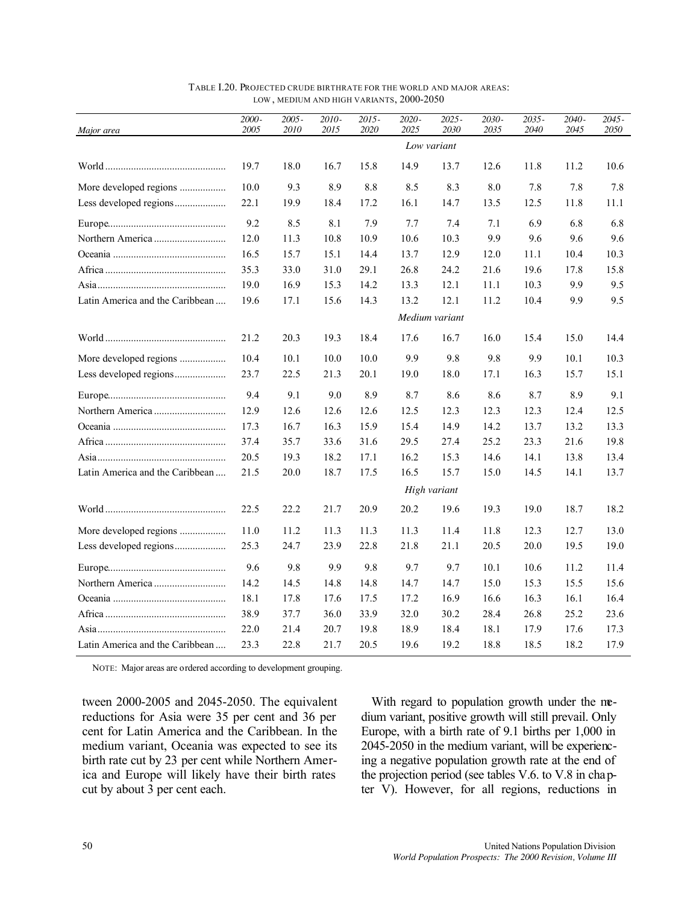| Major area                      | 2000-<br>2005 | $2005 -$<br>2010 | 2010-<br>2015 | $2015 -$<br>2020 | 2020-<br>2025 | 2025 -<br>2030 | 2030-<br>2035 | $2035 -$<br>2040 | $2040 -$<br>2045 | $2045 -$<br>2050 |
|---------------------------------|---------------|------------------|---------------|------------------|---------------|----------------|---------------|------------------|------------------|------------------|
|                                 |               |                  |               |                  |               | Low variant    |               |                  |                  |                  |
|                                 | 19.7          | 18.0             | 16.7          | 15.8             | 14.9          | 13.7           | 12.6          | 11.8             | 11.2             | 10.6             |
| More developed regions          | 10.0          | 9.3              | 8.9           | 8.8              | 8.5           | 8.3            | 8.0           | 7.8              | 7.8              | 7.8              |
| Less developed regions          | 22.1          | 19.9             | 18.4          | 17.2             | 16.1          | 14.7           | 13.5          | 12.5             | 11.8             | 11.1             |
|                                 | 9.2           | 8.5              | 8.1           | 7.9              | 7.7           | 7.4            | 7.1           | 6.9              | 6.8              | 6.8              |
|                                 | 12.0          | 11.3             | 10.8          | 10.9             | 10.6          | 10.3           | 9.9           | 9.6              | 9.6              | 9.6              |
|                                 | 16.5          | 15.7             | 15.1          | 14.4             | 13.7          | 12.9           | 12.0          | 11.1             | 10.4             | 10.3             |
|                                 | 35.3          | 33.0             | 31.0          | 29.1             | 26.8          | 24.2           | 21.6          | 19.6             | 17.8             | 15.8             |
|                                 | 19.0          | 16.9             | 15.3          | 14.2             | 13.3          | 12.1           | 11.1          | 10.3             | 9.9              | 9.5              |
| Latin America and the Caribbean | 19.6          | 17.1             | 15.6          | 14.3             | 13.2          | 12.1           | 11.2          | 10.4             | 9.9              | 9.5              |
|                                 |               |                  |               |                  |               | Medium variant |               |                  |                  |                  |
|                                 | 21.2          | 20.3             | 19.3          | 18.4             | 17.6          | 16.7           | 16.0          | 15.4             | 15.0             | 14.4             |
| More developed regions          | 10.4          | 10.1             | 10.0          | 10.0             | 9.9           | 9.8            | 9.8           | 9.9              | 10.1             | 10.3             |
| Less developed regions          | 23.7          | 22.5             | 21.3          | 20.1             | 19.0          | 18.0           | 17.1          | 16.3             | 15.7             | 15.1             |
|                                 | 9.4           | 9.1              | 9.0           | 8.9              | 8.7           | 8.6            | 8.6           | 8.7              | 8.9              | 9.1              |
|                                 | 12.9          | 12.6             | 12.6          | 12.6             | 12.5          | 12.3           | 12.3          | 12.3             | 12.4             | 12.5             |
|                                 | 17.3          | 16.7             | 16.3          | 15.9             | 15.4          | 14.9           | 14.2          | 13.7             | 13.2             | 13.3             |
|                                 | 37.4          | 35.7             | 33.6          | 31.6             | 29.5          | 27.4           | 25.2          | 23.3             | 21.6             | 19.8             |
|                                 | 20.5          | 19.3             | 18.2          | 17.1             | 16.2          | 15.3           | 14.6          | 14.1             | 13.8             | 13.4             |
| Latin America and the Caribbean | 21.5          | 20.0             | 18.7          | 17.5             | 16.5          | 15.7           | 15.0          | 14.5             | 14.1             | 13.7             |
|                                 |               |                  |               |                  |               | High variant   |               |                  |                  |                  |
|                                 | 22.5          | 22.2             | 21.7          | 20.9             | 20.2          | 19.6           | 19.3          | 19.0             | 18.7             | 18.2             |
| More developed regions          | 11.0          | 11.2             | 11.3          | 11.3             | 11.3          | 11.4           | 11.8          | 12.3             | 12.7             | 13.0             |
| Less developed regions          | 25.3          | 24.7             | 23.9          | 22.8             | 21.8          | 21.1           | 20.5          | 20.0             | 19.5             | 19.0             |
|                                 | 9.6           | 9.8              | 9.9           | 9.8              | 9.7           | 9.7            | 10.1          | 10.6             | 11.2             | 11.4             |
|                                 | 14.2          | 14.5             | 14.8          | 14.8             | 14.7          | 14.7           | 15.0          | 15.3             | 15.5             | 15.6             |
|                                 | 18.1          | 17.8             | 17.6          | 17.5             | 17.2          | 16.9           | 16.6          | 16.3             | 16.1             | 16.4             |
|                                 | 38.9          | 37.7             | 36.0          | 33.9             | 32.0          | 30.2           | 28.4          | 26.8             | 25.2             | 23.6             |
|                                 | 22.0          | 21.4             | 20.7          | 19.8             | 18.9          | 18.4           | 18.1          | 17.9             | 17.6             | 17.3             |
| Latin America and the Caribbean | 23.3          | 22.8             | 21.7          | 20.5             | 19.6          | 19.2           | 18.8          | 18.5             | 18.2             | 17.9             |

TABLE I.20. PROJECTED CRUDE BIRTHRATE FOR THE WORLD AND MAJOR AREAS: LOW , MEDIUM AND HIGH VARIANTS, 2000-2050

NOTE: Major areas are ordered according to development grouping.

tween 2000-2005 and 2045-2050. The equivalent reductions for Asia were 35 per cent and 36 per cent for Latin America and the Caribbean. In the medium variant, Oceania was expected to see its birth rate cut by 23 per cent while Northern America and Europe will likely have their birth rates cut by about 3 per cent each.

With regard to population growth under the medium variant, positive growth will still prevail. Only Europe, with a birth rate of 9.1 births per 1,000 in 2045-2050 in the medium variant, will be experiencing a negative population growth rate at the end of the projection period (see tables V.6. to V.8 in chapter V). However, for all regions, reductions in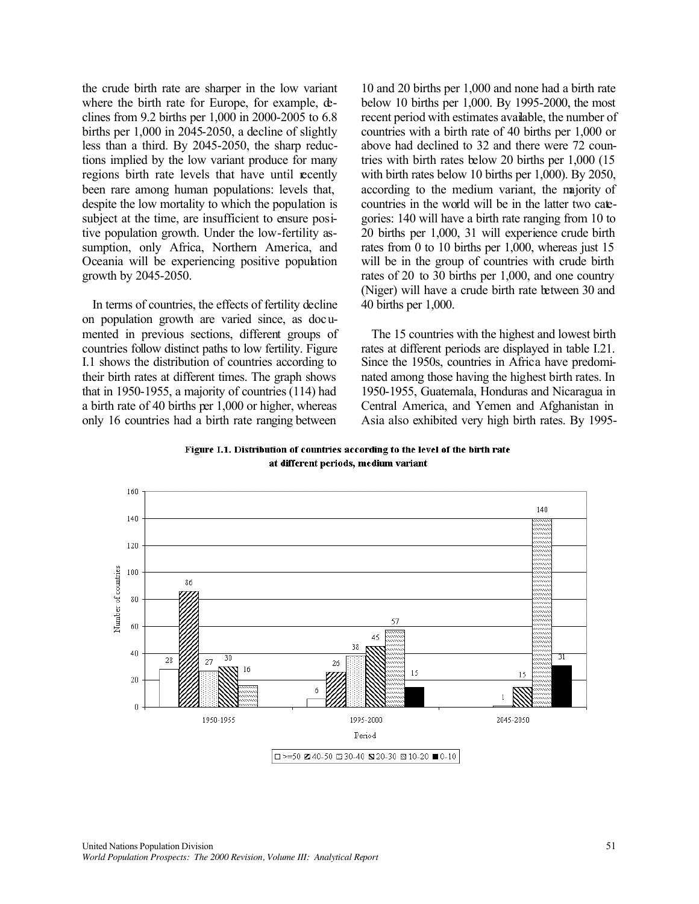the crude birth rate are sharper in the low variant where the birth rate for Europe, for example,  $\Phi$ clines from 9.2 births per 1,000 in 2000-2005 to 6.8 births per 1,000 in 2045-2050, a decline of slightly less than a third. By 2045-2050, the sharp reductions implied by the low variant produce for many regions birth rate levels that have until recently been rare among human populations: levels that, despite the low mortality to which the population is subject at the time, are insufficient to ensure positive population growth. Under the low-fertility assumption, only Africa, Northern America, and Oceania will be experiencing positive population growth by 2045-2050.

In terms of countries, the effects of fertility decline on population growth are varied since, as documented in previous sections, different groups of countries follow distinct paths to low fertility. Figure I.1 shows the distribution of countries according to their birth rates at different times. The graph shows that in 1950-1955, a majority of countries (114) had a birth rate of 40 births per 1,000 or higher, whereas only 16 countries had a birth rate ranging between

10 and 20 births per 1,000 and none had a birth rate below 10 births per 1,000. By 1995-2000, the most recent period with estimates available, the number of countries with a birth rate of 40 births per 1,000 or above had declined to 32 and there were 72 countries with birth rates below 20 births per 1,000 (15 with birth rates below 10 births per 1,000). By 2050, according to the medium variant, the majority of countries in the world will be in the latter two categories: 140 will have a birth rate ranging from 10 to 20 births per 1,000, 31 will experience crude birth rates from 0 to 10 births per 1,000, whereas just 15 will be in the group of countries with crude birth rates of 20 to 30 births per 1,000, and one country (Niger) will have a crude birth rate between 30 and 40 births per 1,000.

The 15 countries with the highest and lowest birth rates at different periods are displayed in table I.21. Since the 1950s, countries in Africa have predominated among those having the highest birth rates. In 1950-1955, Guatemala, Honduras and Nicaragua in Central America, and Yemen and Afghanistan in Asia also exhibited very high birth rates. By 1995-

Figure I.1. Distribution of countries according to the level of the birth rate at different periods, medium variant

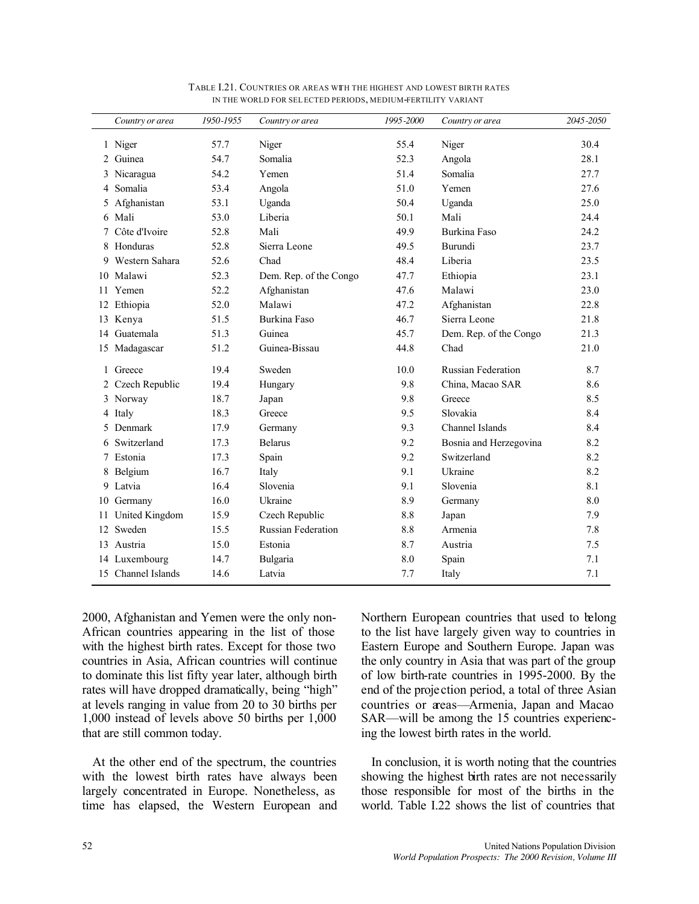|    | Country or area    | 1950-1955 | Country or area           | 1995-2000 | Country or area           | 2045-2050 |
|----|--------------------|-----------|---------------------------|-----------|---------------------------|-----------|
|    | 1 Niger            | 57.7      | Niger                     | 55.4      | Niger                     | 30.4      |
| 2  | Guinea             | 54.7      | Somalia                   | 52.3      | Angola                    | 28.1      |
|    | Nicaragua          | 54.2      | Yemen                     | 51.4      | Somalia                   | 27.7      |
| 4  | Somalia            | 53.4      | Angola                    | 51.0      | Yemen                     | 27.6      |
|    | Afghanistan        | 53.1      | Uganda                    | 50.4      | Uganda                    | 25.0      |
| 6  | Mali               | 53.0      | Liberia                   | 50.1      | Mali                      | 24.4      |
|    | Côte d'Ivoire      | 52.8      | Mali                      | 49.9      | Burkina Faso              | 24.2      |
|    | 8 Honduras         | 52.8      | Sierra Leone              | 49.5      | Burundi                   | 23.7      |
| 9  | Western Sahara     | 52.6      | Chad                      | 48.4      | Liberia                   | 23.5      |
| 10 | Malawi             | 52.3      | Dem. Rep. of the Congo    | 47.7      | Ethiopia                  | 23.1      |
| 11 | Yemen              | 52.2      | Afghanistan               | 47.6      | Malawi                    | 23.0      |
| 12 | Ethiopia           | 52.0      | Malawi                    | 47.2      | Afghanistan               | 22.8      |
| 13 | Kenya              | 51.5      | Burkina Faso              | 46.7      | Sierra Leone              | 21.8      |
| 14 | Guatemala          | 51.3      | Guinea                    | 45.7      | Dem. Rep. of the Congo    | 21.3      |
| 15 | Madagascar         | 51.2      | Guinea-Bissau             | 44.8      | Chad                      | 21.0      |
| 1  | Greece             | 19.4      | Sweden                    | 10.0      | <b>Russian Federation</b> | 8.7       |
|    | Czech Republic     | 19.4      | Hungary                   | 9.8       | China, Macao SAR          | 8.6       |
| 3  | Norway             | 18.7      | Japan                     | 9.8       | Greece                    | 8.5       |
| 4  | Italy              | 18.3      | Greece                    | 9.5       | Slovakia                  | 8.4       |
| 5  | Denmark            | 17.9      | Germany                   | 9.3       | Channel Islands           | 8.4       |
| 6  | Switzerland        | 17.3      | <b>Belarus</b>            | 9.2       | Bosnia and Herzegovina    | 8.2       |
|    | Estonia            | 17.3      | Spain                     | 9.2       | Switzerland               | 8.2       |
|    | Belgium            | 16.7      | Italy                     | 9.1       | Ukraine                   | 8.2       |
| 9  | Latvia             | 16.4      | Slovenia                  | 9.1       | Slovenia                  | 8.1       |
| 10 | Germany            | 16.0      | Ukraine                   | 8.9       | Germany                   | 8.0       |
| 11 | United Kingdom     | 15.9      | Czech Republic            | 8.8       | Japan                     | 7.9       |
| 12 | Sweden             | 15.5      | <b>Russian Federation</b> | 8.8       | Armenia                   | 7.8       |
|    | 13 Austria         | 15.0      | Estonia                   | 8.7       | Austria                   | 7.5       |
| 14 | Luxembourg         | 14.7      | Bulgaria                  | 8.0       | Spain                     | 7.1       |
|    | 15 Channel Islands | 14.6      | Latvia                    | 7.7       | Italy                     | 7.1       |

TABLE I.21. COUNTRIES OR AREAS WITH THE HIGHEST AND LOWEST BIRTH RATES IN THE WORLD FOR SELECTED PERIODS, MEDIUM-FERTILITY VARIANT

2000, Afghanistan and Yemen were the only non-African countries appearing in the list of those with the highest birth rates. Except for those two countries in Asia, African countries will continue to dominate this list fifty year later, although birth rates will have dropped dramatically, being "high" at levels ranging in value from 20 to 30 births per 1,000 instead of levels above 50 births per 1,000 that are still common today.

At the other end of the spectrum, the countries with the lowest birth rates have always been largely concentrated in Europe. Nonetheless, as time has elapsed, the Western European and Northern European countries that used to belong to the list have largely given way to countries in Eastern Europe and Southern Europe. Japan was the only country in Asia that was part of the group of low birth-rate countries in 1995-2000. By the end of the projection period, a total of three Asian countries or areas—Armenia, Japan and Macao SAR—will be among the 15 countries experiencing the lowest birth rates in the world.

In conclusion, it is worth noting that the countries showing the highest birth rates are not necessarily those responsible for most of the births in the world. Table I.22 shows the list of countries that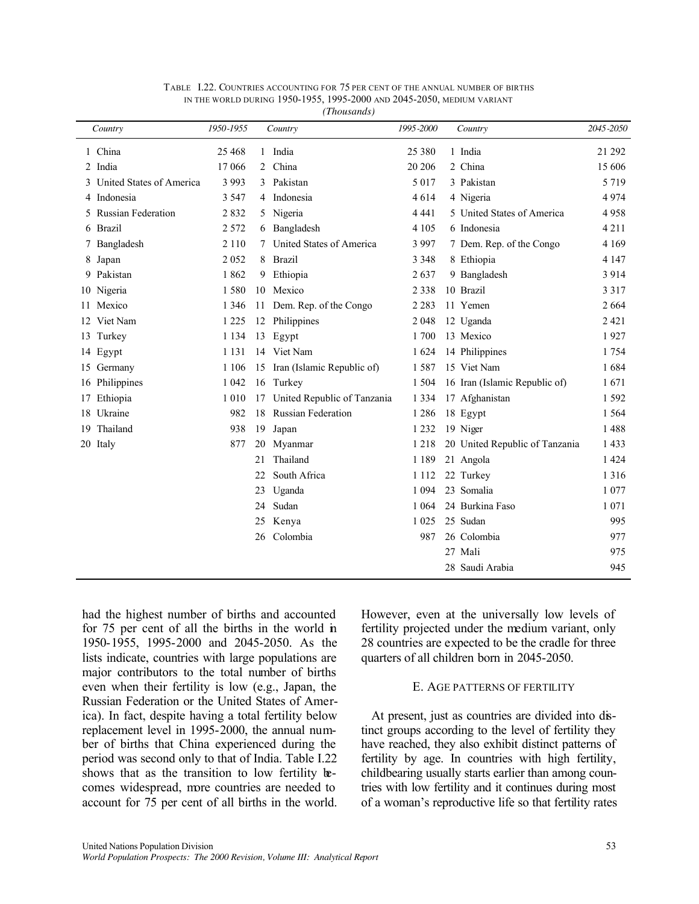| Country |                           | 1950-1955 |    | Country                       | 1995-2000 | Country                        | 2045-2050 |
|---------|---------------------------|-----------|----|-------------------------------|-----------|--------------------------------|-----------|
|         | 1 China                   | 25 4 68   |    | 1 India                       | 25 3 8 0  | 1 India                        | 21 29 2   |
|         | 2 India                   | 17 066    | 2  | China                         | 20 20 6   | 2 China                        | 15 606    |
|         | United States of America  | 3 9 9 3   | 3  | Pakistan                      | 5 0 1 7   | 3 Pakistan                     | 5 7 1 9   |
|         | Indonesia                 | 3 5 4 7   | 4  | Indonesia                     | 4614      | 4 Nigeria                      | 4974      |
| 5.      | <b>Russian Federation</b> | 2832      | 5  | Nigeria                       | 4 4 4 1   | 5 United States of America     | 4958      |
|         | 6 Brazil                  | 2 5 7 2   | 6  | Bangladesh                    | 4 1 0 5   | 6 Indonesia                    | 4 2 1 1   |
|         | 7 Bangladesh              | 2 1 1 0   |    | United States of America      | 3 9 9 7   | 7 Dem. Rep. of the Congo       | 4 1 6 9   |
| 8       | Japan                     | 2 0 5 2   | 8  | <b>Brazil</b>                 | 3 3 4 8   | 8 Ethiopia                     | 4 1 4 7   |
|         | 9 Pakistan                | 1862      | 9  | Ethiopia                      | 2637      | 9 Bangladesh                   | 3914      |
|         | 10 Nigeria                | 1580      | 10 | Mexico                        | 2 3 3 8   | 10 Brazil                      | 3 3 1 7   |
| 11.     | Mexico                    | 1 3 4 6   |    | 11 Dem. Rep. of the Congo     | 2 2 8 3   | 11 Yemen                       | 2 6 6 4   |
| 12      | Viet Nam                  | 1 2 2 5   | 12 | Philippines                   | 2 0 4 8   | 12 Uganda                      | 2421      |
|         | 13 Turkey                 | 1 1 3 4   | 13 | Egypt                         | 1700      | 13 Mexico                      | 1927      |
|         | 14 Egypt                  | 1 1 3 1   | 14 | Viet Nam                      | 1 6 2 4   | 14 Philippines                 | 1754      |
|         | 15 Germany                | 1 1 0 6   |    | 15 Iran (Islamic Republic of) | 1587      | 15 Viet Nam                    | 1684      |
|         | 16 Philippines            | 1 0 4 2   | 16 | Turkey                        | 1 5 0 4   | 16 Iran (Islamic Republic of)  | 1671      |
| 17      | Ethiopia                  | 1 0 1 0   | 17 | United Republic of Tanzania   | 1 3 3 4   | 17 Afghanistan                 | 1592      |
| 18      | Ukraine                   | 982       | 18 | <b>Russian Federation</b>     | 1 2 8 6   | 18 Egypt                       | 1 5 6 4   |
|         | 19 Thailand               | 938       | 19 | Japan                         | 1 2 3 2   | 19 Niger                       | 1488      |
|         | 20 Italy                  | 877       | 20 | Myanmar                       | 1 2 1 8   | 20 United Republic of Tanzania | 1433      |
|         |                           |           | 21 | Thailand                      | 1 1 8 9   | 21 Angola                      | 1 4 2 4   |
|         |                           |           | 22 | South Africa                  | 1 1 1 2   | 22 Turkey                      | 1 3 1 6   |
|         |                           |           | 23 | Uganda                        | 1 0 9 4   | 23 Somalia                     | 1 0 7 7   |
|         |                           |           | 24 | Sudan                         | 1 0 6 4   | 24 Burkina Faso                | 1 0 7 1   |
|         |                           |           | 25 | Kenya                         | 1 0 2 5   | 25 Sudan                       | 995       |
|         |                           |           | 26 | Colombia                      | 987       | 26 Colombia                    | 977       |
|         |                           |           |    |                               |           | 27 Mali                        | 975       |
|         |                           |           |    |                               |           | 28 Saudi Arabia                | 945       |

|  | TABLE I.22. COUNTRIES ACCOUNTING FOR 75 PER CENT OF THE ANNUAL NUMBER OF BIRTHS |  |  |  |  |  |
|--|---------------------------------------------------------------------------------|--|--|--|--|--|
|  | in the world during 1950-1955, 1995-2000 and 2045-2050, medium variant          |  |  |  |  |  |

*(Thousands)*

had the highest number of births and accounted for 75 per cent of all the births in the world in 1950-1955, 1995-2000 and 2045-2050. As the lists indicate, countries with large populations are major contributors to the total number of births even when their fertility is low (e.g., Japan, the Russian Federation or the United States of America). In fact, despite having a total fertility below replacement level in 1995-2000, the annual number of births that China experienced during the period was second only to that of India. Table I.22 shows that as the transition to low fertility becomes widespread, more countries are needed to account for 75 per cent of all births in the world. However, even at the universally low levels of fertility projected under the medium variant, only 28 countries are expected to be the cradle for three quarters of all children born in 2045-2050.

### E. AGE PATTERNS OF FERTILITY

At present, just as countries are divided into distinct groups according to the level of fertility they have reached, they also exhibit distinct patterns of fertility by age. In countries with high fertility, childbearing usually starts earlier than among countries with low fertility and it continues during most of a woman's reproductive life so that fertility rates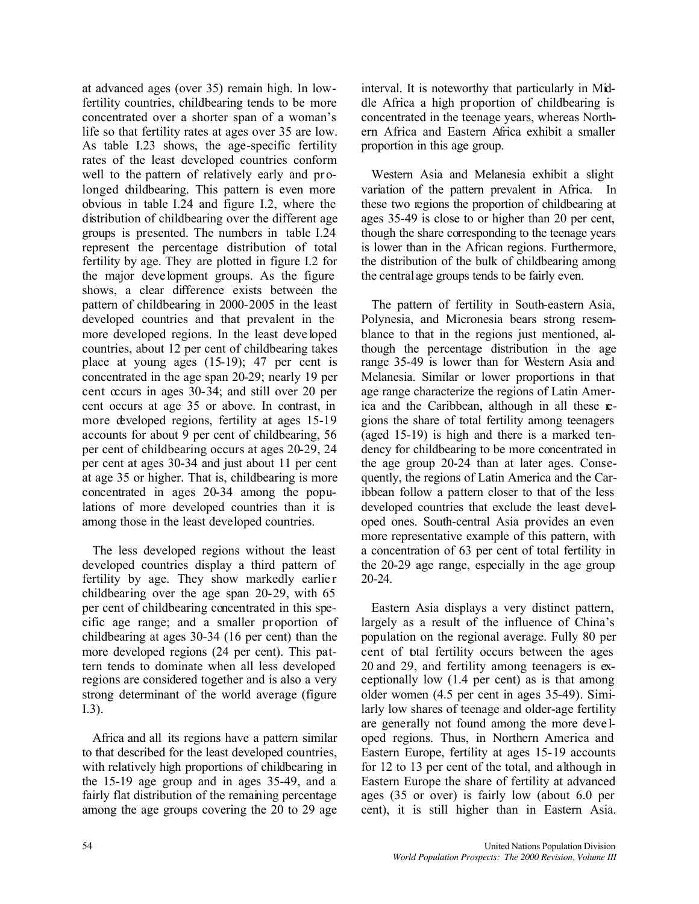at advanced ages (over 35) remain high. In lowfertility countries, childbearing tends to be more concentrated over a shorter span of a woman's life so that fertility rates at ages over 35 are low. As table I.23 shows, the age-specific fertility rates of the least developed countries conform well to the pattern of relatively early and prolonged childbearing. This pattern is even more obvious in table I.24 and figure I.2, where the distribution of childbearing over the different age groups is presented. The numbers in table I.24 represent the percentage distribution of total fertility by age. They are plotted in figure I.2 for the major deve lopment groups. As the figure shows, a clear difference exists between the pattern of childbearing in 2000-2005 in the least developed countries and that prevalent in the more developed regions. In the least deve loped countries, about 12 per cent of childbearing takes place at young ages (15-19); 47 per cent is concentrated in the age span 20-29; nearly 19 per cent occurs in ages 30-34; and still over 20 per cent occurs at age 35 or above. In contrast, in more developed regions, fertility at ages 15-19 accounts for about 9 per cent of childbearing, 56 per cent of childbearing occurs at ages 20-29, 24 per cent at ages 30-34 and just about 11 per cent at age 35 or higher. That is, childbearing is more concentrated in ages 20-34 among the populations of more developed countries than it is among those in the least developed countries.

The less developed regions without the least developed countries display a third pattern of fertility by age. They show markedly earlier childbearing over the age span 20-29, with 65 per cent of childbearing concentrated in this specific age range; and a smaller pr oportion of childbearing at ages 30-34 (16 per cent) than the more developed regions (24 per cent). This pattern tends to dominate when all less developed regions are considered together and is also a very strong determinant of the world average (figure I.3).

Africa and all its regions have a pattern similar to that described for the least developed countries, with relatively high proportions of childbearing in the 15-19 age group and in ages 35-49, and a fairly flat distribution of the remaining percentage among the age groups covering the 20 to 29 age interval. It is noteworthy that particularly in Middle Africa a high proportion of childbearing is concentrated in the teenage years, whereas Northern Africa and Eastern Africa exhibit a smaller proportion in this age group.

Western Asia and Melanesia exhibit a slight variation of the pattern prevalent in Africa. In these two regions the proportion of childbearing at ages 35-49 is close to or higher than 20 per cent, though the share corresponding to the teenage years is lower than in the African regions. Furthermore, the distribution of the bulk of childbearing among the central age groups tends to be fairly even.

The pattern of fertility in South-eastern Asia, Polynesia, and Micronesia bears strong resemblance to that in the regions just mentioned, although the percentage distribution in the age range 35-49 is lower than for Western Asia and Melanesia. Similar or lower proportions in that age range characterize the regions of Latin America and the Caribbean, although in all these regions the share of total fertility among teenagers (aged 15-19) is high and there is a marked tendency for childbearing to be more concentrated in the age group 20-24 than at later ages. Consequently, the regions of Latin America and the Caribbean follow a pattern closer to that of the less developed countries that exclude the least developed ones. South-central Asia provides an even more representative example of this pattern, with a concentration of 63 per cent of total fertility in the 20-29 age range, especially in the age group 20-24.

Eastern Asia displays a very distinct pattern, largely as a result of the influence of China's population on the regional average. Fully 80 per cent of total fertility occurs between the ages 20 and 29, and fertility among teenagers is exceptionally low (1.4 per cent) as is that among older women (4.5 per cent in ages 35-49). Similarly low shares of teenage and older-age fertility are generally not found among the more deve loped regions. Thus, in Northern America and Eastern Europe, fertility at ages 15-19 accounts for 12 to 13 per cent of the total, and although in Eastern Europe the share of fertility at advanced ages (35 or over) is fairly low (about 6.0 per cent), it is still higher than in Eastern Asia.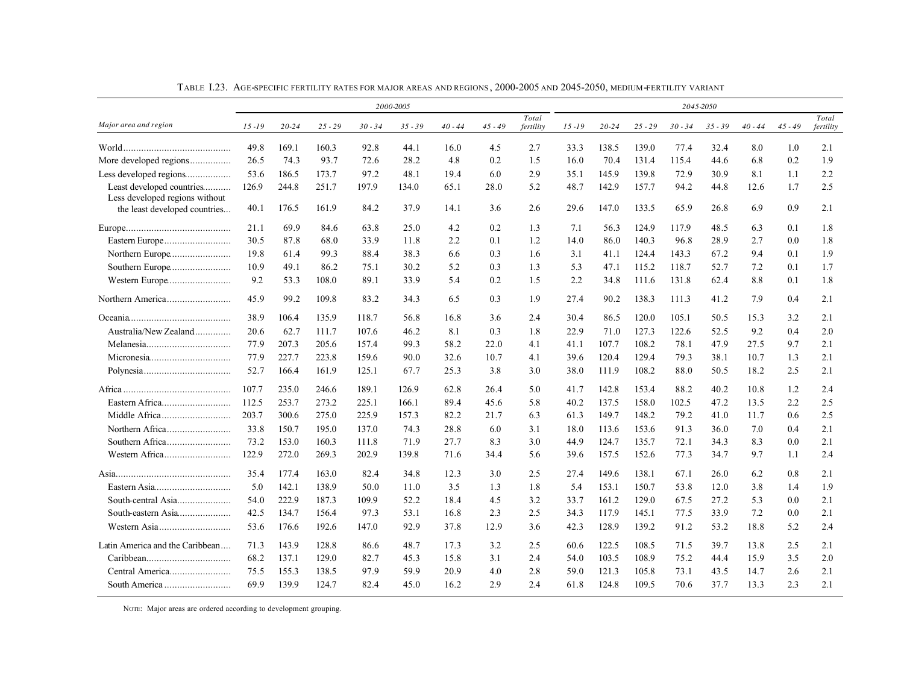|                                                             |           |           |           |           | 2000-2005 |           | 2045-2050 |                    |           |           |           |           |           |           |           |                    |
|-------------------------------------------------------------|-----------|-----------|-----------|-----------|-----------|-----------|-----------|--------------------|-----------|-----------|-----------|-----------|-----------|-----------|-----------|--------------------|
| Major area and region                                       | $15 - 19$ | $20 - 24$ | $25 - 29$ | $30 - 34$ | $35 - 39$ | $40 - 44$ | $45 - 49$ | Total<br>fertility | $15 - 19$ | $20 - 24$ | $25 - 29$ | $30 - 34$ | $35 - 39$ | $40 - 44$ | $45 - 49$ | Total<br>fertility |
|                                                             | 49.8      | 169.1     | 160.3     | 92.8      | 44.1      | 16.0      | 4.5       | 2.7                | 33.3      | 138.5     | 139.0     | 77.4      | 32.4      | 8.0       | 1.0       | 2.1                |
| More developed regions                                      | 26.5      | 74.3      | 93.7      | 72.6      | 28.2      | 4.8       | 0.2       | 1.5                | 16.0      | 70.4      | 131.4     | 115.4     | 44.6      | 6.8       | 0.2       | 1.9                |
| Less developed regions                                      | 53.6      | 186.5     | 173.7     | 97.2      | 48.1      | 19.4      | 6.0       | 2.9                | 35.1      | 145.9     | 139.8     | 72.9      | 30.9      | 8.1       | 1.1       | 2.2                |
| Least developed countries<br>Less developed regions without | 126.9     | 244.8     | 251.7     | 197.9     | 134.0     | 65.1      | 28.0      | 5.2                | 48.7      | 142.9     | 157.7     | 94.2      | 44.8      | 12.6      | 1.7       | 2.5                |
| the least developed countries                               | 40.1      | 176.5     | 161.9     | 84.2      | 37.9      | 14.1      | 3.6       | 2.6                | 29.6      | 147.0     | 133.5     | 65.9      | 26.8      | 6.9       | 0.9       | 2.1                |
|                                                             | 21.1      | 69.9      | 84.6      | 63.8      | 25.0      | 4.2       | 0.2       | 1.3                | 7.1       | 56.3      | 124.9     | 117.9     | 48.5      | 6.3       | 0.1       | 1.8                |
|                                                             | 30.5      | 87.8      | 68.0      | 33.9      | 11.8      | 2.2       | 0.1       | 1.2                | 14.0      | 86.0      | 140.3     | 96.8      | 28.9      | 2.7       | 0.0       | 1.8                |
|                                                             | 19.8      | 61.4      | 99.3      | 88.4      | 38.3      | 6.6       | 0.3       | 1.6                | 3.1       | 41.1      | 124.4     | 143.3     | 67.2      | 9.4       | 0.1       | 1.9                |
|                                                             | 10.9      | 49.1      | 86.2      | 75.1      | 30.2      | 5.2       | 0.3       | 1.3                | 5.3       | 47.1      | 115.2     | 118.7     | 52.7      | 7.2       | 0.1       | 1.7                |
| Western Europe                                              | 9.2       | 53.3      | 108.0     | 89.1      | 33.9      | 5.4       | 0.2       | 1.5                | 2.2       | 34.8      | 111.6     | 131.8     | 62.4      | 8.8       | 0.1       | 1.8                |
|                                                             | 45.9      | 99.2      | 109.8     | 83.2      | 34.3      | 6.5       | 0.3       | 1.9                | 27.4      | 90.2      | 138.3     | 111.3     | 41.2      | 7.9       | 0.4       | 2.1                |
|                                                             | 38.9      | 106.4     | 135.9     | 118.7     | 56.8      | 16.8      | 3.6       | 2.4                | 30.4      | 86.5      | 120.0     | 105.1     | 50.5      | 15.3      | 3.2       | 2.1                |
| Australia/New Zealand                                       | 20.6      | 62.7      | 111.7     | 107.6     | 46.2      | 8.1       | 0.3       | 1.8                | 22.9      | 71.0      | 127.3     | 122.6     | 52.5      | 9.2       | 0.4       | 2.0                |
|                                                             | 77.9      | 207.3     | 205.6     | 157.4     | 99.3      | 58.2      | 22.0      | 4.1                | 41.1      | 107.7     | 108.2     | 78.1      | 47.9      | 27.5      | 9.7       | 2.1                |
|                                                             | 77.9      | 227.7     | 223.8     | 159.6     | 90.0      | 32.6      | 10.7      | 4.1                | 39.6      | 120.4     | 129.4     | 79.3      | 38.1      | 10.7      | 1.3       | 2.1                |
|                                                             | 52.7      | 166.4     | 161.9     | 125.1     | 67.7      | 25.3      | 3.8       | 3.0                | 38.0      | 111.9     | 108.2     | 88.0      | 50.5      | 18.2      | 2.5       | 2.1                |
|                                                             | 107.7     | 235.0     | 246.6     | 189.1     | 126.9     | 62.8      | 26.4      | 5.0                | 41.7      | 142.8     | 153.4     | 88.2      | 40.2      | 10.8      | 1.2       | 2.4                |
|                                                             | 112.5     | 253.7     | 273.2     | 225.1     | 166.1     | 89.4      | 45.6      | 5.8                | 40.2      | 137.5     | 158.0     | 102.5     | 47.2      | 13.5      | 2.2       | 2.5                |
|                                                             | 203.7     | 300.6     | 275.0     | 225.9     | 157.3     | 82.2      | 21.7      | 6.3                | 61.3      | 149.7     | 148.2     | 79.2      | 41.0      | 11.7      | 0.6       | 2.5                |
|                                                             | 33.8      | 150.7     | 195.0     | 137.0     | 74.3      | 28.8      | 6.0       | 3.1                | 18.0      | 113.6     | 153.6     | 91.3      | 36.0      | 7.0       | 0.4       | 2.1                |
|                                                             | 73.2      | 153.0     | 160.3     | 111.8     | 71.9      | 27.7      | 8.3       | 3.0                | 44.9      | 124.7     | 135.7     | 72.1      | 34.3      | 8.3       | 0.0       | 2.1                |
|                                                             | 122.9     | 272.0     | 269.3     | 202.9     | 139.8     | 71.6      | 34.4      | 5.6                | 39.6      | 157.5     | 152.6     | 77.3      | 34.7      | 9.7       | 1.1       | 2.4                |
|                                                             | 35.4      | 177.4     | 163.0     | 82.4      | 34.8      | 12.3      | 3.0       | 2.5                | 27.4      | 149.6     | 138.1     | 67.1      | 26.0      | 6.2       | 0.8       | 2.1                |
|                                                             | 5.0       | 142.1     | 138.9     | 50.0      | 11.0      | 3.5       | 1.3       | 1.8                | 5.4       | 153.1     | 150.7     | 53.8      | 12.0      | 3.8       | 1.4       | 1.9                |
|                                                             | 54.0      | 222.9     | 187.3     | 109.9     | 52.2      | 18.4      | 4.5       | 3.2                | 33.7      | 161.2     | 129.0     | 67.5      | 27.2      | 5.3       | 0.0       | 2.1                |
|                                                             | 42.5      | 134.7     | 156.4     | 97.3      | 53.1      | 16.8      | 2.3       | 2.5                | 34.3      | 117.9     | 145.1     | 77.5      | 33.9      | 7.2       | 0.0       | 2.1                |
|                                                             | 53.6      | 176.6     | 192.6     | 147.0     | 92.9      | 37.8      | 12.9      | 3.6                | 42.3      | 128.9     | 139.2     | 91.2      | 53.2      | 18.8      | 5.2       | 2.4                |
| Latin America and the Caribbean                             | 71.3      | 143.9     | 128.8     | 86.6      | 48.7      | 17.3      | 3.2       | 2.5                | 60.6      | 122.5     | 108.5     | 71.5      | 39.7      | 13.8      | 2.5       | 2.1                |
|                                                             | 68.2      | 137.1     | 129.0     | 82.7      | 45.3      | 15.8      | 3.1       | 2.4                | 54.0      | 103.5     | 108.9     | 75.2      | 44.4      | 15.9      | 3.5       | 2.0                |
|                                                             | 75.5      | 155.3     | 138.5     | 97.9      | 59.9      | 20.9      | 4.0       | 2.8                | 59.0      | 121.3     | 105.8     | 73.1      | 43.5      | 14.7      | 2.6       | 2.1                |
|                                                             | 69.9      | 139.9     | 124.7     | 82.4      | 45.0      | 16.2      | 2.9       | 2.4                | 61.8      | 124.8     | 109.5     | 70.6      | 37.7      | 13.3      | 2.3       | 2.1                |

TABLE I.23. AGE-SPECIFIC FERTILITY RATES FOR MAJOR AREAS AND REGIONS, 2000-2005 AND 2045-2050, MEDIUM-FERTILITY VARIANT

NOTE: Major areas are ordered according to development grouping.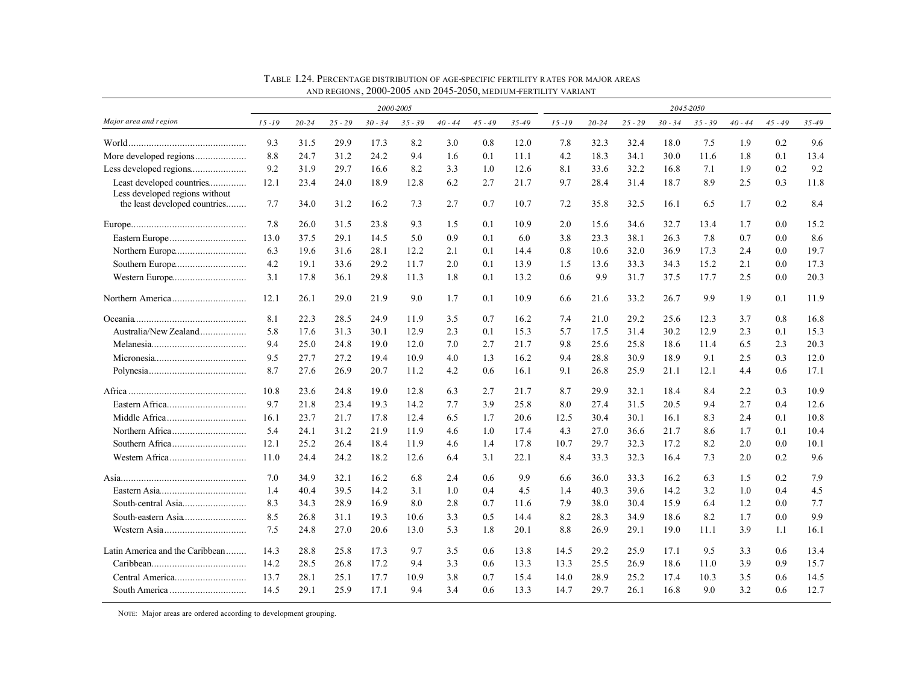|                                                                 | 2000-2005 |           |           |           |           |           |           |       | 2045-2050 |           |           |           |           |           |           |       |
|-----------------------------------------------------------------|-----------|-----------|-----------|-----------|-----------|-----------|-----------|-------|-----------|-----------|-----------|-----------|-----------|-----------|-----------|-------|
| Major area and r egion                                          | $15 - 19$ | $20 - 24$ | $25 - 29$ | $30 - 34$ | $35 - 39$ | $40 - 44$ | $45 - 49$ | 35-49 | $15 - 19$ | $20 - 24$ | $25 - 29$ | $30 - 34$ | $35 - 39$ | $40 - 44$ | $45 - 49$ | 35-49 |
|                                                                 | 9.3       | 31.5      | 29.9      | 17.3      | 8.2       | 3.0       | 0.8       | 12.0  | 7.8       | 32.3      | 32.4      | 18.0      | 7.5       | 1.9       | 0.2       | 9.6   |
|                                                                 | 8.8       | 24.7      | 31.2      | 24.2      | 9.4       | 1.6       | 0.1       | 11.1  | 4.2       | 18.3      | 34.1      | 30.0      | 11.6      | 1.8       | 0.1       | 13.4  |
|                                                                 | 9.2       | 31.9      | 29.7      | 16.6      | 8.2       | 3.3       | 1.0       | 12.6  | 8.1       | 33.6      | 32.2      | 16.8      | 7.1       | 1.9       | 0.2       | 9.2   |
| Least developed countries                                       | 12.1      | 23.4      | 24.0      | 18.9      | 12.8      | 6.2       | 2.7       | 21.7  | 9.7       | 28.4      | 31.4      | 18.7      | 8.9       | 2.5       | 0.3       | 11.8  |
| Less developed regions without<br>the least developed countries | 7.7       | 34.0      | 31.2      | 16.2      | 7.3       | 2.7       | 0.7       | 10.7  | 7.2       | 35.8      | 32.5      | 16.1      | 6.5       | 1.7       | 0.2       | 8.4   |
|                                                                 | 7.8       | 26.0      | 31.5      | 23.8      | 9.3       | 1.5       | 0.1       | 10.9  | 2.0       | 15.6      | 34.6      | 32.7      | 13.4      | 1.7       | 0.0       | 15.2  |
|                                                                 | 13.0      | 37.5      | 29.1      | 14.5      | 5.0       | 0.9       | 0.1       | 6.0   | 3.8       | 23.3      | 38.1      | 26.3      | 7.8       | 0.7       | 0.0       | 8.6   |
|                                                                 | 6.3       | 19.6      | 31.6      | 28.1      | 12.2      | 2.1       | 0.1       | 14.4  | 0.8       | 10.6      | 32.0      | 36.9      | 17.3      | 2.4       | 0.0       | 19.7  |
|                                                                 | 4.2       | 19.1      | 33.6      | 29.2      | 11.7      | 2.0       | 0.1       | 13.9  | 1.5       | 13.6      | 33.3      | 34.3      | 15.2      | 2.1       | 0.0       | 17.3  |
|                                                                 | 3.1       | 17.8      | 36.1      | 29.8      | 11.3      | 1.8       | 0.1       | 13.2  | 0.6       | 9.9       | 31.7      | 37.5      | 17.7      | 2.5       | 0.0       | 20.3  |
|                                                                 | 12.1      | 26.1      | 29.0      | 21.9      | 9.0       | 1.7       | 0.1       | 10.9  | 6.6       | 21.6      | 33.2      | 26.7      | 9.9       | 1.9       | 0.1       | 11.9  |
|                                                                 | 8.1       | 22.3      | 28.5      | 24.9      | 11.9      | 3.5       | 0.7       | 16.2  | 7.4       | 21.0      | 29.2      | 25.6      | 12.3      | 3.7       | 0.8       | 16.8  |
| Australia/New Zealand                                           | 5.8       | 17.6      | 31.3      | 30.1      | 12.9      | 2.3       | 0.1       | 15.3  | 5.7       | 17.5      | 31.4      | 30.2      | 12.9      | 2.3       | 0.1       | 15.3  |
|                                                                 | 9.4       | 25.0      | 24.8      | 19.0      | 12.0      | 7.0       | 2.7       | 21.7  | 9.8       | 25.6      | 25.8      | 18.6      | 11.4      | 6.5       | 2.3       | 20.3  |
|                                                                 | 9.5       | 27.7      | 27.2      | 19.4      | 10.9      | 4.0       | 1.3       | 16.2  | 9.4       | 28.8      | 30.9      | 18.9      | 9.1       | 2.5       | 0.3       | 12.0  |
|                                                                 | 8.7       | 27.6      | 26.9      | 20.7      | 11.2      | 4.2       | 0.6       | 16.1  | 9.1       | 26.8      | 25.9      | 21.1      | 12.1      | 4.4       | 0.6       | 17.1  |
|                                                                 | 10.8      | 23.6      | 24.8      | 19.0      | 12.8      | 6.3       | 2.7       | 21.7  | 8.7       | 29.9      | 32.1      | 18.4      | 8.4       | 2.2       | 0.3       | 10.9  |
|                                                                 | 9.7       | 21.8      | 23.4      | 19.3      | 14.2      | 7.7       | 3.9       | 25.8  | 8.0       | 27.4      | 31.5      | 20.5      | 9.4       | 2.7       | 0.4       | 12.6  |
|                                                                 | 16.1      | 23.7      | 21.7      | 17.8      | 12.4      | 6.5       | 1.7       | 20.6  | 12.5      | 30.4      | 30.1      | 16.1      | 8.3       | 2.4       | 0.1       | 10.8  |
|                                                                 | 5.4       | 24.1      | 31.2      | 21.9      | 11.9      | 4.6       | 1.0       | 17.4  | 4.3       | 27.0      | 36.6      | 21.7      | 8.6       | 1.7       | 0.1       | 10.4  |
|                                                                 | 12.1      | 25.2      | 26.4      | 18.4      | 11.9      | 4.6       | 1.4       | 17.8  | 10.7      | 29.7      | 32.3      | 17.2      | 8.2       | 2.0       | 0.0       | 10.1  |
|                                                                 | 11.0      | 24.4      | 24.2      | 18.2      | 12.6      | 6.4       | 3.1       | 22.1  | 8.4       | 33.3      | 32.3      | 16.4      | 7.3       | 2.0       | 0.2       | 9.6   |
|                                                                 | 7.0       | 34.9      | 32.1      | 16.2      | 6.8       | 2.4       | 0.6       | 9.9   | 6.6       | 36.0      | 33.3      | 16.2      | 6.3       | 1.5       | 0.2       | 7.9   |
|                                                                 | 1.4       | 40.4      | 39.5      | 14.2      | 3.1       | 1.0       | 0.4       | 4.5   | 1.4       | 40.3      | 39.6      | 14.2      | 3.2       | 1.0       | 0.4       | 4.5   |
|                                                                 | 8.3       | 34.3      | 28.9      | 16.9      | 8.0       | 2.8       | 0.7       | 11.6  | 7.9       | 38.0      | 30.4      | 15.9      | 6.4       | 1.2       | 0.0       | 7.7   |
|                                                                 | 8.5       | 26.8      | 31.1      | 19.3      | 10.6      | 3.3       | 0.5       | 14.4  | 8.2       | 28.3      | 34.9      | 18.6      | 8.2       | 1.7       | 0.0       | 9.9   |
|                                                                 | 7.5       | 24.8      | 27.0      | 20.6      | 13.0      | 5.3       | 1.8       | 20.1  | 8.8       | 26.9      | 29.1      | 19.0      | 11.1      | 3.9       | 1.1       | 16.1  |
| Latin America and the Caribbean                                 | 14.3      | 28.8      | 25.8      | 17.3      | 9.7       | 3.5       | 0.6       | 13.8  | 14.5      | 29.2      | 25.9      | 17.1      | 9.5       | 3.3       | 0.6       | 13.4  |
|                                                                 | 14.2      | 28.5      | 26.8      | 17.2      | 9.4       | 3.3       | 0.6       | 13.3  | 13.3      | 25.5      | 26.9      | 18.6      | 11.0      | 3.9       | 0.9       | 15.7  |
|                                                                 | 13.7      | 28.1      | 25.1      | 17.7      | 10.9      | 3.8       | 0.7       | 15.4  | 14.0      | 28.9      | 25.2      | 17.4      | 10.3      | 3.5       | 0.6       | 14.5  |
|                                                                 | 14.5      | 29.1      | 25.9      | 17.1      | 9.4       | 3.4       | 0.6       | 13.3  | 14.7      | 29.7      | 26.1      | 16.8      | 9.0       | 3.2       | 0.6       | 12.7  |

TABLE I.24. PERCENTAGE DISTRIBUTION OF AGE-SPECIFIC FERTILITY RATES FOR MAJOR AREAS AND REGIONS , 2000-2005 AND 2045-2050, MEDIUM-FERTILITY VARIANT

NOTE: Major areas are ordered according to development grouping.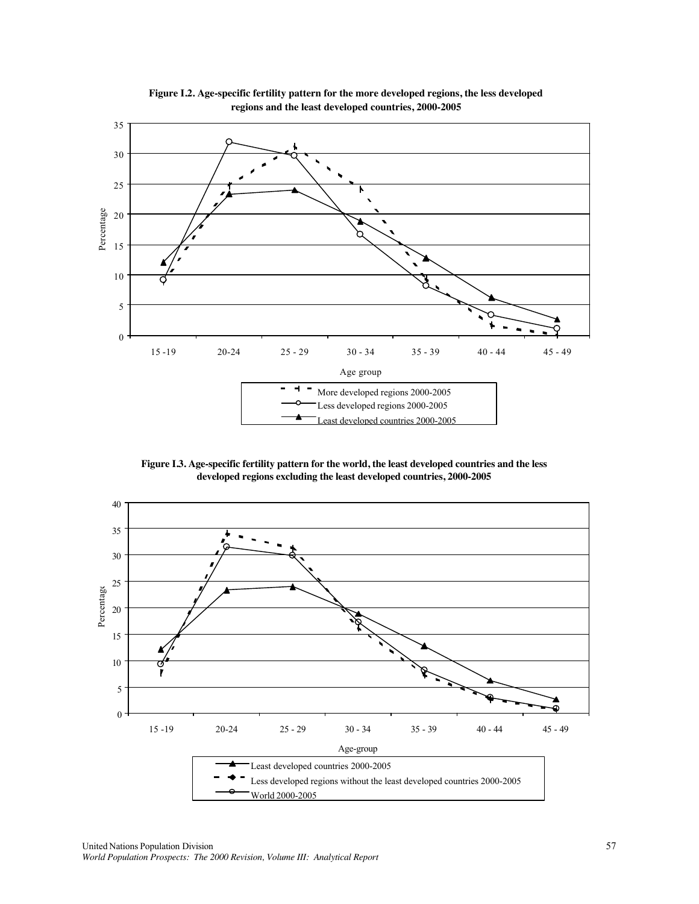

**Figure I.2. Age-specific fertility pattern for the more developed regions, the less developed regions and the least developed countries, 2000-2005**

**Figure I.3. Age-specific fertility pattern for the world, the least developed countries and the less developed regions excluding the least developed countries, 2000-2005**

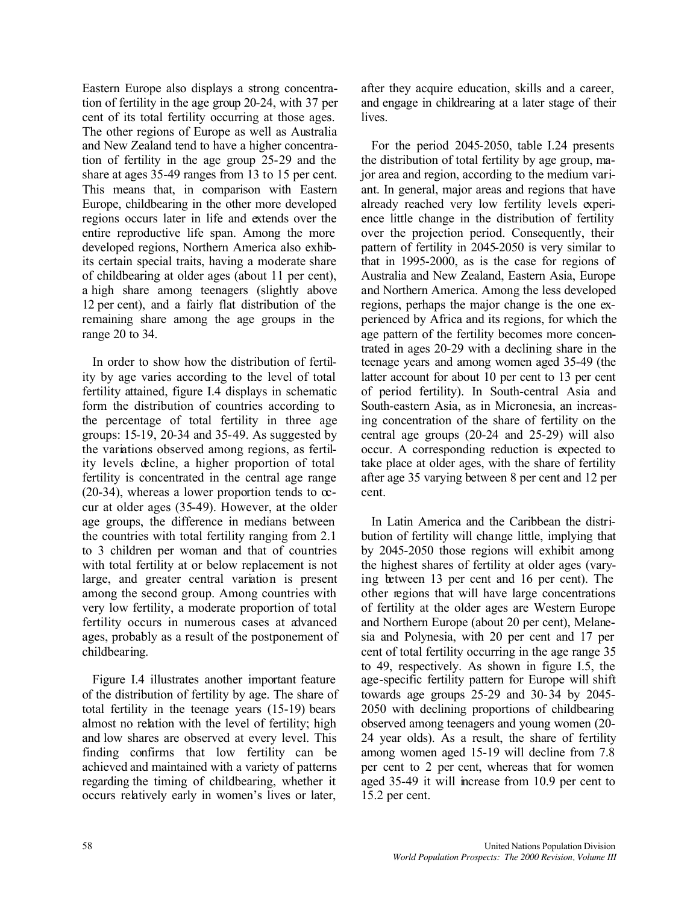Eastern Europe also displays a strong concentration of fertility in the age group 20-24, with 37 per cent of its total fertility occurring at those ages. The other regions of Europe as well as Australia and New Zealand tend to have a higher concentration of fertility in the age group 25-29 and the share at ages 35-49 ranges from 13 to 15 per cent. This means that, in comparison with Eastern Europe, childbearing in the other more developed regions occurs later in life and extends over the entire reproductive life span. Among the more developed regions, Northern America also exhibits certain special traits, having a moderate share of childbearing at older ages (about 11 per cent), a high share among teenagers (slightly above 12 per cent), and a fairly flat distribution of the remaining share among the age groups in the range 20 to 34.

In order to show how the distribution of fertility by age varies according to the level of total fertility attained, figure I.4 displays in schematic form the distribution of countries according to the percentage of total fertility in three age groups: 15-19, 20-34 and 35-49. As suggested by the variations observed among regions, as fertility levels decline, a higher proportion of total fertility is concentrated in the central age range  $(20-34)$ , whereas a lower proportion tends to  $\infty$ cur at older ages (35-49). However, at the older age groups, the difference in medians between the countries with total fertility ranging from 2.1 to 3 children per woman and that of countries with total fertility at or below replacement is not large, and greater central variation is present among the second group. Among countries with very low fertility, a moderate proportion of total fertility occurs in numerous cases at advanced ages, probably as a result of the postponement of childbearing.

Figure I.4 illustrates another important feature of the distribution of fertility by age. The share of total fertility in the teenage years (15-19) bears almost no relation with the level of fertility; high and low shares are observed at every level. This finding confirms that low fertility can be achieved and maintained with a variety of patterns regarding the timing of childbearing, whether it occurs relatively early in women's lives or later,

after they acquire education, skills and a career, and engage in childrearing at a later stage of their lives.

For the period 2045-2050, table I.24 presents the distribution of total fertility by age group, major area and region, according to the medium variant. In general, major areas and regions that have already reached very low fertility levels experience little change in the distribution of fertility over the projection period. Consequently, their pattern of fertility in 2045-2050 is very similar to that in 1995-2000, as is the case for regions of Australia and New Zealand, Eastern Asia, Europe and Northern America. Among the less developed regions, perhaps the major change is the one experienced by Africa and its regions, for which the age pattern of the fertility becomes more concentrated in ages 20-29 with a declining share in the teenage years and among women aged 35-49 (the latter account for about 10 per cent to 13 per cent of period fertility). In South-central Asia and South-eastern Asia, as in Micronesia, an increasing concentration of the share of fertility on the central age groups (20-24 and 25-29) will also occur. A corresponding reduction is expected to take place at older ages, with the share of fertility after age 35 varying between 8 per cent and 12 per cent.

In Latin America and the Caribbean the distribution of fertility will change little, implying that by 2045-2050 those regions will exhibit among the highest shares of fertility at older ages (varying between 13 per cent and 16 per cent). The other regions that will have large concentrations of fertility at the older ages are Western Europe and Northern Europe (about 20 per cent), Melanesia and Polynesia, with 20 per cent and 17 per cent of total fertility occurring in the age range 35 to 49, respectively. As shown in figure I.5, the age-specific fertility pattern for Europe will shift towards age groups 25-29 and 30-34 by 2045- 2050 with declining proportions of childbearing observed among teenagers and young women (20- 24 year olds). As a result, the share of fertility among women aged 15-19 will decline from 7.8 per cent to 2 per cent, whereas that for women aged 35-49 it will increase from 10.9 per cent to 15.2 per cent.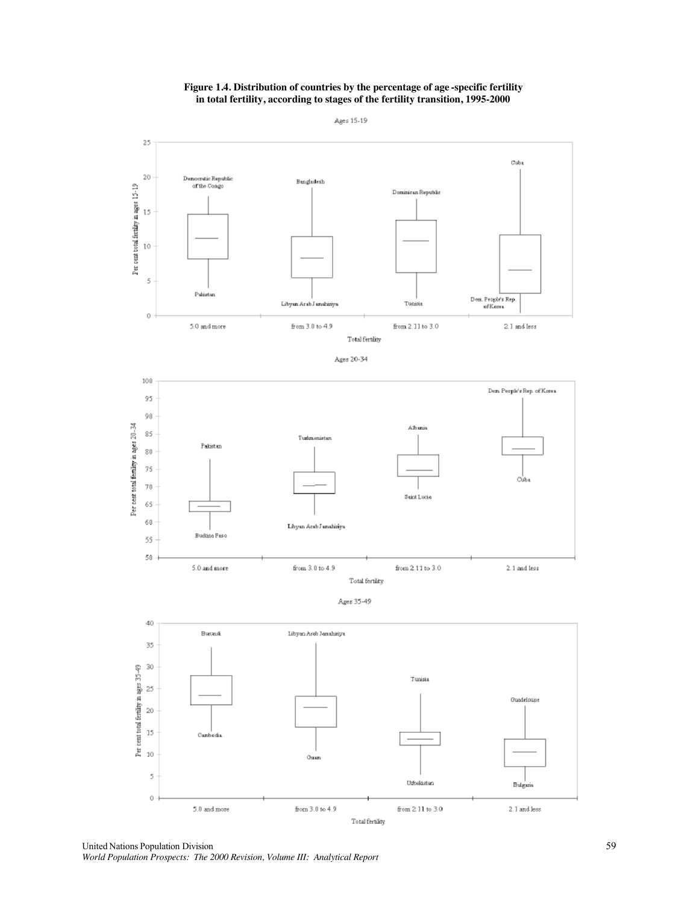### **Figure 1.4. Distribution of countries by the percentage of age -specific fertility in total fertility, according to stages of the fertility transition, 1995-2000**

Ages 15-19







Ages 35-49



United Nations Population Division 59 *World Population Prospects: The 2000 Revision, Volume III: Analytical Report*